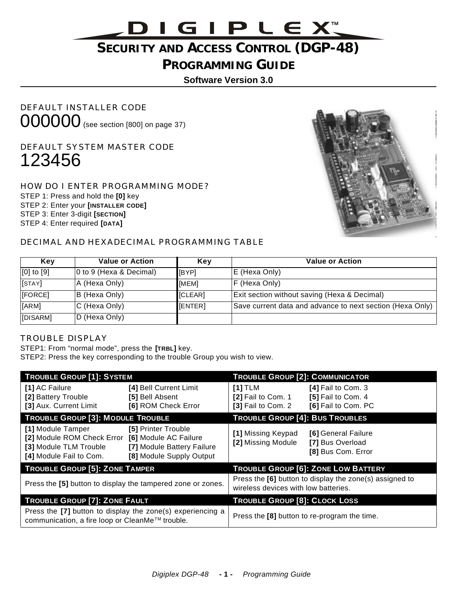# <u>DIGIPLEXW</u>

# **SECURITY AND ACCESS CONTROL (DGP-48)**

### **PROGRAMMING GUIDE**

**Software Version 3.0**

DEFAULT INSTALLER CODE 000000 (see section [800] on page 37)

DEFAULT SYSTEM MASTER CODE 123456

HOW DO I ENTER PROGRAMMING MODE? STEP 1: Press and hold the **[0]** key STEP 2: Enter your **[INSTALLER CODE]** STEP 3: Enter 3-digit **[SECTION]**  STEP 4: Enter required **[DATA]**



#### DECIMAL AND HEXADECIMAL PROGRAMMING TABLE

| Kev             | <b>Value or Action</b>  | Key          | <b>Value or Action</b>                                    |
|-----------------|-------------------------|--------------|-----------------------------------------------------------|
| $[0]$ to $[9]$  | 0 to 9 (Hexa & Decimal) | <b>IBYPI</b> | E (Hexa Only)                                             |
| [ <b>STAY</b> ] | A (Hexa Only)           | [MEM]        | F (Hexa Only)                                             |
| [FORCE]         | B (Hexa Only)           | [CLEAR]      | Exit section without saving (Hexa & Decimal)              |
| [ARM]           | C (Hexa Only)           | [ENTER]      | Save current data and advance to next section (Hexa Only) |
| [DISARM]        | D (Hexa Only)           |              |                                                           |

#### TROUBLE DISPLAY

STEP1: From "normal mode", press the **[TRBL]** key.

STEP2: Press the key corresponding to the trouble Group you wish to view.

| <b>TROUBLE GROUP [1]: SYSTEM</b>                                                                                           |                                                                               | <b>TROUBLE GROUP [2]: COMMUNICATOR</b>                                                          |                                                                 |  |
|----------------------------------------------------------------------------------------------------------------------------|-------------------------------------------------------------------------------|-------------------------------------------------------------------------------------------------|-----------------------------------------------------------------|--|
| [1] AC Failure<br>[2] Battery Trouble<br>[3] Aux. Current Limit                                                            | [4] Bell Current Limit<br>[5] Bell Absent<br>[6] ROM Check Error              | [1] TLM<br>[2] Fail to Com. 1<br>[3] Fail to Com. 2                                             | [4] Fail to Com. 3<br>[5] Fail to Com. 4<br>[6] Fail to Com. PC |  |
| <b>TROUBLE GROUP [3]: MODULE TROUBLE</b>                                                                                   |                                                                               | <b>TROUBLE GROUP [4]: BUS TROUBLES</b>                                                          |                                                                 |  |
| [1] Module Tamper<br>[2] Module ROM Check Error [6] Module AC Failure<br>[3] Module TLM Trouble<br>[4] Module Fail to Com. | [5] Printer Trouble<br>[7] Module Battery Failure<br>[8] Module Supply Output | [1] Missing Keypad<br>[2] Missing Module                                                        | [6] General Failure<br>[7] Bus Overload<br>[8] Bus Com. Error   |  |
| <b>TROUBLE GROUP [5]: ZONE TAMPER</b>                                                                                      |                                                                               | <b>TROUBLE GROUP [6]: ZONE LOW BATTERY</b>                                                      |                                                                 |  |
|                                                                                                                            | Press the [5] button to display the tampered zone or zones.                   | Press the [6] button to display the zone(s) assigned to<br>wireless devices with low batteries. |                                                                 |  |
| <b>TROUBLE GROUP [7]: ZONE FAULT</b>                                                                                       |                                                                               | <b>TROUBLE GROUP [8]: CLOCK LOSS</b>                                                            |                                                                 |  |
| communication, a fire loop or CleanMe™ trouble.                                                                            | Press the [7] button to display the zone(s) experiencing a                    | Press the [8] button to re-program the time.                                                    |                                                                 |  |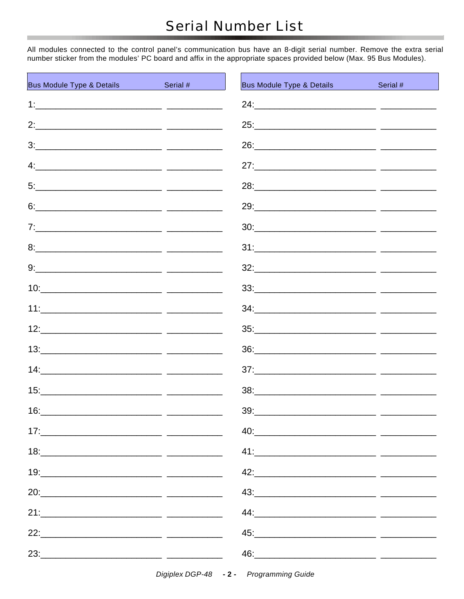All modules connected to the control panel's communication bus have an 8-digit serial number. Remove the extra serial number sticker from the modules' PC board and affix in the appropriate spaces provided below (Max. 95 Bus Modules).

| <b>Bus Module Type &amp; Details</b> | Serial # | <b>Bus Module Type &amp; Details</b><br><b>Contract Contract Contract Contract Contract Contract Contract Contract Contract Contract Contract Contract Co</b>                                                                  | Serial # |
|--------------------------------------|----------|--------------------------------------------------------------------------------------------------------------------------------------------------------------------------------------------------------------------------------|----------|
|                                      |          |                                                                                                                                                                                                                                |          |
|                                      |          |                                                                                                                                                                                                                                |          |
|                                      |          |                                                                                                                                                                                                                                |          |
|                                      |          |                                                                                                                                                                                                                                |          |
|                                      |          |                                                                                                                                                                                                                                |          |
|                                      |          |                                                                                                                                                                                                                                |          |
|                                      |          |                                                                                                                                                                                                                                |          |
|                                      |          |                                                                                                                                                                                                                                |          |
|                                      |          |                                                                                                                                                                                                                                |          |
|                                      |          |                                                                                                                                                                                                                                |          |
|                                      |          |                                                                                                                                                                                                                                |          |
|                                      |          |                                                                                                                                                                                                                                |          |
|                                      |          |                                                                                                                                                                                                                                |          |
|                                      |          |                                                                                                                                                                                                                                |          |
|                                      |          |                                                                                                                                                                                                                                |          |
| 16:                                  |          | 39:                                                                                                                                                                                                                            |          |
|                                      |          |                                                                                                                                                                                                                                |          |
|                                      |          |                                                                                                                                                                                                                                |          |
|                                      |          |                                                                                                                                                                                                                                |          |
|                                      |          | 43:                                                                                                                                                                                                                            |          |
|                                      |          |                                                                                                                                                                                                                                |          |
|                                      |          |                                                                                                                                                                                                                                |          |
|                                      |          | 46: 40 - 200 - 200 - 200 - 200 - 200 - 200 - 200 - 200 - 200 - 200 - 200 - 200 - 200 - 200 - 200 - 200 - 200 - 200 - 200 - 200 - 200 - 200 - 200 - 200 - 200 - 200 - 200 - 200 - 200 - 200 - 200 - 200 - 200 - 200 - 200 - 200 |          |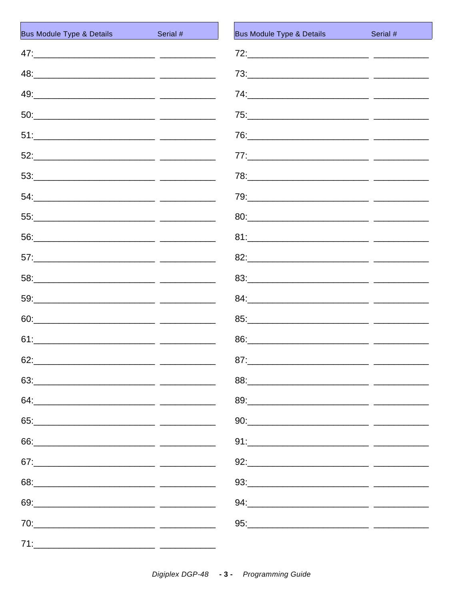| <b>Bus Module Type &amp; Details</b> | Serial #<br><b>Service Service</b> | <b>Bus Module Type &amp; Details</b>                                                                                                                                                                                                                                                                                                                         |
|--------------------------------------|------------------------------------|--------------------------------------------------------------------------------------------------------------------------------------------------------------------------------------------------------------------------------------------------------------------------------------------------------------------------------------------------------------|
|                                      |                                    |                                                                                                                                                                                                                                                                                                                                                              |
|                                      |                                    |                                                                                                                                                                                                                                                                                                                                                              |
|                                      |                                    |                                                                                                                                                                                                                                                                                                                                                              |
|                                      |                                    |                                                                                                                                                                                                                                                                                                                                                              |
|                                      |                                    |                                                                                                                                                                                                                                                                                                                                                              |
|                                      |                                    |                                                                                                                                                                                                                                                                                                                                                              |
|                                      |                                    |                                                                                                                                                                                                                                                                                                                                                              |
|                                      |                                    |                                                                                                                                                                                                                                                                                                                                                              |
|                                      |                                    |                                                                                                                                                                                                                                                                                                                                                              |
|                                      |                                    |                                                                                                                                                                                                                                                                                                                                                              |
|                                      |                                    |                                                                                                                                                                                                                                                                                                                                                              |
|                                      |                                    |                                                                                                                                                                                                                                                                                                                                                              |
|                                      |                                    |                                                                                                                                                                                                                                                                                                                                                              |
|                                      |                                    |                                                                                                                                                                                                                                                                                                                                                              |
|                                      |                                    |                                                                                                                                                                                                                                                                                                                                                              |
| 62:                                  |                                    | 87:                                                                                                                                                                                                                                                                                                                                                          |
|                                      |                                    | $88: \begin{tabular}{l} \hline \rule{0.2cm}{0.1cm} \rule{0.2cm}{0.1cm} \rule{0.2cm}{0.1cm} \rule{0.2cm}{0.1cm} \rule{0.2cm}{0.1cm} \rule{0.2cm}{0.1cm} \rule{0.2cm}{0.1cm} \rule{0.2cm}{0.1cm} \rule{0.2cm}{0.1cm} \rule{0.2cm}{0.1cm} \rule{0.2cm}{0.1cm} \rule{0.2cm}{0.1cm} \rule{0.2cm}{0.1cm} \rule{0.2cm}{0.1cm} \rule{0.2cm}{0.1cm} \rule{0.2cm}{0.1$ |
|                                      |                                    |                                                                                                                                                                                                                                                                                                                                                              |
|                                      |                                    | $90: \underline{\hspace{2cm}}$                                                                                                                                                                                                                                                                                                                               |
|                                      |                                    | $91: \underline{\hspace{2.5cm}}$                                                                                                                                                                                                                                                                                                                             |
|                                      |                                    | $92: \underline{\hspace{2.5cm}}$                                                                                                                                                                                                                                                                                                                             |
|                                      |                                    |                                                                                                                                                                                                                                                                                                                                                              |
|                                      |                                    |                                                                                                                                                                                                                                                                                                                                                              |
|                                      |                                    |                                                                                                                                                                                                                                                                                                                                                              |
| 71:                                  |                                    |                                                                                                                                                                                                                                                                                                                                                              |

Serial #

 $-$ 

 $-$ 

 $-$ 

 $-$ 

— —

- -

 $-$ 

 $-$ 

 $-$ 

 $-$ 

 $-$ 

— —

 $-$ 

 $-$ 

 $-$ 

 $\overline{a}$  =

 $-$ 

\_\_\_\_\_\_\_\_\_

 $\frac{1}{2}$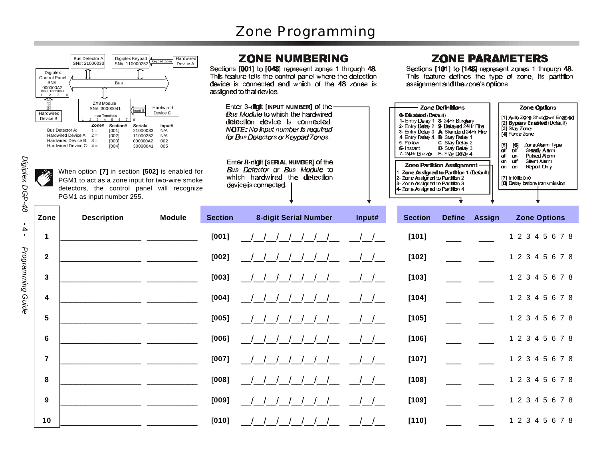

*Digiplex D G P-4 8* **- 4 -** *Pro gra* э *min g*

> *G uide*

| Hardwired<br>Device B | ZX8 Module<br>Hardwired<br>SN#: 30000041<br>Input 5<br>Device C<br><b>Input Terminals</b><br>5 6<br>Zone#<br>Section#<br>Serial#<br>Input#<br>Bus Detector A:<br>$1 =$<br>[001]<br>21000033<br>N/A<br>Hardwired Device A: $2 =$<br>[002]<br>11000252<br>N/A<br>Hardwired Device B: $3 =$<br>[003]<br>000000A2<br>002<br>Hardwired Device C: $4 =$<br>005<br>[004]<br>30000041<br>When option [7] in section [502] is enabled for<br>PGM1 to act as a zone input for two-wire smoke<br>detectors, the control panel will recognize<br>PGM1 as input number 255. |                | Enter 3-digit [INPUT NUMBER] of the-<br>Bus Module to which the hardwired<br>detection device is connected.<br>NOTE: No input number is required<br>for Bus Detectors or Keypad Zones.<br>Enter 8-digit [SERIAL NUMBER] of the<br>Bus Detector or Bus Module to<br>which hardwired the detection<br>device is connected. |        | <b>0- Disabled (Default)</b><br>1- Entry Delay 1 8-24Hr Burglary<br>2- Entry Delay 2 9- Delayed 24Hr Fire<br>3- Entry Delay 3 A Standard 24Hr Fire<br>4 Entry Delay 4 B- Stay Delay 1<br>5-Follow<br>6- Instant<br>7-24Hr Buzzer E-Stay Delay 4<br>1-Zone Assigned to Partition 1 (Default)<br>2-Zone Assigned to Partition 2<br>3-Zone Assigned to Partition 3<br>4-Zone Assigned to Partition 4 | Zone Definitions<br>C-Stay Delay 2<br>D-Stay Delay 3<br>Zone Partition Assignment . |               | Zone Options<br>[1] Auto Zone Shutdown Enabler<br>[2] Bypass Enabled (Default)<br>[3] Stay Zone<br>[4] Force Zone<br>$[5]$<br><u>Zone Alarm Type</u><br>[6]<br>Steady Alarm<br>off<br>off<br><b>Pulsed Alarm</b><br>aff an<br>on off<br>Slient Alarm<br><b>Report Only</b><br>on on<br>[7] Intellizone<br>[8] Delay before transmission |
|-----------------------|----------------------------------------------------------------------------------------------------------------------------------------------------------------------------------------------------------------------------------------------------------------------------------------------------------------------------------------------------------------------------------------------------------------------------------------------------------------------------------------------------------------------------------------------------------------|----------------|--------------------------------------------------------------------------------------------------------------------------------------------------------------------------------------------------------------------------------------------------------------------------------------------------------------------------|--------|---------------------------------------------------------------------------------------------------------------------------------------------------------------------------------------------------------------------------------------------------------------------------------------------------------------------------------------------------------------------------------------------------|-------------------------------------------------------------------------------------|---------------|-----------------------------------------------------------------------------------------------------------------------------------------------------------------------------------------------------------------------------------------------------------------------------------------------------------------------------------------|
| Zone                  | <b>Description</b><br><b>Module</b>                                                                                                                                                                                                                                                                                                                                                                                                                                                                                                                            | <b>Section</b> | <b>8-digit Serial Number</b>                                                                                                                                                                                                                                                                                             | Input# | <b>Section</b>                                                                                                                                                                                                                                                                                                                                                                                    | <b>Define</b>                                                                       | <b>Assign</b> | <b>Zone Options</b>                                                                                                                                                                                                                                                                                                                     |
| $\mathbf 1$           |                                                                                                                                                                                                                                                                                                                                                                                                                                                                                                                                                                | [001]          |                                                                                                                                                                                                                                                                                                                          |        | [101]                                                                                                                                                                                                                                                                                                                                                                                             |                                                                                     |               | 1 2 3 4 5 6 7 8                                                                                                                                                                                                                                                                                                                         |
| $\mathbf{2}$          |                                                                                                                                                                                                                                                                                                                                                                                                                                                                                                                                                                | $[002]$        |                                                                                                                                                                                                                                                                                                                          |        | $[102]$                                                                                                                                                                                                                                                                                                                                                                                           |                                                                                     |               | 1 2 3 4 5 6 7 8                                                                                                                                                                                                                                                                                                                         |
| 3                     |                                                                                                                                                                                                                                                                                                                                                                                                                                                                                                                                                                | [003]          |                                                                                                                                                                                                                                                                                                                          |        | $[103]$                                                                                                                                                                                                                                                                                                                                                                                           |                                                                                     |               | 1 2 3 4 5 6 7 8                                                                                                                                                                                                                                                                                                                         |
| 4                     |                                                                                                                                                                                                                                                                                                                                                                                                                                                                                                                                                                | $[004]$        |                                                                                                                                                                                                                                                                                                                          |        | $[104]$                                                                                                                                                                                                                                                                                                                                                                                           |                                                                                     |               | 1 2 3 4 5 6 7 8                                                                                                                                                                                                                                                                                                                         |
| 5                     |                                                                                                                                                                                                                                                                                                                                                                                                                                                                                                                                                                | $[005]$        |                                                                                                                                                                                                                                                                                                                          |        | [105]                                                                                                                                                                                                                                                                                                                                                                                             |                                                                                     |               | 1 2 3 4 5 6 7 8                                                                                                                                                                                                                                                                                                                         |
| 6                     |                                                                                                                                                                                                                                                                                                                                                                                                                                                                                                                                                                | [006]          |                                                                                                                                                                                                                                                                                                                          |        | [106]                                                                                                                                                                                                                                                                                                                                                                                             |                                                                                     |               | 1 2 3 4 5 6 7 8                                                                                                                                                                                                                                                                                                                         |
| $\overline{7}$        |                                                                                                                                                                                                                                                                                                                                                                                                                                                                                                                                                                | $[007]$        |                                                                                                                                                                                                                                                                                                                          |        | $[107]$                                                                                                                                                                                                                                                                                                                                                                                           |                                                                                     |               | 1 2 3 4 5 6 7 8                                                                                                                                                                                                                                                                                                                         |
| 8                     |                                                                                                                                                                                                                                                                                                                                                                                                                                                                                                                                                                | [008]          |                                                                                                                                                                                                                                                                                                                          |        | [108]                                                                                                                                                                                                                                                                                                                                                                                             |                                                                                     |               | 1 2 3 4 5 6 7 8                                                                                                                                                                                                                                                                                                                         |
| 9                     |                                                                                                                                                                                                                                                                                                                                                                                                                                                                                                                                                                | [009]          |                                                                                                                                                                                                                                                                                                                          |        | $[109]$                                                                                                                                                                                                                                                                                                                                                                                           |                                                                                     |               | 1 2 3 4 5 6 7 8                                                                                                                                                                                                                                                                                                                         |
| 10                    |                                                                                                                                                                                                                                                                                                                                                                                                                                                                                                                                                                | [010]          |                                                                                                                                                                                                                                                                                                                          |        | [110]                                                                                                                                                                                                                                                                                                                                                                                             |                                                                                     |               | 1 2 3 4 5 6 7 8                                                                                                                                                                                                                                                                                                                         |

#### **ZONE NUMBERING**

Sections [001] to [048] represent zones 1 through 48. This feature tells the control panel where the detection device is connected and which of the 48 zones is assigned to that device.

#### **ZONE PARAMETERS**

Sections [101] to [148] represent zones 1 through 48. This feature defines the type of zone, its partition assignment and the zone's options.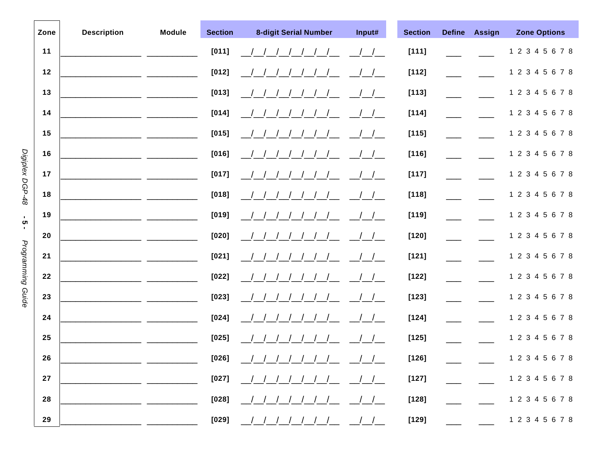| Zone | <b>Description</b> | <b>Module</b> | <b>Section</b>        | <b>8-digit Serial Number</b> | Input#           | <b>Section</b> | <b>Define</b> | <b>Assign</b> | <b>Zone Options</b> |
|------|--------------------|---------------|-----------------------|------------------------------|------------------|----------------|---------------|---------------|---------------------|
| 11   |                    |               | $[011]$               |                              |                  | $[111]$        |               |               | 1 2 3 4 5 6 7 8     |
| 12   |                    |               | $[012]$               |                              | $\frac{1}{1}$    | [112]          |               |               | 1 2 3 4 5 6 7 8     |
| 13   |                    |               | $[013]$               |                              |                  | $[113]$        |               |               | 1 2 3 4 5 6 7 8     |
| 14   |                    |               | $[014]$               |                              |                  | $[114]$        |               |               | 1 2 3 4 5 6 7 8     |
| 15   |                    |               | $[015]$               |                              |                  | $[115]$        |               |               | 1 2 3 4 5 6 7 8     |
| 16   |                    |               | $[016]$               |                              |                  | $[116]$        |               |               | 1 2 3 4 5 6 7 8     |
| 17   |                    |               | $[017]$               |                              |                  | $[117]$        |               |               | 1 2 3 4 5 6 7 8     |
| 18   |                    |               | $[018]$               |                              |                  | $[118]$        |               |               | 1 2 3 4 5 6 7 8     |
| 19   |                    |               | $[019]$               |                              |                  | $[119]$        |               |               | 1 2 3 4 5 6 7 8     |
| 20   |                    |               | $[020]$               |                              |                  | $[120]$        |               |               | 1 2 3 4 5 6 7 8     |
| 21   |                    |               | $[021]$               |                              |                  | $[121]$        |               |               | 1 2 3 4 5 6 7 8     |
| 22   |                    |               | $[022]$               |                              |                  | $[122]$        |               |               | 1 2 3 4 5 6 7 8     |
| 23   |                    |               | $[023]$               |                              |                  | $[123]$        |               |               | 1 2 3 4 5 6 7 8     |
| 24   |                    |               | $[024]$               |                              |                  | $[124]$        |               |               | 1 2 3 4 5 6 7 8     |
| 25   |                    |               | $[025]$               |                              |                  | $[125]$        |               |               | 1 2 3 4 5 6 7 8     |
| 26   |                    |               | $[026]$               | ////////                     | $\left  \right $ | $[126]$        |               |               | 1 2 3 4 5 6 7 8     |
| 27   |                    |               | $[027]$               |                              |                  | $[127]$        |               |               | 1 2 3 4 5 6 7 8     |
| 28   |                    |               | $[028]$               |                              |                  | $[128]$        |               |               | 1 2 3 4 5 6 7 8     |
| 29   |                    |               | $\bm{\mathsf{[029]}}$ |                              |                  | $[129]$        |               |               | 1 2 3 4 5 6 7 8     |

Digiplex DGP-48

- 2 -

Programming Guide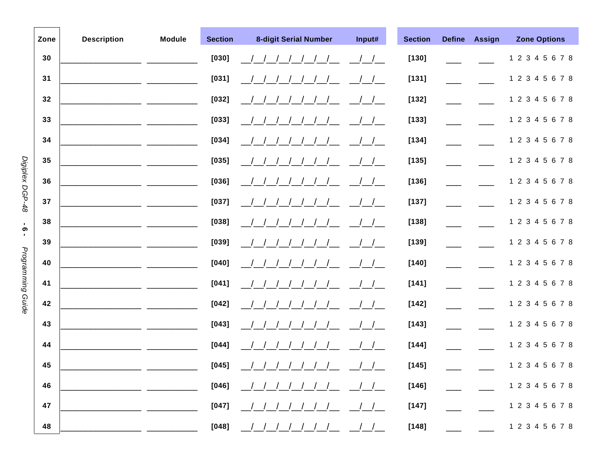|                   | Zone | <b>Description</b> | <b>Module</b> | <b>Section</b>        | <b>8-digit Serial Number</b> | Input# | <b>Section</b>      | <b>Define</b> | <b>Assign</b> | <b>Zone Options</b> |
|-------------------|------|--------------------|---------------|-----------------------|------------------------------|--------|---------------------|---------------|---------------|---------------------|
|                   | 30   |                    |               | [030]                 |                              |        | $\left[ 130\right]$ |               |               | 1 2 3 4 5 6 7 8     |
|                   | 31   |                    |               | $[031]$               |                              |        | $[131]$             |               |               | 1 2 3 4 5 6 7 8     |
|                   | 32   |                    |               | [032]                 |                              |        | $\left[ 132\right]$ |               |               | 1 2 3 4 5 6 7 8     |
|                   | 33   |                    |               | [033]                 |                              |        | $[133]$             |               |               | 1 2 3 4 5 6 7 8     |
|                   | 34   |                    |               | [034]                 |                              |        | $[134]$             |               |               | 1 2 3 4 5 6 7 8     |
|                   | 35   |                    |               | $[035]$               |                              |        | $[135]$             |               |               | 1 2 3 4 5 6 7 8     |
|                   | 36   |                    |               | [036]                 |                              |        | $[136]$             |               |               | 1 2 3 4 5 6 7 8     |
| Digiplex DGP-48   | 37   |                    |               | $[037]$               |                              |        | $[137]$             |               |               | 1 2 3 4 5 6 7 8     |
| ္တ                | 38   |                    |               | [038]                 |                              |        | $[138]$             |               |               | 1 2 3 4 5 6 7 8     |
| $\blacksquare$    | 39   |                    |               | [039]                 |                              |        | $[139]$             |               |               | 1 2 3 4 5 6 7 8     |
| Programming Guide | 40   |                    |               | $[040]$               |                              |        | $[140]$             |               |               | 1 2 3 4 5 6 7 8     |
|                   | 41   |                    |               | $[041]$               |                              |        | $[141]$             |               |               | 1 2 3 4 5 6 7 8     |
|                   | 42   |                    |               | $[042]$               |                              |        | $[142]$             |               |               | 1 2 3 4 5 6 7 8     |
|                   | 43   |                    |               | $[043]$               |                              |        | [143]               |               |               | 1 2 3 4 5 6 7 8     |
|                   | 44   |                    |               | $[044]$               |                              |        | $[144]$             |               |               | 1 2 3 4 5 6 7 8     |
|                   | 45   |                    |               | $[045]$               | ////////                     |        | $[145]$             |               |               | 1 2 3 4 5 6 7 8     |
|                   | 46   |                    |               | $[046]$               |                              |        | $[146]$             |               |               | 1 2 3 4 5 6 7 8     |
|                   | 47   |                    |               | $\bm{\mathsf{[047]}}$ |                              |        | $[147]$             |               |               | 1 2 3 4 5 6 7 8     |
|                   | 48   |                    |               | $[048]$               |                              |        | $[148]$             |               |               | 1 2 3 4 5 6 7 8     |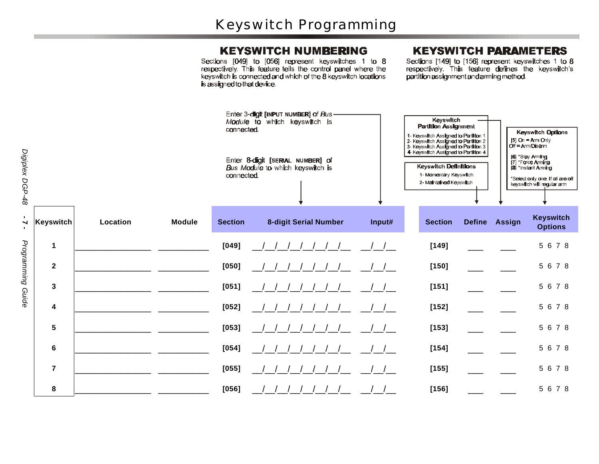#### **KEYSWITCH NUMBERING**

Sections [049] to [056] represent keyswitches 1 to 8 respectively. This feature tells the control panel where the keyswitch is connected and which of the 8 keyswitch locations is assigned to that device.

### **KEYSWITCH PARAMETERS**

Sections [149] to [156] represent keyswitches 1 to 8 respectively. This feature defines the keyswitch's partition assignment and arming method.

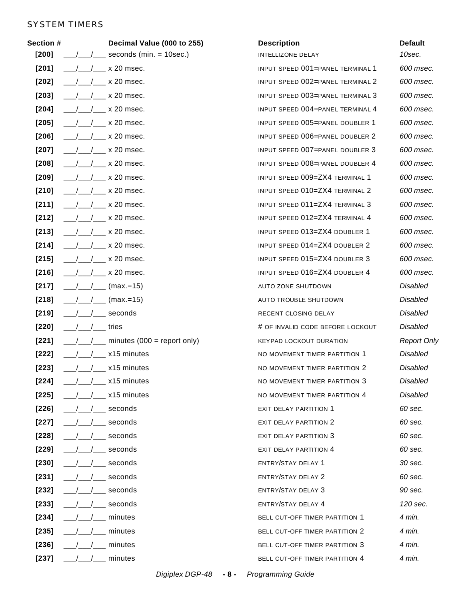#### SYSTEM TIMERS

| <b>Section #</b> | Decimal Value (000 to 255)    | <b>Description</b>                    | <b>Default</b>     |
|------------------|-------------------------------|---------------------------------------|--------------------|
| $[200]$          | seconds (min. $=$ 10sec.)     | INTELLIZONE DELAY                     | 10sec.             |
| $[201]$          | $\times$ 20 msec.             | INPUT SPEED 001=PANEL TERMINAL 1      | 600 msec.          |
| $[202]$          | $/$ x 20 msec.                | INPUT SPEED 002=PANEL TERMINAL 2      | 600 msec.          |
| $[203]$          | $\times$ 20 msec.             | INPUT SPEED 003=PANEL TERMINAL 3      | 600 msec.          |
| $[204]$          | $/$ x 20 msec.                | INPUT SPEED 004=PANEL TERMINAL 4      | 600 msec.          |
| $[205]$          | $\times$ 20 msec.             | INPUT SPEED 005=PANEL DOUBLER 1       | 600 msec.          |
| $[206]$          | $\times$ 20 msec.             | INPUT SPEED 006=PANEL DOUBLER 2       | 600 msec.          |
| $[207]$          | $\times$ 20 msec.             | INPUT SPEED 007=PANEL DOUBLER 3       | 600 msec.          |
| $[208]$          | $/$ x 20 msec.                | INPUT SPEED 008=PANEL DOUBLER 4       | 600 msec.          |
| $[209]$          | $\frac{1}{2}$ x 20 msec.      | INPUT SPEED 009=ZX4 TERMINAL 1        | 600 msec.          |
| $[210]$          | $/ x 20$ msec.                | INPUT SPEED 010=ZX4 TERMINAL 2        | 600 msec.          |
| [211]            | $\times$ 20 msec.             | INPUT SPEED 011=ZX4 TERMINAL 3        | 600 msec.          |
| $[212]$          | $\times$ 20 msec.             | INPUT SPEED 012=ZX4 TERMINAL 4        | 600 msec.          |
| [213]            | $\times$ 20 msec.             | INPUT SPEED 013=ZX4 DOUBLER 1         | 600 msec.          |
| $[214]$          | $/$ x 20 msec.                | INPUT SPEED 014=ZX4 DOUBLER 2         | 600 msec.          |
| $[215]$          | $\sim$ x 20 msec.             | INPUT SPEED 015=ZX4 DOUBLER 3         | 600 msec.          |
| $[216]$          | $x 20$ msec.                  | INPUT SPEED 016=ZX4 DOUBLER 4         | 600 msec.          |
| $[217]$          | $(max=15)$                    | AUTO ZONE SHUTDOWN                    | <b>Disabled</b>    |
| $[218]$          | $(max = 15)$                  | AUTO TROUBLE SHUTDOWN                 | <b>Disabled</b>    |
| $[219]$          | $\_$ seconds                  | RECENT CLOSING DELAY                  | <b>Disabled</b>    |
| $[220]$          | / tries                       | # OF INVALID CODE BEFORE LOCKOUT      | Disabled           |
| $[221]$          | minutes $(000 =$ report only) | <b>KEYPAD LOCKOUT DURATION</b>        | <b>Report Only</b> |
| $[222]$          | x15 minutes                   | NO MOVEMENT TIMER PARTITION 1         | Disabled           |
| $[223]$          | $/ x15$ minutes               | NO MOVEMENT TIMER PARTITION 2         | <b>Disabled</b>    |
| $[224]$          | x15 minutes                   | NO MOVEMENT TIMER PARTITION 3         | Disabled           |
| $[225]$          | $/ x15$ minutes               | NO MOVEMENT TIMER PARTITION 4         | Disabled           |
| $[226]$          | /___ seconds                  | <b>EXIT DELAY PARTITION 1</b>         | 60 sec.            |
| $[227]$          | $\frac{1}{2}$ seconds         | <b>EXIT DELAY PARTITION 2</b>         | 60 sec.            |
| $[228]$          | seconds                       | <b>EXIT DELAY PARTITION 3</b>         | 60 sec.            |
| $[229]$          | $\frac{1}{2}$ seconds         | <b>EXIT DELAY PARTITION 4</b>         | 60 sec.            |
| $[230]$          | __ seconds                    | ENTRY/STAY DELAY 1                    | 30 sec.            |
| $[231]$          | $\frac{1}{2}$ seconds         | ENTRY/STAY DELAY 2                    | 60 sec.            |
| $[232]$          | __ seconds                    | <b>ENTRY/STAY DELAY 3</b>             | 90 sec.            |
| $[233]$          | / seconds                     | ENTRY/STAY DELAY 4                    | 120 sec.           |
| $[234]$          | minutes                       | BELL CUT-OFF TIMER PARTITION 1        | 4 min.             |
| $[235]$          | / minutes                     | <b>BELL CUT-OFF TIMER PARTITION 2</b> | 4 min.             |
| $[236]$          | minutes                       | BELL CUT-OFF TIMER PARTITION 3        | 4 min.             |
| $[237]$          | $/$ $/$ $/$ $-$ minutes       | BELL CUT-OFF TIMER PARTITION 4        | 4 min.             |
|                  |                               |                                       |                    |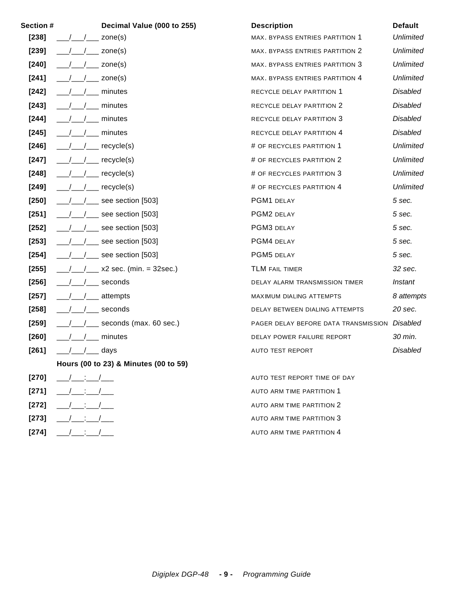| Section # |                         | Decimal Value (000 to 255)            | <b>Description</b>                     | <b>Default</b>   |
|-----------|-------------------------|---------------------------------------|----------------------------------------|------------------|
| $[238]$   |                         | zone(s)                               | <b>MAX. BYPASS ENTRIES PARTITION 1</b> | <b>Unlimited</b> |
| $[239]$   |                         | zone(s)                               | MAX. BYPASS ENTRIES PARTITION 2        | <b>Unlimited</b> |
| $[240]$   |                         | zone(s)                               | MAX. BYPASS ENTRIES PARTITION 3        | <b>Unlimited</b> |
| $[241]$   |                         | zone(s)                               | MAX. BYPASS ENTRIES PARTITION 4        | <b>Unlimited</b> |
| $[242]$   |                         | minutes                               | RECYCLE DELAY PARTITION 1              | <b>Disabled</b>  |
| $[243]$   |                         | minutes                               | RECYCLE DELAY PARTITION 2              | <b>Disabled</b>  |
| $[244]$   |                         | minutes                               | RECYCLE DELAY PARTITION 3              | <b>Disabled</b>  |
| $[245]$   |                         | minutes                               | RECYCLE DELAY PARTITION 4              | <b>Disabled</b>  |
| $[246]$   |                         | recycle(s)                            | # OF RECYCLES PARTITION 1              | <b>Unlimited</b> |
| $[247]$   |                         | recycle(s)                            | # OF RECYCLES PARTITION 2              | <b>Unlimited</b> |
| $[248]$   |                         | recycle(s)                            | # OF RECYCLES PARTITION 3              | <b>Unlimited</b> |
| $[249]$   |                         | recycle(s)                            | # OF RECYCLES PARTITION 4              | <b>Unlimited</b> |
| $[250]$   |                         | see section [503]                     | PGM1 DELAY                             | 5 sec.           |
| $[251]$   |                         | see section [503]                     | PGM2 DELAY                             | 5 sec.           |
| $[252]$   |                         | see section [503]                     | PGM3 DELAY                             | 5 sec.           |
| $[253]$   |                         | see section [503]                     | PGM4 DELAY                             | 5 sec.           |
| $[254]$   |                         | see section [503]                     | PGM5 DELAY                             | 5 sec.           |
| $[255]$   |                         | $x2$ sec. (min. = 32sec.)             | <b>TLM FAIL TIMER</b>                  | 32 sec.          |
| $[256]$   |                         | seconds                               | DELAY ALARM TRANSMISSION TIMER         | Instant          |
| $[257]$   |                         | attempts                              | <b>MAXIMUM DIALING ATTEMPTS</b>        | 8 attempts       |
| $[258]$   |                         | seconds                               | DELAY BETWEEN DIALING ATTEMPTS         | 20 sec.          |
| $[259]$   |                         | seconds (max. 60 sec.)                | PAGER DELAY BEFORE DATA TRANSMISSION   | Disabled         |
| $[260]$   |                         | minutes                               | DELAY POWER FAILURE REPORT             | 30 min.          |
| [261]     |                         | days                                  | <b>AUTO TEST REPORT</b>                | Disabled         |
|           |                         | Hours (00 to 23) & Minutes (00 to 59) |                                        |                  |
| $[270]$   | $\sqrt{2}$ : $\sqrt{2}$ |                                       | AUTO TEST REPORT TIME OF DAY           |                  |
| $[271]$   | $\therefore$ /          |                                       | AUTO ARM TIME PARTITION 1              |                  |
| $[272]$   |                         |                                       | AUTO ARM TIME PARTITION 2              |                  |
| $[273]$   |                         |                                       | AUTO ARM TIME PARTITION 3              |                  |

**[274]** \_\_\_/\_\_\_:\_\_\_/\_\_\_ AUTO ARM TIME PARTITION 4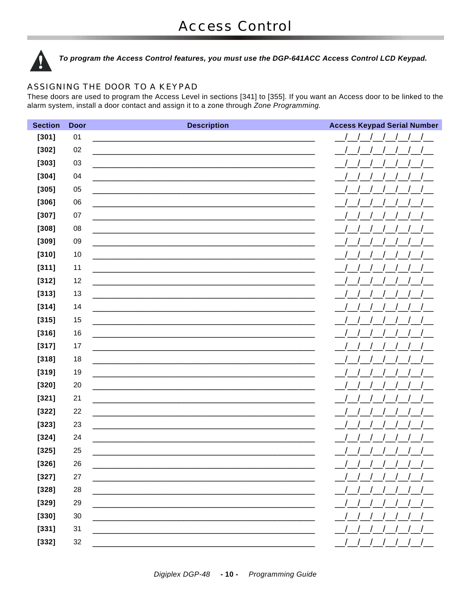

To program the Access Control features, you must use the DGP-641ACC Access Control LCD Keypad.

#### ASSIGNING THE DOOR TO A KEYPAD

These doors are used to program the Access Level in sections [341] to [355]. If you want an Access door to be linked to the alarm system, install a door contact and assign it to a zone through Zone Programming.

| <b>Section</b> | <b>Door</b> | <b>Description</b>                                                                                                   | <b>Access Keypad Serial Number</b> |
|----------------|-------------|----------------------------------------------------------------------------------------------------------------------|------------------------------------|
| $[301]$        | 01          | the control of the control of the control of the control of the control of                                           |                                    |
| $[302]$        | 02          |                                                                                                                      |                                    |
| $[303]$        | 03          |                                                                                                                      |                                    |
| $[304]$        | 04          |                                                                                                                      |                                    |
| $[305]$        | 05          |                                                                                                                      |                                    |
| $[306]$        | 06          |                                                                                                                      |                                    |
| $[307]$        | 07          |                                                                                                                      |                                    |
| $[308]$        | 08          |                                                                                                                      |                                    |
| $[309]$        | 09          |                                                                                                                      |                                    |
| $[310]$        | 10          |                                                                                                                      |                                    |
| [311]          | 11          |                                                                                                                      |                                    |
| $[312]$        | 12          |                                                                                                                      |                                    |
| $[313]$        | 13          |                                                                                                                      |                                    |
| $[314]$        | 14          |                                                                                                                      |                                    |
| [315]          | 15          |                                                                                                                      |                                    |
| $[316]$        | 16          |                                                                                                                      |                                    |
| $[317]$        | 17          | <u> 1989 - Johann Stein, marwolaethau a bhann an t-Amhair ann an t-Amhair an t-Amhair an t-Amhair an t-Amhair an</u> |                                    |
| $[318]$        | 18          |                                                                                                                      |                                    |
| $[319]$        | 19          |                                                                                                                      |                                    |
| $[320]$        | 20          |                                                                                                                      |                                    |
| $[321]$        | 21          |                                                                                                                      |                                    |
| $[322]$        | 22          |                                                                                                                      |                                    |
| [323]          | 23          |                                                                                                                      |                                    |
| $[324]$        | 24          |                                                                                                                      |                                    |
| [325]          | 25          |                                                                                                                      |                                    |
| $[326]$        | 26          |                                                                                                                      |                                    |
| $[327]$        | $27\,$      |                                                                                                                      |                                    |
| $[328]$        | 28          |                                                                                                                      |                                    |
| $[329]$        | 29          |                                                                                                                      |                                    |
| [330]          | $30\,$      |                                                                                                                      |                                    |
| [331]          | 31          |                                                                                                                      |                                    |
| [332]          | 32          |                                                                                                                      |                                    |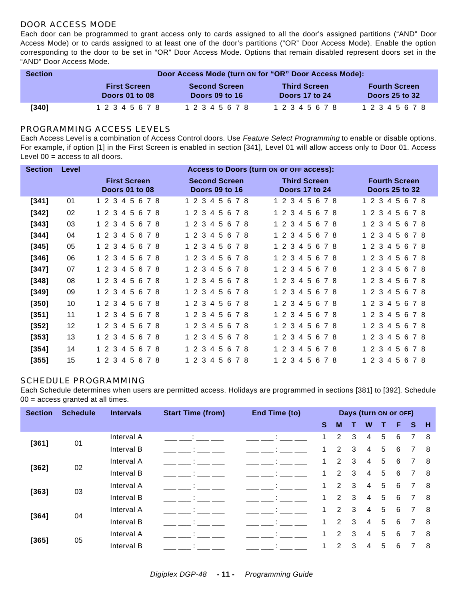#### DOOR ACCESS MODE

Each door can be programmed to grant access only to cards assigned to all the door's assigned partitions ("AND" Door Access Mode) or to cards assigned to at least one of the door's partitions ("OR" Door Access Mode). Enable the option corresponding to the door to be set in "OR" Door Access Mode. Options that remain disabled represent doors set in the "AND" Door Access Mode.

| <b>Section</b> | Door Access Mode (turn on for "OR" Door Access Mode): |                      |                     |                       |  |  |
|----------------|-------------------------------------------------------|----------------------|---------------------|-----------------------|--|--|
|                | <b>First Screen</b>                                   | <b>Second Screen</b> | <b>Third Screen</b> | <b>Fourth Screen</b>  |  |  |
|                | Doors 01 to 08                                        | Doors 09 to 16       | Doors 17 to 24      | <b>Doors 25 to 32</b> |  |  |
| $[340]$        | 1 2 3 4 5 6 7 8                                       | 1 2 3 4 5 6 7 8      | 1 2 3 4 5 6 7 8     | 1 2 3 4 5 6 7 8       |  |  |

#### PROGRAMMING ACCESS LEVELS

Each Access Level is a combination of Access Control doors. Use *Feature Select Programming* to enable or disable options. For example, if option [1] in the First Screen is enabled in section [341], Level 01 will allow access only to Door 01. Access Level 00 = access to all doors.

| <b>Section</b> | Level | Access to Doors (turn on or OFF access): |                      |                     |                       |  |
|----------------|-------|------------------------------------------|----------------------|---------------------|-----------------------|--|
|                |       | <b>First Screen</b>                      | <b>Second Screen</b> | <b>Third Screen</b> | <b>Fourth Screen</b>  |  |
|                |       | Doors 01 to 08                           | Doors 09 to 16       | Doors 17 to 24      | <b>Doors 25 to 32</b> |  |
| $[341]$        | 01    | 1 2 3 4 5 6 7 8                          | 1 2 3 4 5 6 7 8      | 1 2 3 4 5 6 7 8     | 1 2 3 4 5 6 7 8       |  |
| $[342]$        | 02    | 1 2 3 4 5 6 7 8                          | 1 2 3 4 5 6 7 8      | 1 2 3 4 5 6 7 8     | 1 2 3 4 5 6 7 8       |  |
| $[343]$        | 03    | 1 2 3 4 5 6 7 8                          | 1 2 3 4 5 6 7 8      | 1 2 3 4 5 6 7 8     | 1 2 3 4 5 6 7 8       |  |
| [344]          | 04    | 1 2 3 4 5 6 7 8                          | 1 2 3<br>45678       | 1 2 3<br>45678      | 1 2 3 4 5 6 7 8       |  |
| $[345]$        | 05    | 1 2 3 4 5 6 7 8                          | 1 2 3 4 5 6 7 8      | 1 2 3 4 5 6 7 8     | 1 2 3 4 5 6 7 8       |  |
| $[346]$        | 06    | 1 2 3 4 5 6 7 8                          | 1 2 3 4 5 6 7 8      | 1 2 3 4 5 6<br>78   | 1 2 3 4 5<br>678      |  |
| [347]          | 07    | 1 2 3 4 5 6 7 8                          | 1 2 3 4 5 6 7 8      | 1 2 3 4 5 6 7 8     | 1 2 3 4 5 6 7 8       |  |
| $[348]$        | 08    | 1 2 3 4 5 6 7 8                          | 1 2 3 4 5 6 7 8      | 1 2 3 4 5 6 7 8     | 1 2 3 4 5 6 7 8       |  |
| [349]          | 09    | 1 2 3 4 5 6 7 8                          | 1 2 3 4 5 6 7 8      | 1 2 3 4 5 6 7 8     | 1 2 3 4 5 6 7 8       |  |
| [350]          | 10    | 1 2 3 4 5 6 7 8                          | 1 2 3 4 5 6 7 8      | 1 2 3 4 5 6 7 8     | 1 2 3 4 5 6 7 8       |  |
| $[351]$        | 11    | 1 2 3 4 5 6 7 8                          | 1 2 3 4 5 6 7 8      | 1 2 3 4 5 6 7 8     | 1 2 3 4 5 6 7 8       |  |
| $[352]$        | 12    | 1 2 3 4 5 6 7 8                          | 1 2 3 4 5 6 7 8      | 1 2 3 4 5 6 7 8     | 1 2 3 4 5 6 7 8       |  |
| $[353]$        | 13    | 1 2 3 4 5 6 7 8                          | 4 5 6 7 8<br>1 2 3   | 45678<br>1 2 3      | 1 2 3 4 5 6 7 8       |  |
| [354]          | 14    | 1 2 3<br>45678                           | $1\,2\,3$<br>45678   | $1\,2\,3$<br>45678  | 1 2 3<br>45<br>6 7 8  |  |
| $[355]$        | 15    | 1 2 3 4 5 6<br>78                        | 1 2 3 4 5 6<br>78    | 1 2 3 4 5 6<br>78   | 1 2 3 4 5 6 7 8       |  |

#### SCHEDULE PROGRAMMING

Each Schedule determines when users are permitted access. Holidays are programmed in sections [381] to [392]. Schedule 00 = access granted at all times.

| <b>Section</b> | <b>Schedule</b> | <b>Intervals</b> | <b>Start Time (from)</b> | End Time (to) |              |                      |   | Days (turn ON Or OFF) |                 |   |          |    |
|----------------|-----------------|------------------|--------------------------|---------------|--------------|----------------------|---|-----------------------|-----------------|---|----------|----|
|                |                 |                  |                          |               | <b>S</b>     | M                    |   | W                     |                 | F | <b>S</b> | -H |
| $[361]$        | 01              | Interval A       |                          |               |              | $\overline{2}$       | 3 | 4                     | 5               | 6 | 7        | -8 |
|                |                 | Interval B       |                          |               | 1            | 2                    | 3 | 4                     | 5               | 6 | 7        | -8 |
|                |                 | Interval A       |                          |               | 1            | $\overline{2}$       | 3 | 4                     | 5               | 6 |          | -8 |
| $[362]$        | 02              | Interval B       |                          |               | $\mathbf{1}$ | $\mathbf{2}^{\circ}$ | 3 | 4                     | 5               | 6 | 7        | -8 |
| [363]          | 03              | Interval A       |                          |               | 1            | $\overline{2}$       | 3 | 4                     | 5               | 6 |          | -8 |
|                |                 | Interval B       |                          |               |              | $\overline{2}$       | 3 | 4                     | 5               | 6 |          | 8  |
| [364]          | 04              | Interval A       |                          |               | 1            | $\overline{2}$       | 3 | 4                     | 5               | 6 |          | -8 |
|                |                 | Interval B       |                          |               | 1            | 2                    | 3 | 4                     | 5               | 6 | 7        | -8 |
|                |                 | Interval A       |                          |               | 1            | $\overline{2}$       | 3 | 4                     | 5               | 6 | 7        | 8  |
| [365]          | 05              | Interval B       |                          |               | 1            | $\overline{2}$       | 3 | 4                     | $5\phantom{.0}$ | 6 |          | 8  |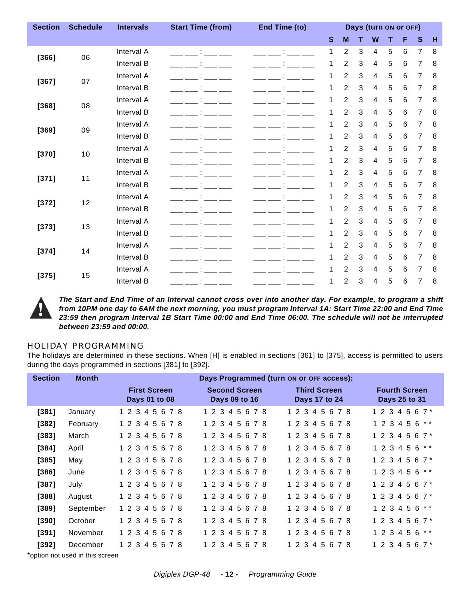| <b>Section</b> | <b>Schedule</b> | <b>Intervals</b> | <b>Start Time (from)</b><br>End Time (to)<br>Days (turn ON or OFF) |           |              |                |   |   |   |                |                |   |
|----------------|-----------------|------------------|--------------------------------------------------------------------|-----------|--------------|----------------|---|---|---|----------------|----------------|---|
|                |                 |                  |                                                                    |           | $\mathbf{s}$ | M              | т | W | Т | F              | $\mathbf{s}$   | H |
| [366]          | 06              | Interval A       | <b>Control of the Control</b>                                      | ÷         | 1            | $\overline{c}$ | 3 | 4 | 5 | 6              | 7              | 8 |
|                |                 | Interval B       |                                                                    |           | 1            | $\overline{c}$ | 3 | 4 | 5 | 6              | 7              | 8 |
|                | 07              | Interval A       |                                                                    |           | 1            | $\overline{c}$ | 3 | 4 | 5 | 6              | 7              | 8 |
| [367]          |                 | Interval B       |                                                                    |           | 1            | $\overline{2}$ | 3 | 4 | 5 | 6              | $\overline{7}$ | 8 |
|                | 08              | Interval A       |                                                                    |           | 1            | $\overline{c}$ | 3 | 4 | 5 | 6              | 7              | 8 |
| [368]          |                 | Interval B       |                                                                    |           | 1            | $\overline{2}$ | 3 | 4 | 5 | 6              | 7              | 8 |
|                | 09              | Interval A       |                                                                    |           | 1            | $\overline{c}$ | 3 | 4 | 5 | 6              | 7              | 8 |
| [369]          |                 | Interval B       |                                                                    |           | 1            | $\overline{c}$ | 3 | 4 | 5 | 6              | 7              | 8 |
|                |                 | Interval A       |                                                                    |           | 1            | $\overline{2}$ | 3 | 4 | 5 | 6              | 7              | 8 |
| $[370]$        | 10              | Interval B       |                                                                    |           | 1            | $\overline{c}$ | 3 | 4 | 5 | 6              | 7              | 8 |
|                |                 | Interval A       |                                                                    |           | 1            | 2              | 3 | 4 | 5 | 6              | 7              | 8 |
| $[371]$        | 11              | Interval B       |                                                                    |           | 1            | $\overline{c}$ | 3 | 4 | 5 | 6              | 7              | 8 |
|                |                 | Interval A       |                                                                    |           | 1            | $\overline{c}$ | 3 | 4 | 5 | 6              | 7              | 8 |
| $[372]$        | 12              | Interval B       |                                                                    |           | 1            | $\overline{c}$ | 3 | 4 | 5 | 6              | 7              | 8 |
|                | 13              | Interval A       |                                                                    |           | 1            | $\overline{c}$ | 3 | 4 | 5 | 6              | 7              | 8 |
| $[373]$        |                 | Interval B       |                                                                    |           | 1            | $\overline{2}$ | 3 | 4 | 5 | $6\phantom{1}$ | 7              | 8 |
|                |                 | Interval A       |                                                                    |           | 1            | $\overline{c}$ | 3 | 4 | 5 | 6              | 7              | 8 |
| $[374]$        | 14              | Interval B       | <b>Contractor</b>                                                  |           | 1            | 2              | 3 | 4 | 5 | 6              | $\overline{7}$ | 8 |
|                |                 | Interval A       |                                                                    |           | 1            | $\overline{2}$ | 3 | 4 | 5 | 6              | 7              | 8 |
| [375]          | 15              | Interval B       |                                                                    | - --- ' - | 1            | 2              | 3 | 4 | 5 | 6              | 7              | 8 |



*The Start and End Time of an Interval cannot cross over into another day. For example, to program a shift from 10PM one day to 6AM the next morning, you must program Interval 1A: Start Time 22:00 and End Time 23:59 then program Interval 1B Start Time 00:00 and End Time 06:00. The schedule will not be interrupted between 23:59 and 00:00.*

#### HOLIDAY PROGRAMMING

The holidays are determined in these sections. When [H] is enabled in sections [361] to [375], access is permitted to users during the days programmed in sections [381] to [392].

| <b>Section</b> | <b>Month</b> |                                      | Days Programmed (turn on or OFF access): |                                      |                                       |
|----------------|--------------|--------------------------------------|------------------------------------------|--------------------------------------|---------------------------------------|
|                |              | <b>First Screen</b><br>Days 01 to 08 | <b>Second Screen</b><br>Days 09 to 16    | <b>Third Screen</b><br>Days 17 to 24 | <b>Fourth Screen</b><br>Days 25 to 31 |
| [381]          | January      | 1 2 3 4 5 6 7 8                      | 1 2 3 4 5 6 7 8                          | 1 2 3 4 5 6 7 8                      | 1 2 3 4 5 6 7 $*$                     |
| $[382]$        | February     | 1 2 3 4 5 6 7 8                      | 1 2 3 4 5 6 7 8                          | 1 2 3 4 5 6 7 8                      | 1 2 3 4 5 6 * *                       |
| $[383]$        | March        | $1\,2\,3$<br>45678                   | 1 2 3 4 5 6 7 8                          | 1 2 3 4 5 6 7 8                      | $1234567*$                            |
| $[384]$        | April        | 1 2 3 4 5 6 7 8                      | 1 2 3 4 5 6 7 8                          | 1 2 3 4 5 6 7 8                      | 1 2 3 4 5 6 * *                       |
| $[385]$        | May          | 1 2 3 4 5 6 7 8                      | 1 2 3 4 5 6 7 8                          | 1 2 3 4 5 6 7 8                      | 1 2 3 4 5 6 7 $*$                     |
| $[386]$        | June         | 1 2 3 4 5 6 7 8                      | 1 2 3 4 5 6 7 8                          | 1 2 3 4 5 6 7 8                      | 1 2 3 4 5 6 **                        |
| $[387]$        | July         | 1 2 3 4 5 6 7 8                      | 1 2 3 4 5 6 7 8                          | 1 2 3 4 5 6 7 8                      | 1 2 3 4 5 6 7 $*$                     |
| $[388]$        | August       | 1 2 3 4 5 6 7 8                      | 1 2 3 4 5 6 7 8                          | 1 2 3 4 5 6 7 8                      | 1 2 3 4 5 6 7 $*$                     |
| $[389]$        | September    | 1 2 3 4 5 6 7 8                      | 1 2 3 4 5 6 7 8                          | 1 2 3 4 5 6 7 8                      | 1 2 3 4 5 6 **                        |
| $[390]$        | October      | 1 2 3 4 5 6 7 8                      | 1 2 3 4 5 6 7 8                          | 1 2 3 4 5 6 7 8                      | 1 2 3<br>4 5 6 7 *                    |
| [391]          | November     | 1 2 3 4 5 6 7 8                      | 1 2 3 4 5 6 7 8                          | 1 2 3 4 5 6 7 8                      | 5<br>6 * *<br>1 2 3 4                 |
| $[392]$        | December     | 1 2 3 4 5 6<br>78                    | 1 2 3 4 5 6<br>78                        | 1 2 3 4 5 6 7 8                      | 1 2 3 4 5<br>67*                      |

\*option not used in this screen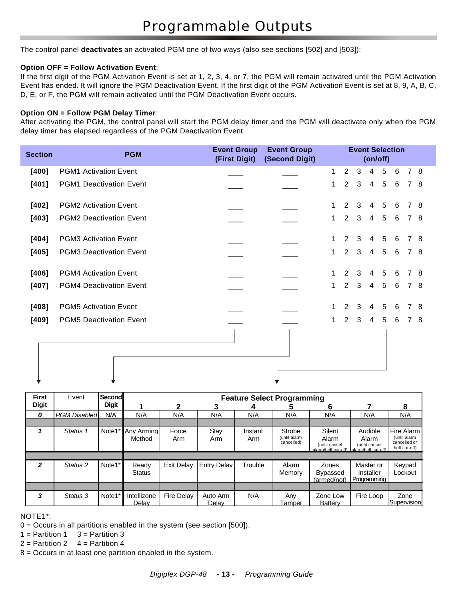The control panel **deactivates** an activated PGM one of two ways (also see sections [502] and [503]):

#### **Option OFF = Follow Activation Event**:

If the first digit of the PGM Activation Event is set at 1, 2, 3, 4, or 7, the PGM will remain activated until the PGM Activation Event has ended. It will ignore the PGM Deactivation Event. If the first digit of the PGM Activation Event is set at 8, 9, A, B, C, D, E, or F, the PGM will remain activated until the PGM Deactivation Event occurs.

#### **Option ON = Follow PGM Delay Timer**:

After activating the PGM, the control panel will start the PGM delay timer and the PGM will deactivate only when the PGM delay timer has elapsed regardless of the PGM Deactivation Event.

| <b>Section</b> | <b>PGM</b>                     | <b>Event Group</b><br>(First Digit) | <b>Event Group</b><br>(Second Digit) |    |                | <b>Event Selection</b> | (on/off)       |                |   |                |     |
|----------------|--------------------------------|-------------------------------------|--------------------------------------|----|----------------|------------------------|----------------|----------------|---|----------------|-----|
| $[400]$        | <b>PGM1 Activation Event</b>   |                                     |                                      | 1. | $\overline{2}$ | 3                      | $\overline{4}$ | 5              | 6 |                | 7 8 |
| $[401]$        | <b>PGM1 Deactivation Event</b> |                                     |                                      | 1  | $\overline{2}$ | 3                      | $\overline{4}$ | 5              | 6 |                | 7 8 |
| $[402]$        | <b>PGM2 Activation Event</b>   |                                     |                                      | 1. | $\overline{2}$ | 3                      | 4              | 5              | 6 | $7^{\circ}$    | -8  |
| $[403]$        | <b>PGM2 Deactivation Event</b> |                                     |                                      | 1. | $\overline{2}$ | 3                      | $\overline{4}$ | 5              | 6 |                | 7 8 |
| $[404]$        | <b>PGM3 Activation Event</b>   |                                     |                                      | 1. | 2              | 3                      | $\overline{4}$ | 5              | 6 |                | 7 8 |
| $[405]$        | <b>PGM3 Deactivation Event</b> |                                     |                                      | 1  | $\overline{2}$ | 3                      | $\overline{4}$ | $5\phantom{1}$ | 6 |                | 7 8 |
| $[406]$        | <b>PGM4 Activation Event</b>   |                                     |                                      | 1. | 2              | 3                      | 4              | 5              | 6 |                | 7 8 |
| $[407]$        | <b>PGM4 Deactivation Event</b> |                                     |                                      | 1. | $\overline{2}$ | 3                      | 4              | 5              | 6 |                | 7 8 |
| $[408]$        | <b>PGM5 Activation Event</b>   |                                     |                                      |    | $\overline{2}$ | 3                      | 4              | 5              | 6 | $\overline{7}$ | -8  |
| $[409]$        | <b>PGM5 Deactivation Event</b> |                                     |                                      | 1. | $\overline{2}$ | $\mathbf{3}$           | $\overline{4}$ | 5              | 6 |                | 7 8 |
|                |                                |                                     |                                      |    |                |                        |                |                |   |                |     |

| <b>First</b>   | Event               | Second       |                        |                   |                    |                | <b>Feature Select Programming</b>    |                                                         |                                                          |                                                             |
|----------------|---------------------|--------------|------------------------|-------------------|--------------------|----------------|--------------------------------------|---------------------------------------------------------|----------------------------------------------------------|-------------------------------------------------------------|
| <b>Digit</b>   |                     | <b>Digit</b> |                        | 2                 |                    |                |                                      | 6                                                       |                                                          | 8                                                           |
| 0              | <b>PGM Disabled</b> | N/A          | N/A                    | N/A               | N/A                | N/A            | N/A                                  | N/A                                                     | N/A                                                      | N/A                                                         |
|                |                     |              |                        |                   |                    |                |                                      |                                                         |                                                          |                                                             |
|                | Status 1            | Note1*       | Any Armina<br>Method   | Force<br>Arm      | Stay<br>Arm        | Instant<br>Arm | Strobe<br>(until alarm<br>cancelled) | Silent<br>Alarm<br>(until cancel<br>alarm/bell cut-off) | Audible<br>Alarm<br>(until cancel<br>alarm/bell cut-off) | Fire Alarm<br>(until alarm<br>cancelled or<br>bell cut-off) |
|                |                     |              |                        |                   |                    |                |                                      |                                                         |                                                          |                                                             |
| $\mathfrak{p}$ | Status <sub>2</sub> | Note1*       | Ready<br><b>Status</b> | Exit Delay        | <b>Entry Delay</b> | Trouble        | Alarm<br>Memory                      | Zones<br><b>Bypassed</b><br>(armed/not)                 | Master or<br>Installer<br>Programming                    | Keypad<br>Lockout                                           |
|                |                     |              |                        |                   |                    |                |                                      |                                                         |                                                          |                                                             |
| 3              | Status 3            | Note1*       | Intellizone<br>Delav   | <b>Fire Delay</b> | Auto Arm<br>Delav  | N/A            | Any<br>Tamper                        | Zone Low<br><b>Battery</b>                              | Fire Loop                                                | Zone<br>Supervision                                         |

NOTE1\*:

0 = Occurs in all partitions enabled in the system (see section [500]).

 $1 =$  Partition 1  $3 =$  Partition 3

 $2 =$  Partition 2  $4 =$  Partition 4

8 = Occurs in at least one partition enabled in the system.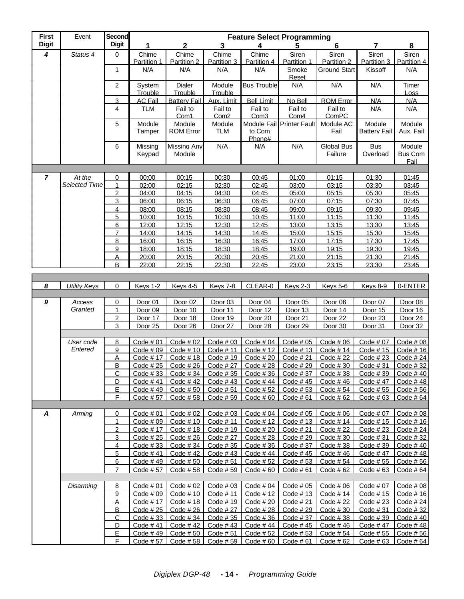| <b>First</b>     | Event                   | <b>Second</b>       |                        |                              |                             |                             | <b>Feature Select Programming</b> |                              |                               |                                  |
|------------------|-------------------------|---------------------|------------------------|------------------------------|-----------------------------|-----------------------------|-----------------------------------|------------------------------|-------------------------------|----------------------------------|
| <b>Digit</b>     |                         | <b>Digit</b>        |                        | 2                            | 3                           | 4                           | 5                                 | 6                            | 7                             | 8                                |
| 4                | Status 4                | $\mathbf 0$         | Chime<br>Partition 1   | Chime<br>Partition 2         | Chime<br>Partition 3        | Chime<br>Partition 4        | Siren<br>Partition 1              | Siren<br>Partition 2         | Siren<br>Partition 3          | Siren<br>Partition 4             |
|                  |                         | $\mathbf{1}$        | N/A                    | N/A                          | N/A                         | N/A                         | Smoke<br>Reset                    | Ground Start                 | Kissoff                       | N/A                              |
|                  |                         | $\overline{2}$      | System<br>Trouble      | Dialer<br>Trouble            | Module<br>Trouble           | <b>Bus Trouble</b>          | N/A                               | N/A                          | N/A                           | Timer<br>Loss                    |
|                  |                         | 3                   | <b>AC Fail</b>         | <b>Battery Fail</b>          | Aux. Limit                  | <b>Bell Limit</b>           | No Bell                           | <b>ROM Error</b>             | N/A                           | N/A                              |
|                  |                         | 4                   | <b>TLM</b>             | Fail to<br>Com1              | Fail to<br>Com <sub>2</sub> | Fail to<br>Com <sub>3</sub> | Fail to<br>Com4                   | Fail to<br>ComPC             | N/A                           | N/A                              |
|                  |                         | 5                   | Module<br>Tamper       | Module<br><b>ROM Error</b>   | Module<br><b>TLM</b>        | to Com<br>Phone#            | Module Fail Printer Fault         | Module AC<br>Fail            | Module<br><b>Battery Fail</b> | Module<br>Aux. Fail              |
|                  |                         | 6                   | Missing<br>Keypad      | <b>Missing Any</b><br>Module | N/A                         | N/A                         | N/A                               | <b>Global Bus</b><br>Failure | <b>Bus</b><br>Overload        | Module<br><b>Bus Com</b><br>Fail |
|                  |                         |                     |                        |                              |                             |                             |                                   |                              |                               |                                  |
| $\overline{7}$   | At the<br>Selected Time | $\mathbf 0$<br>1    | 00:00                  | 00:15                        | 00:30                       | 00:45                       | 01:00                             | 01:15                        | 01:30                         | 01:45<br>03:45                   |
|                  |                         | $\overline{2}$      | 02:00<br>04:00         | 02:15<br>04:15               | 02:30<br>04:30              | 02:45<br>04:45              | 03:00<br>05:00                    | 03:15<br>05:15               | 03:30<br>05:30                | 05:45                            |
|                  |                         | 3                   | 06:00                  | 06:15                        | 06:30                       | 06:45                       | 07:00                             | 07:15                        | 07:30                         | 07:45                            |
|                  |                         | 4                   | 08:00                  | 08:15                        | 08:30                       | 08:45                       | 09:00                             | 09:15                        | 09:30                         | 09:45                            |
|                  |                         | 5                   | 10:00                  | 10:15                        | 10:30                       | 10:45                       | 11:00                             | 11:15                        | 11:30                         | 11:45                            |
|                  |                         | 6                   | 12:00                  | 12:15                        | 12:30                       | 12:45                       | 13:00                             | 13:15                        | 13:30                         | 13:45                            |
|                  |                         | 7                   | 14:00                  | 14:15                        | 14:30                       | 14:45                       | 15:00                             | 15:15                        | 15:30                         | 15:45                            |
|                  |                         | 8                   | 16:00                  | 16:15                        | 16:30                       | 16:45                       | 17:00                             | 17:15                        | 17:30                         | 17:45                            |
|                  |                         | 9<br>Α              | 18:00<br>20:00         | 18:15<br>20:15               | 18:30<br>20:30              | 18:45<br>20:45              | 19:00<br>21:00                    | 19:15<br>21:15               | 19:30<br>21:30                | 19:45<br>21:45                   |
|                  |                         | B                   | 22:00                  | 22:15                        | 22:30                       | 22:45                       | 23:00                             | 23:15                        | 23:30                         | 23:45                            |
|                  |                         |                     |                        |                              |                             |                             |                                   |                              |                               |                                  |
|                  |                         |                     |                        |                              |                             |                             |                                   |                              |                               |                                  |
| $\boldsymbol{8}$ | <b>Utility Keys</b>     | $\mathbf 0$         | Keys 1-2               | Keys 4-5                     | Keys 7-8                    | CLEAR-0                     | Keys 2-3                          | <b>Keys 5-6</b>              | <b>Keys 8-9</b>               | 0-ENTER                          |
| 9                | Access                  | 0                   | Door 01                | Door <sub>02</sub>           | Door <sub>03</sub>          | Door 04                     | Door 05                           | Door 06                      | Door 07                       | Door 08                          |
|                  | Granted                 | $\mathbf{1}$        | Door 09                | Door 10                      | Door 11                     | Door 12                     | Door 13                           | Door 14                      | Door 15                       | Door 16                          |
|                  |                         | $\overline{2}$      | Door 17                | Door 18                      | Door 19                     | Door 20                     | Door 21                           | Door <sub>22</sub>           | Door <sub>23</sub>            | Door 24                          |
|                  |                         | 3                   | Door <sub>25</sub>     | Door 26                      | Door 27                     | Door 28                     | Door 29                           | Door 30                      | Door 31                       | Door 32                          |
|                  |                         |                     |                        |                              |                             |                             |                                   |                              |                               |                                  |
|                  | User code               | 8                   | Code #01               | Code # 02                    | Code #03                    | Code $#04$                  | Code #05                          | Code #06                     | Code #07                      | Code #08                         |
|                  | Entered                 | 9<br>A              | Code $#09$<br>Code #17 | Code $# 10$<br>Code #18      | Code #11<br>Code #19        | Code #12<br>Code $#20$      | Code $# 13$<br>Code $#21$         | Code #14<br>Code #22         | Code $# 15$<br>Code #23       | Code $# 16$<br>Code #24          |
|                  |                         | В                   | Code $#25$             | Code #26                     | Code #27                    | Code #28                    | Code #29                          | Code $#30$                   | Code #31                      | Code $#32$                       |
|                  |                         | <u>С</u>            | Code #33               | Code #34                     | Code #35                    | Code $#36$                  | Code #37                          | Code $#38$                   | Code $#39$                    | Code $#40$                       |
|                  |                         | <u>D</u>            | Code $#41$             | Code #42                     | Code $#43$                  | Code # $44$                 | Code $#45$                        | Code $#46$                   | Code #47                      | Code $#48$                       |
|                  |                         | E,                  | Code #49               | Code $# 50$                  | Code $# 51$                 | Code #52                    | Code $# 53$                       | Code #54                     | Code #55                      | Code $# 56$                      |
|                  |                         | F                   | Code #57               | Code #58                     | Code #59                    | Code #60                    | Code #61                          | Code #62                     | Code $#63$                    | Code $#64$                       |
|                  |                         |                     |                        |                              |                             |                             |                                   |                              |                               |                                  |
| A                | Arming                  | $\overline{0}$<br>1 | Code $#01$<br>Code #09 | Code $#02$<br>Code $# 10$    | Code $#03$<br>Code #11      | Code $#04$<br>Code #12      | Code $#05$<br>Code $# 13$         | Code #06<br>Code #14         | Code # 07<br>Code #15         | Code #08<br>Code $# 16$          |
|                  |                         | $\overline{2}$      | Code #17               | Code #18                     | Code #19                    | Code #20                    | Code $#21$                        | Code #22                     | Code #23                      | Code $#24$                       |
|                  |                         | $\overline{3}$      | Code #25               | Code $#26$                   | Code #27                    | Code $#28$                  | Code $#29$                        | Code $#30$                   | Code #31                      | Code $#32$                       |
|                  |                         | $\overline{4}$      | Code #33               | Code $#34$                   | Code #35                    | Code #36                    | Code # 37                         | Code #38                     | Code #39                      | Code $#40$                       |
|                  |                         | $5\overline{)}$     | Code #41               | Code $#42$                   | Code $#43$                  | Code #44                    | Code #45                          | Code #46                     | Code #47                      | Code $#48$                       |
|                  |                         | 6                   | Code #49               | Code $# 50$                  | Code $#51$                  | Code #52                    | Code #53                          | Code #54                     | Code #55                      | Code $#56$                       |
|                  |                         | $\overline{7}$      | Code #57               | Code $# 58$                  | Code $#59$                  | Code $#60$                  | Code $#61$                        | Code #62                     | Code #63                      | Code #64                         |
|                  |                         |                     |                        |                              |                             |                             |                                   |                              |                               |                                  |
|                  | Disarming               | 8                   | Code $#01$             | Code $#02$                   | Code #03                    | Code $#04$                  | Code # 05                         | Code #06                     | Code # 07                     | Code #08                         |
|                  |                         | 9<br>A              | Code #09<br>Code #17   | Code $# 10$<br>Code #18      | Code #11<br>Code #19        | Code #12<br>Code $#20$      | Code #13<br>Code #21              | Code #14<br>Code #22         | Code #15<br>Code #23          | Code $# 16$<br>Code #24          |
|                  |                         | B                   | Code #25               | Code $#26$                   | Code # 27                   | Code $#28$                  | Code $#29$                        | Code $#30$                   | Code #31                      | Code #32                         |
|                  |                         | $\overline{C}$      | Code #33               | Code $#34$                   | Code #35                    | Code #36                    | Code #37                          | Code #38                     | Code $#39$                    | Code $#40$                       |
|                  |                         | <u>D</u>            | Code #41               | Code #42                     | Code #43                    | Code #44                    | Code #45                          | Code #46                     | Code #47                      | Code $#48$                       |
|                  |                         | E                   | Code #49               | Code #50                     | Code #51                    | Code #52                    | Code #53                          | Code #54                     | Code #55                      | Code $# 56$                      |
|                  |                         | F                   | Code #57               | Code #58                     | Code #59                    | Code $#60$                  | Code #61                          | Code #62                     | Code #63                      | Code #64                         |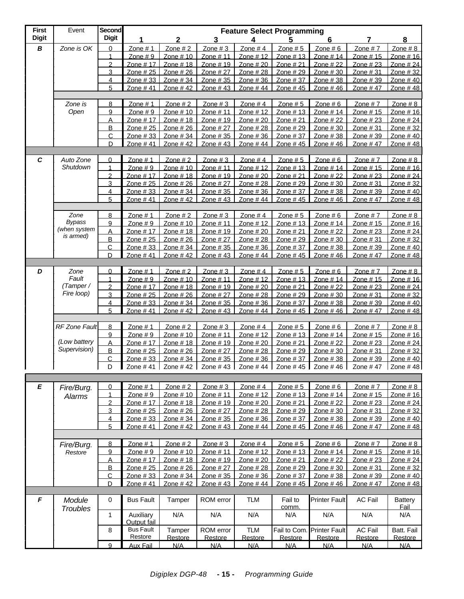| <b>First</b>     | Event                  | <b>Second</b>       |                        |                          |                       |                        | <b>Feature Select Programming</b> |                        |                                                                                               |                          |
|------------------|------------------------|---------------------|------------------------|--------------------------|-----------------------|------------------------|-----------------------------------|------------------------|-----------------------------------------------------------------------------------------------|--------------------------|
| <b>Digit</b>     |                        | <b>Digit</b>        | 1                      | 2                        | 3                     | 4                      | 5                                 | 6                      | 7                                                                                             | 8                        |
| $\boldsymbol{B}$ | Zone is OK             | 0                   | Zone $# 1$             | Zone $# 2$               | Zone #3               | Zone $# 4$             | Zone $# 5$                        | Zone $# 6$             | Zone $#7$                                                                                     | Zone $# 8$               |
|                  |                        |                     | Zone $# 9$             | Zone # 10                | Zone # 11             | Zone #12               | Zone #13                          | Zone # 14              | Zone #15                                                                                      | Zone # 16                |
|                  |                        | $\overline{2}$      | Zone # 17              | Zone $# 18$              | Zone $# 19$           | Zone $#20$             | Zone $#21$                        | Zone $#22$             | Zone $#23$                                                                                    | Zone #24                 |
|                  |                        | 3                   | Zone # 25              | Zone $#26$               | Zone $#27$            | Zone $#28$             | Zone # 29                         | Zone $#30$             | Zone #31                                                                                      | Zone $#32$               |
|                  |                        | 4<br>5              | Zone #33<br>Zone #41   | Zone #34<br>Zone #42     | Zone #35<br>Zone #43  | Zone #36<br>Zone #44   | Zone #37<br>Zone #45              | Zone $#38$<br>Zone #46 | Zone #39<br>Zone #47                                                                          | Zone $#40$<br>Zone #48   |
|                  |                        |                     |                        |                          |                       |                        |                                   |                        |                                                                                               |                          |
|                  | Zone is                | 8                   | Zone $# 1$             | Zone $#2$                | Zone # 3              | Zone $#4$              | Zone # 5                          | Zone $# 6$             | Zone $#7$                                                                                     | Zone $#8$                |
|                  | Open                   | 9                   | Zone $# 9$             | Zone $# 10$              | Zone #11              | Zone $# 12$            | Zone $# 13$                       | Zone $# 14$            | Zone $# 15$                                                                                   | Zone # 16                |
|                  |                        | Α                   | Zone # 17              | Zone # 18                | Zone #19              | Zone # 20              | Zone # 21                         | Zone # 22              | Zone #23                                                                                      | Zone # 24                |
|                  |                        | B                   | Zone #25               | Zone $#26$               | Zone # 27             | Zone #28               | Zone # 29                         | Zone $#30$             | Zone $#31$                                                                                    | Zone #32                 |
|                  |                        | $\mathsf{C}$        | Zone #33               | Zone $#34$               | Zone #35              | Zone $#36$             | Zone #37                          | Zone $#38$             | Zone #39                                                                                      | Zone #40                 |
|                  |                        | D                   | Zone #41               | Zone #42                 | Zone #43              | Zone #44               | Zone #45                          | Zone #46               | Zone $#47$                                                                                    | Zone #48                 |
|                  |                        |                     |                        |                          |                       |                        |                                   |                        |                                                                                               |                          |
| C                | Auto Zone              | $\Omega$            | Zone $# 1$             | Zone $#2$                | Zone $#3$             | Zone $#4$              | Zone $# 5$                        | Zone $# 6$             | Zone $#7$                                                                                     | Zone $#8$                |
|                  | Shutdown               | 1                   | Zone $# 9$             | Zone # 10                | Zone # 11             | Zone # 12              | Zone #13                          | Zone # 14              | Zone #15                                                                                      | Zone # 16                |
|                  |                        | $\overline{2}$      | Zone # 17              | Zone #18                 | Zone #19              | Zone $#20$             | Zone # 21                         | Zone # 22              | Zone #23                                                                                      | Zone #24                 |
|                  |                        | 3                   | Zone # 25              | Zone # 26                | Zone # 27             | Zone #28               | Zone #29                          | Zone #30               | Zone #31                                                                                      | Zone #32                 |
|                  |                        | $\overline{4}$<br>5 | Zone $#33$<br>Zone #41 | Zone $#34$<br>Zone $#42$ | Zone #35<br>Zone #43  | Zone $#36$<br>Zone #44 | Zone #37<br>Zone #45              | Zone #38<br>Zone $#46$ | Zone #39<br>Zone $#47$                                                                        | Zone $#40$<br>Zone $#48$ |
|                  |                        |                     |                        |                          |                       |                        |                                   |                        |                                                                                               |                          |
|                  | Zone                   | 8                   | Zone $# 1$             | Zone $# 2$               | Zone $#3$             | Zone $#4$              | Zone $# 5$                        | Zone $# 6$             | Zone $#7$                                                                                     | $\frac{Zone \# 8}{2}$    |
|                  | <b>Bypass</b>          | 9                   | $Zone \# 9$            | Zone #10                 | Zone # 11             | Zone #12               | Zone $# 13$                       | Zone # 14              | Zone #15                                                                                      | Zone # 16                |
|                  | (when system           | A                   | Zone # 17              | Zone $#18$               | Zone $# 19$           | Zone $#20$             | Zone $#21$                        | Zone $#22$             | Zone $#23$                                                                                    | Zone #24                 |
|                  | is armed)              | B                   | Zone $#25$             | Zone $#26$               | Zone # 27             | Zone $#28$             | Zone $#29$                        | Zone $#30$             | Zone $#31$                                                                                    | Zone $#32$               |
|                  |                        | С                   | Zone #33               | Zone $#34$               | Zone #35              | Zone $#36$             | Zone #37                          | Zone $#38$             | Zone #39                                                                                      | Zone #40                 |
|                  |                        | D                   | Zone #41               | Zone #42                 | Zone #43              | Zone #44               | Zone #45                          | Zone #46               | Zone #47                                                                                      | Zone #48                 |
|                  |                        |                     |                        |                          |                       |                        |                                   |                        |                                                                                               |                          |
| D                | Zone                   | $\overline{0}$      | Zone $# 1$             | Zone $#2$                | Zone $#3$             | Zone $#4$              | Zone $# 5$                        | Zone $# 6$             | Zone $#7$                                                                                     | Zone $#8$                |
|                  | Fault                  | 1                   | Zone $# 9$             | Zone # 10                | Zone # 11             | Zone #12               | Zone #13                          | Zone # 14              | Zone #15                                                                                      | Zone # 16                |
|                  | (Tamper/<br>Fire loop) | $\overline{2}$<br>3 | Zone # 17              | Zone #18                 | Zone # 19             | Zone # 20              | Zone # 21                         | Zone $#22$             | Zone $#23$                                                                                    | Zone $#24$               |
|                  |                        | 4                   | Zone # 25<br>Zone #33  | Zone # 26<br>Zone $#34$  | Zone # 27<br>Zone #35 | Zone #28<br>Zone $#36$ | Zone #29<br>Zone $#37$            | Zone #30<br>Zone $#38$ | Zone #31<br>Zone #39                                                                          | Zone #32<br>Zone $#40$   |
|                  |                        | 5                   | Zone #41               | Zone #42                 | Zone #43              | Zone #44               | Zone #45                          | Zone #46               | Zone #47                                                                                      | Zone #48                 |
|                  |                        |                     |                        |                          |                       |                        |                                   |                        |                                                                                               |                          |
|                  | <b>RF Zone Fault</b>   | $\overline{8}$      | Zone # 1               | Zone # 2                 | Zone $#3$             | Zone $#4$              | Zone $# 5$                        | Zone # 6               | Zone $#7$                                                                                     | Zone # 8                 |
|                  |                        | 9                   | $Zone \# 9$            | Zone # 10                | Zone # 11             | Zone #12               | Zone #13                          | Zone #14               | Zone #15                                                                                      | Zone # 16                |
|                  | (Low battery           | Α                   | Zone # 17              | Zone #18                 | Zone # 19             | Zone # 20              | Zone # 21                         | Zone # 22              | Zone $#23$                                                                                    | Zone # 24                |
|                  | Supervision)           | $\overline{B}$      | Zone # 25              | Zone # 26                | Zone # 27             | Zone #28               | Zone # 29                         | Zone #30               | Zone #31                                                                                      | Zone #32                 |
|                  |                        | $\mathsf{C}$        | Zone $#33$             | Zone $#34$               | Zone $#35$            | Zone $#36$             | Zone $#37$                        | Zone $#38$             | Zone $#39$                                                                                    | Zone $#40$               |
|                  |                        | D                   |                        |                          |                       |                        |                                   |                        | Zone # 41   Zone # 42   Zone # 43   Zone # 44   Zone # 45   Zone # 46   Zone # 47   Zone # 48 |                          |
|                  |                        |                     |                        |                          |                       |                        |                                   |                        |                                                                                               |                          |
| E                | Fire/Burg.             | $\mathbf 0$         | Zone $# 1$             | Zone $#2$                | Zone $#3$             | Zone $#4$              | Zone $# 5$                        | Zone $# 6$             | Zone $#7$                                                                                     | Zone $#8$                |
|                  | Alarms                 | $\mathbf{1}$        | Zone $# 9$             | Zone # 10                | Zone # 11             | Zone # 12              | Zone $# 13$                       | Zone # 14              | Zone #15                                                                                      | Zone # 16                |
|                  |                        | $\overline{2}$      | Zone # 17              | Zone #18                 | Zone # 19             | Zone # 20              | Zone # 21                         | Zone #22               | Zone #23                                                                                      | Zone # 24                |
|                  |                        | 3                   | Zone # 25              | Zone # 26                | Zone # 27             | Zone # 28              | Zone # 29                         | Zone #30               | Zone #31                                                                                      | Zone #32                 |
|                  |                        | 4                   | Zone #33               | Zone #34                 | Zone #35              | Zone #36               | Zone #37                          | Zone #38               | Zone #39                                                                                      | Zone #40                 |
|                  |                        | 5                   | Zone #41               | Zone #42                 | Zone #43              | Zone #44               | Zone #45                          | Zone #46               | Zone #47                                                                                      | Zone #48                 |
|                  |                        |                     |                        |                          |                       |                        |                                   |                        |                                                                                               |                          |
|                  | Fire/Burg.             | 8                   | Zone $# 1$             | Zone $# 2$               | Zone $#3$             | Zone $#4$              | Zone $# 5$                        | Zone $# 6$             | Zone #7                                                                                       | Zone $#8$                |
|                  | Restore                | 9                   | Zone $# 9$             | Zone # 10                | Zone # 11             | Zone # 12              | Zone # 13                         | Zone # 14              | Zone #15                                                                                      | Zone # 16                |
|                  |                        | Α                   | Zone # 17              | Zone #18                 | Zone # 19             | Zone # 20              | Zone # 21                         | Zone # 22              | Zone # 23                                                                                     | Zone # 24                |
|                  |                        | $\overline{B}$      | Zone # 25              | Zone # 26                | Zone # 27             | Zone # 28              | Zone # 29                         | Zone #30               | Zone #31                                                                                      | Zone #32                 |
|                  |                        | $\overline{C}$<br>D | Zone #33<br>Zone #41   | Zone #34<br>Zone #42     | Zone #35<br>Zone #43  | Zone #36               | Zone #37<br>Zone #45              | Zone #38               | Zone #39<br>Zone #47                                                                          | Zone $#40$               |
|                  |                        |                     |                        |                          |                       | Zone #44               |                                   | Zone #46               |                                                                                               | Zone #48                 |
| $\pmb{\digamma}$ | Module                 | 0                   | <b>Bus Fault</b>       | Tamper                   | ROM error             | <b>TLM</b>             | Fail to                           | <b>Printer Fault</b>   | <b>AC Fail</b>                                                                                | <b>Battery</b>           |
|                  | Troubles               |                     |                        |                          |                       |                        | comm.                             |                        |                                                                                               | Fail                     |
|                  |                        | 1                   | Auxiliary              | N/A                      | N/A                   | N/A                    | N/A                               | N/A                    | N/A                                                                                           | N/A                      |
|                  |                        |                     | Output fail            |                          |                       |                        |                                   |                        |                                                                                               |                          |
|                  |                        | 8                   | <b>Bus Fault</b>       | Tamper                   | ROM error             | <b>TLM</b>             | Fail to Com.                      | <b>Printer Fault</b>   | <b>AC Fail</b>                                                                                | Batt. Fail               |
|                  |                        |                     | Restore                | Restore                  | Restore               | Restore                | Restore                           | Restore                | Restore                                                                                       | Restore                  |
|                  |                        | 9                   | Aux Fail               | N/A                      | N/A                   | N/A                    | N/A                               | N/A                    | N/A                                                                                           | N/A                      |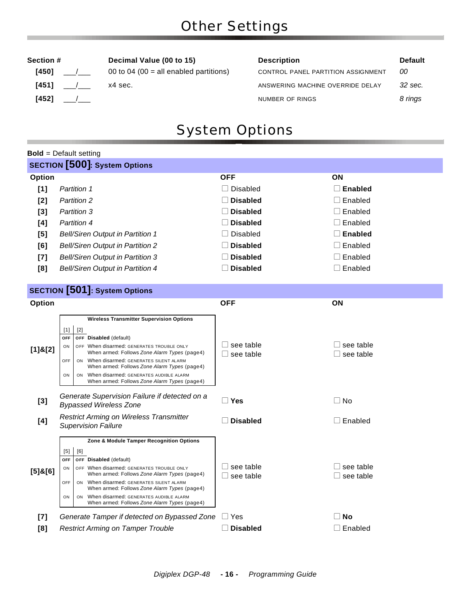| 4501 / | 00 to 04 (00 = all enable |
|--------|---------------------------|
| 4511 / | x4 sec.                   |
| 4521 / |                           |
|        |                           |

### **Section # Decimal Value (00 to 15) Description Default Default [450]** \_\_\_/\_\_\_ 00 to 04 (00 = all enabled partitions) CONTROL PANEL PARTITION ASSIGNMENT *00* [451]  $\frac{1}{2}$  x4 sec.  $\frac{1}{2}$  x4 sec. **[452]** \_\_\_/\_\_\_ NUMBER OF RINGS *8 rings*

# System Options

|               | <b>Bold</b> = Default setting                                                                                                                                                                                                                                                                                                                                                                               |                                         |                                 |
|---------------|-------------------------------------------------------------------------------------------------------------------------------------------------------------------------------------------------------------------------------------------------------------------------------------------------------------------------------------------------------------------------------------------------------------|-----------------------------------------|---------------------------------|
|               | <b>SECTION</b> [500]: System Options                                                                                                                                                                                                                                                                                                                                                                        |                                         |                                 |
| Option        |                                                                                                                                                                                                                                                                                                                                                                                                             | <b>OFF</b>                              | ON                              |
| [1]           | <b>Partition 1</b>                                                                                                                                                                                                                                                                                                                                                                                          | $\Box$ Disabled                         | $\square$ Enabled               |
| [2]           | <b>Partition 2</b>                                                                                                                                                                                                                                                                                                                                                                                          | $\Box$ Disabled                         | $\Box$ Enabled                  |
| $[3]$         | <b>Partition 3</b>                                                                                                                                                                                                                                                                                                                                                                                          | $\Box$ Disabled                         | $\Box$ Enabled                  |
| [4]           | <b>Partition 4</b>                                                                                                                                                                                                                                                                                                                                                                                          | $\Box$ Disabled                         | $\Box$ Enabled                  |
| [5]           | <b>Bell/Siren Output in Partition 1</b>                                                                                                                                                                                                                                                                                                                                                                     | $\Box$ Disabled                         | $\Box$ Enabled                  |
| [6]           | <b>Bell/Siren Output in Partition 2</b>                                                                                                                                                                                                                                                                                                                                                                     | <b>Disabled</b>                         | $\square$ Enabled               |
| [7]           | <b>Bell/Siren Output in Partition 3</b>                                                                                                                                                                                                                                                                                                                                                                     | $\Box$ Disabled                         | $\Box$ Enabled                  |
| [8]           | <b>Bell/Siren Output in Partition 4</b>                                                                                                                                                                                                                                                                                                                                                                     | $\Box$ Disabled                         | $\Box$ Enabled                  |
|               |                                                                                                                                                                                                                                                                                                                                                                                                             |                                         |                                 |
|               | <b>SECTION</b> [501]: System Options                                                                                                                                                                                                                                                                                                                                                                        |                                         |                                 |
| Option        |                                                                                                                                                                                                                                                                                                                                                                                                             | <b>OFF</b>                              | ΟN                              |
| $[1]$ & $[2]$ | <b>Wireless Transmitter Supervision Options</b><br>$[1]$<br>$[2]$<br>OFF Disabled (default)<br>OFF<br>OFF When disarmed: GENERATES TROUBLE ONLY<br>ON<br>When armed: Follows Zone Alarm Types (page4)<br>OFF<br>ON When disarmed: GENERATES SILENT ALARM<br>When armed: Follows Zone Alarm Types (page4)<br>ON When disarmed: GENERATES AUDIBLE ALARM<br>ON<br>When armed: Follows Zone Alarm Types (page4) | $\Box$ see table<br>$\Box$ see table    | see table<br>see table          |
| [3]           | Generate Supervision Failure if detected on a<br><b>Bypassed Wireless Zone</b>                                                                                                                                                                                                                                                                                                                              | $\square$ Yes                           | $\Box$ No                       |
| [4]           | <b>Restrict Arming on Wireless Transmitter</b><br><b>Supervision Failure</b>                                                                                                                                                                                                                                                                                                                                | <b>Disabled</b>                         | $\square$ Enabled               |
| $[5]$ & $[6]$ | Zone & Module Tamper Recognition Options<br>$[5]$<br>[6]<br>OFF Disabled (default)<br><b>OFF</b><br>OFF When disarmed: GENERATES TROUBLE ONLY<br>ON<br>When armed: Follows Zone Alarm Types (page4)<br>ON When disarmed: GENERATES SILENT ALARM<br>OFF<br>When armed: Follows Zone Alarm Types (page4)<br>ON When disarmed: GENERATES AUDIBLE ALARM<br>ON<br>When armed: Follows Zone Alarm Types (page4)   | $\Box$ see table<br>$\square$ see table | ⊥ see table<br>$\Box$ see table |
| [7]           | Generate Tamper if detected on Bypassed Zone                                                                                                                                                                                                                                                                                                                                                                | $\Box$ Yes                              | ∃ No                            |
| [8]           | <b>Restrict Arming on Tamper Trouble</b>                                                                                                                                                                                                                                                                                                                                                                    | $\Box$ Disabled                         | $\Box$ Enabled                  |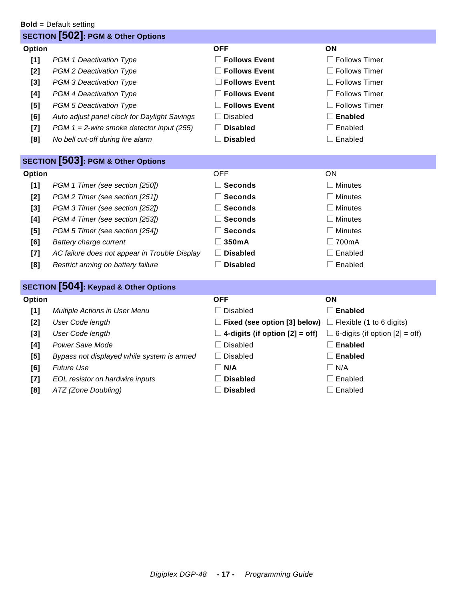|        | <b>Bold</b> = Default setting                    |                                                                     |                                       |
|--------|--------------------------------------------------|---------------------------------------------------------------------|---------------------------------------|
|        | <b>SECTION [502]: PGM &amp; Other Options</b>    |                                                                     |                                       |
| Option |                                                  | <b>OFF</b>                                                          | ON                                    |
| [1]    | PGM 1 Deactivation Type                          | <b>Follows Event</b>                                                | $\Box$ Follows Timer                  |
| [2]    | PGM 2 Deactivation Type                          | <b>Follows Event</b>                                                | $\Box$ Follows Timer                  |
| [3]    | PGM 3 Deactivation Type                          | <b>Follows Event</b>                                                | $\Box$ Follows Timer                  |
| [4]    | PGM 4 Deactivation Type                          | <b>Follows Event</b>                                                | $\Box$ Follows Timer                  |
| [5]    | PGM 5 Deactivation Type                          | $\Box$ Follows Event                                                | $\square$ Follows Timer               |
| [6]    | Auto adjust panel clock for Daylight Savings     | $\Box$ Disabled                                                     | $\square$ Enabled                     |
| $[7]$  | PGM $1 = 2$ -wire smoke detector input (255)     | <b>Disabled</b>                                                     | $\square$ Enabled                     |
| [8]    | No bell cut-off during fire alarm                | $\Box$ Disabled                                                     | $\Box$ Enabled                        |
|        |                                                  |                                                                     |                                       |
|        | <b>SECTION [503]: PGM &amp; Other Options</b>    |                                                                     |                                       |
| Option |                                                  | <b>OFF</b>                                                          | ON                                    |
| [1]    | PGM 1 Timer (see section [250])                  | $\Box$ Seconds                                                      | $\Box$ Minutes                        |
| [2]    | PGM 2 Timer (see section [251])                  | $\square$ Seconds                                                   | $\Box$ Minutes                        |
| [3]    | PGM 3 Timer (see section [252])                  | $\Box$ Seconds                                                      | $\Box$ Minutes                        |
| [4]    | PGM 4 Timer (see section [253])                  | $\Box$ Seconds                                                      | $\Box$ Minutes                        |
| [5]    | PGM 5 Timer (see section [254])                  | <b>Seconds</b>                                                      | $\Box$ Minutes                        |
| [6]    | Battery charge current                           | 350mA                                                               | $\Box$ 700mA                          |
| $[7]$  | AC failure does not appear in Trouble Display    | $\Box$ Disabled                                                     | $\square$ Enabled                     |
| [8]    | Restrict arming on battery failure               | $\Box$ Disabled                                                     | $\Box$ Enabled                        |
|        | <b>SECTION [504]: Keypad &amp; Other Options</b> |                                                                     |                                       |
| Option |                                                  | <b>OFF</b>                                                          | ON                                    |
| [1]    | Multiple Actions in User Menu                    | $\Box$ Disabled                                                     | $\square$ Enabled                     |
| $[2]$  | <b>User Code length</b>                          | $\Box$ Fixed (see option [3] below) $\Box$ Flexible (1 to 6 digits) |                                       |
| [3]    | <b>User Code length</b>                          | $\Box$ 4-digits (if option [2] = off)                               | $\Box$ 6-digits (if option [2] = off) |
| [4]    | Power Save Mode                                  | $\Box$ Disabled                                                     | $\square$ Enabled                     |
| [5]    | Bypass not displayed while system is armed       | $\Box$ Disabled                                                     | $\Box$ Enabled                        |
| [6]    | <b>Future Use</b>                                | $\Box$ N/A                                                          | $\Box$ N/A                            |
| $[7]$  | EOL resistor on hardwire inputs                  | <b>Disabled</b>                                                     | $\Box$ Enabled                        |

**[8]** *ATZ (Zone Doubling)* and **Disabled later in Enabled left Enabled in Enabled**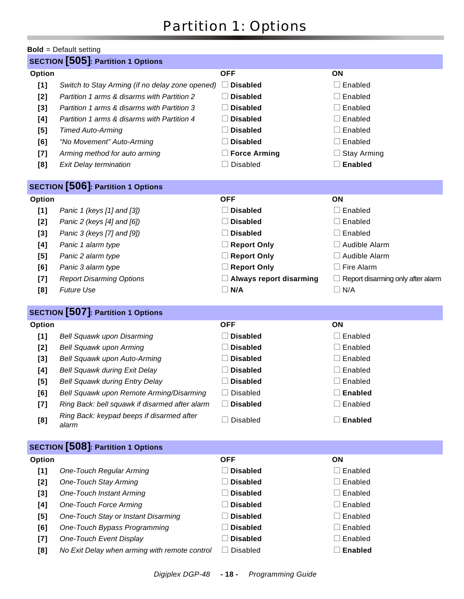# Partition 1: Options

### **Bold** = Default setting **SECTION [505]: Partition 1 Options Option OFF ON [1]** Switch to Stay Arming (if no delay zone opened)  $\Box$  **Disabled**  $\Box$  Enabled **[2]** *Partition 1 arms & disarms with Partition 2*  $\Box$  **Disabled**  $\Box$  Enabled **[3]** *Partition 1 arms & disarms with Partition 3*  $\Box$  **Disabled**  $\Box$  Enabled **[4]** *Partition 1 arms & disarms with Partition 4*  $\Box$  **Disabled**  $\Box$  Enabled **[5]** *Timed Auto-Arming* **later in Equation 2. <b>Disabled later in Equation**  $\Box$  Enabled **[6]** *"No Movement" Auto-Arming* **Disabled Disabled Disabled Denabled Denabled [7]** *Arming method for auto arming* **lack in Example 2.5 <b>Force Arming lack 3.5 and 5.6 and 5.6 and 5.6 and 5.6 and 5.6 and 5.6 and 5.7 and 5.7 and 5.7 and 5.7 and 5.7 and 5.7 and 5.7 and 5.7 and 5.7 and 5.7 and 5.7 an [8]** *Exit Delay termination* **later in Enabled later in Enabled later in Enabled SECTION [506]: Partition 1 Options Option OFF ON [1]** *Panic 1 (keys [1] and [3])* **Disabled Disabled Denabled later**  $\Box$  Enabled **[2]** *Panic 2 (keys [4] and [6])* **Disabled Disabled Denabled later [3]** *Panic 3 (keys [7] and [9])*  $\Box$  **Disabled**  $\Box$  Enabled **[4]** *Panic 1 alarm type* **lack in the set of** *Report Only* **<b>lack and** *Report Only*  $\Box$  Audible Alarm **[5]** *Panic 2 alarm type* **lack in the second conduct only in the C Report Only left**  $\Box$  Audible Alarm **[6]** *Panic 3 alarm type l* **<b>Report Only l Report Only l** Fire Alarm **[7]** *Report Disarming Options* **lack on the CALWAYS report disarming lack Report disarming only after alarm [8]** *Future Use*  $\Box$  **N/A**  $\Box$  **N/A**  $\Box$  **N/A SECTION [507]: Partition 1 Options Option OFF ON [1]** *Bell Squawk upon Disarming*  $\Box$  **Disabled**  $\Box$  Enabled **[2]** *Bell Squawk upon Arming* **later in Enabled later in Enabled later in Enabled later in Enabled [3]** *Bell Squawk upon Auto-Arming* **Disabled Disabled Disabled later D** Enabled **[4]** *Bell Squawk during Exit Delay* **in Consider a Disabled later and Enabled later a Enabled [5]** *Bell Squawk during Entry Delay* **Disabled Disabled Disabled Disabled Disabled Disabled [6]** *Bell Squawk upon Remote Arming/Disarming*  $\Box$  Disabled  $\Box$  **Enabled [7]** *Ring Back: bell squawk if disarmed after alarm*  $\Box$  **Disabled**  $\Box$  Enabled **[8]** *Ring Back: keypad beeps if disarmed after*  **alarm** alarm in Disabled alarm and Disabled alarm alarm alarm in Disabled alarm alarm alarm alarm alarm alarm ala **SECTION [508]: Partition 1 Options Option OFF ON [1]** One-Touch Regular Arming **later and Disabled later and Enabled later and Enabled [2]** One-Touch Stay Arming **later and Enabled later and Enabled later and Enabled [3]** One-Touch Instant Arming **later and Enabled later and Enabled later and Enabled [4]** One-Touch Force Arming **latter and Disabled latter and Enabled latter and Enabled [5]** One-Touch Stay or Instant Disarming **Disabled Disabled Disabled Disabled Disabled l** Enabled **[6]** One-Touch Bypass Programming **Disabled Disabled Disabled Disabled Disabled [7]** One-Touch Event Display **Disabled Disabled later and Enabled later and Enabled [8]** No Exit Delay when arming with remote control  $\Box$  Disabled  $\Box$  **Enabled**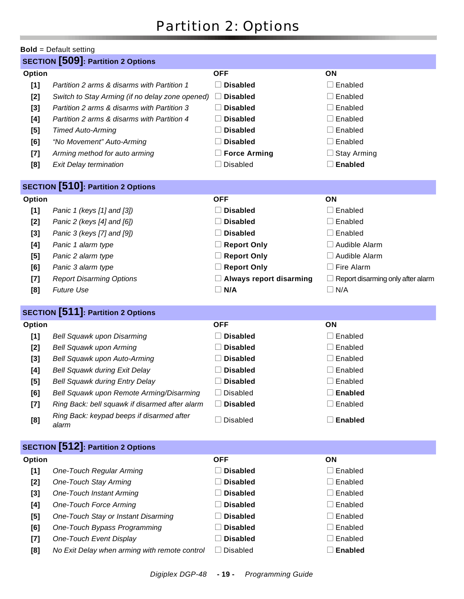# Partition 2: Options

|        | <b>Bold</b> = Default setting                      |                                |                                          |
|--------|----------------------------------------------------|--------------------------------|------------------------------------------|
|        | <b>SECTION</b> [509]: Partition 2 Options          |                                |                                          |
| Option |                                                    | <b>OFF</b>                     | ON                                       |
| [1]    | Partition 2 arms & disarms with Partition 1        | $\Box$ Disabled                | $\Box$ Enabled                           |
| [2]    | Switch to Stay Arming (if no delay zone opened)    | <b>Disabled</b><br>$\perp$     | $\Box$ Enabled                           |
| [3]    | Partition 2 arms & disarms with Partition 3        | <b>Disabled</b>                | $\Box$ Enabled                           |
| [4]    | Partition 2 arms & disarms with Partition 4        | <b>Disabled</b>                | $\Box$ Enabled                           |
| $[5]$  | <b>Timed Auto-Arming</b>                           | <b>Disabled</b>                | $\Box$ Enabled                           |
| [6]    | "No Movement" Auto-Arming                          | <b>Disabled</b>                | $\Box$ Enabled                           |
| $[7]$  | Arming method for auto arming                      | □ Force Arming                 | $\Box$ Stay Arming                       |
| [8]    | <b>Exit Delay termination</b>                      | $\Box$ Disabled                | $\Box$ Enabled                           |
|        | <b>SECTION</b> [510]: Partition 2 Options          |                                |                                          |
| Option |                                                    | <b>OFF</b>                     | ON                                       |
| [1]    | Panic 1 (keys [1] and [3])                         | $\Box$<br><b>Disabled</b>      | $\Box$ Enabled                           |
| [2]    | Panic 2 (keys [4] and [6])                         | <b>Disabled</b><br>$\Box$      | $\Box$ Enabled                           |
| [3]    | Panic 3 (keys [7] and [9])                         | <b>Disabled</b><br>$\Box$      | $\Box$ Enabled                           |
| [4]    | Panic 1 alarm type                                 | $\Box$ Report Only             | $\Box$ Audible Alarm                     |
| $[5]$  | Panic 2 alarm type                                 | Report Only                    | □ Audible Alarm                          |
| [6]    | Panic 3 alarm type                                 | <b>Report Only</b><br>⊔        | $\Box$ Fire Alarm                        |
| $[7]$  | <b>Report Disarming Options</b>                    | $\Box$ Always report disarming | $\Box$ Report disarming only after alarm |
| [8]    | <b>Future Use</b>                                  | N/A<br>$\Box$                  | $\Box$ N/A                               |
|        | <b>SECTION</b> [511]: Partition 2 Options          |                                |                                          |
| Option |                                                    | <b>OFF</b>                     | ON                                       |
| [1]    | Bell Squawk upon Disarming                         | $\Box$ Disabled                | $\Box$ Enabled                           |
| [2]    | <b>Bell Squawk upon Arming</b>                     | $\Box$ Disabled                | $\Box$ Enabled                           |
| $[3]$  | Bell Squawk upon Auto-Arming                       | $\Box$ Disabled                | $\Box$ Enabled                           |
| [4]    | <b>Bell Squawk during Exit Delay</b>               | $\Box$ Disabled                | $\Box$ Enabled                           |
| $[5]$  | <b>Bell Squawk during Entry Delay</b>              | $\Box$ Disabled                | $\Box$ Enabled                           |
| [6]    | Bell Squawk upon Remote Arming/Disarming           | $\Box$ Disabled                | $\square$ Enabled                        |
| $[7]$  | Ring Back: bell squawk if disarmed after alarm     | $\Box$ Disabled                | $\Box$ Enabled                           |
| [8]    | Ring Back: keypad beeps if disarmed after<br>alarm | $\Box$ Disabled                | $\Box$ Enabled                           |
|        | <b>SECTION</b> [512]: Partition 2 Options          |                                |                                          |
| Option |                                                    | <b>OFF</b>                     | ON                                       |
| [1]    | <b>One-Touch Regular Arming</b>                    | $\Box$ Disabled                | $\Box$ Enabled                           |
| [2]    | <b>One-Touch Stay Arming</b>                       | <b>Disabled</b>                | $\Box$ Enabled                           |
| $[3]$  | <b>One-Touch Instant Arming</b>                    | <b>Disabled</b>                | $\Box$ Enabled                           |
| [4]    | <b>One-Touch Force Arming</b>                      | <b>Disabled</b>                | $\Box$ Enabled                           |
| [5]    | One-Touch Stay or Instant Disarming                | <b>Disabled</b>                | Enabled                                  |
|        |                                                    |                                |                                          |
| [6]    | One-Touch Bypass Programming                       | <b>Disabled</b>                | $\Box$ Enabled                           |
| $[7]$  | One-Touch Event Display                            | <b>Disabled</b>                | Enabled                                  |
| [8]    | No Exit Delay when arming with remote control      | <b>Disabled</b>                | $\square$ Enabled                        |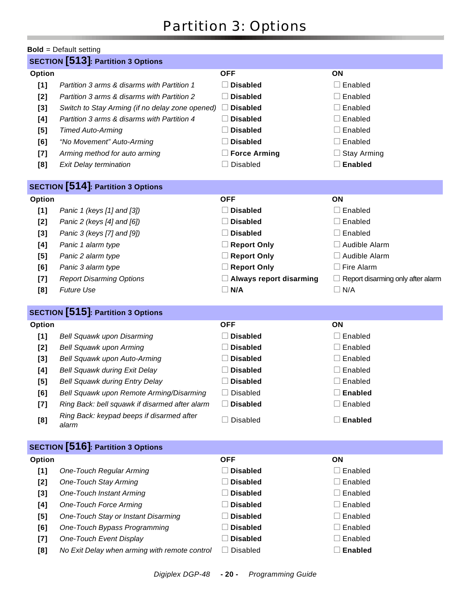# Partition 3: Options

|        | <b>Bold</b> = Default setting                   |                                 |                                   |
|--------|-------------------------------------------------|---------------------------------|-----------------------------------|
|        | <b>SECTION</b> [513]: Partition 3 Options       |                                 |                                   |
| Option |                                                 | <b>OFF</b>                      | ON                                |
| [1]    | Partition 3 arms & disarms with Partition 1     | $\Box$ Disabled                 | $\Box$ Enabled                    |
| [2]    | Partition 3 arms & disarms with Partition 2     | <b>Disabled</b><br>$\mathbb{R}$ | Enabled                           |
| $[3]$  | Switch to Stay Arming (if no delay zone opened) | <b>Disabled</b><br>$\Box$       | Enabled                           |
| [4]    | Partition 3 arms & disarms with Partition 4     | <b>Disabled</b>                 | Enabled                           |
| [5]    | <b>Timed Auto-Arming</b>                        | <b>Disabled</b>                 | $\Box$ Enabled                    |
| [6]    | "No Movement" Auto-Arming                       | <b>Disabled</b><br>$\Box$       | Enabled                           |
| $[7]$  | Arming method for auto arming                   | $\Box$ Force Arming             | <b>Stay Arming</b>                |
| [8]    | <b>Exit Delay termination</b>                   | <b>Disabled</b><br>$\Box$       | <b>Enabled</b>                    |
|        |                                                 |                                 |                                   |
|        | <b>SECTION</b> [514]: Partition 3 Options       |                                 |                                   |
| Option |                                                 | <b>OFF</b>                      | ON                                |
| [1]    | Panic 1 (keys [1] and [3])                      | <b>Disabled</b>                 | Enabled                           |
| [2]    | Panic 2 (keys [4] and [6])                      | <b>Disabled</b>                 | Enabled                           |
| $[3]$  | Panic 3 (keys [7] and [9])                      | <b>Disabled</b><br>$\Box$       | Enabled                           |
| [4]    | Panic 1 alarm type                              | $\Box$ Report Only              | $\Box$ Audible Alarm              |
| [5]    | Panic 2 alarm type                              | Report Only                     | $\Box$ Audible Alarm              |
| [6]    | Panic 3 alarm type                              | Report Only                     | $\Box$ Fire Alarm                 |
| [7]    | <b>Report Disarming Options</b>                 | $\Box$ Always report disarming  | Report disarming only after alarm |
| [8]    | <b>Future Use</b>                               | $\Box$ N/A                      | $\Box$ N/A                        |
|        |                                                 |                                 |                                   |
|        | <b>SECTION</b> [515]: Partition 3 Options       |                                 |                                   |
| Option |                                                 | <b>OFF</b>                      | ON                                |
| [1]    | Bell Squawk upon Disarming                      | <b>Disabled</b>                 | Enabled                           |
| [2]    | <b>Bell Squawk upon Arming</b>                  | <b>Disabled</b>                 | Enabled                           |
|        |                                                 |                                 |                                   |
| $[3]$  | Bell Squawk upon Auto-Arming                    | <b>Disabled</b>                 | Enabled                           |
| [4]    | <b>Bell Squawk during Exit Delay</b>            | <b>Disabled</b>                 | Enabled                           |
| [5]    | <b>Bell Squawk during Entry Delay</b>           | $\Box$ Disabled                 | $\Box$ Enabled                    |
| [6]    | Bell Squawk upon Remote Arming/Disarming        | $\Box$ Disabled                 | <b>Enabled</b>                    |
| [7]    | Ring Back: bell squawk if disarmed after alarm  | <b>Disabled</b><br>$\Box$       | Enabled                           |
| [8]    | Ring Back: keypad beeps if disarmed after       | $\Box$ Disabled                 | <b>Enabled</b>                    |
|        | alarm                                           |                                 |                                   |
|        | <b>SECTION</b> [516]: Partition 3 Options       |                                 |                                   |
| Option |                                                 | <b>OFF</b>                      | ON                                |
| [1]    | <b>One-Touch Regular Arming</b>                 | $\Box$ Disabled                 | $\Box$ Enabled                    |
| $[2]$  | <b>One-Touch Stay Arming</b>                    | <b>Disabled</b>                 | Enabled                           |
| $[3]$  | <b>One-Touch Instant Arming</b>                 | <b>Disabled</b>                 | Enabled                           |
| [4]    | <b>One-Touch Force Arming</b>                   | <b>Disabled</b>                 | Enabled                           |
| [5]    | One-Touch Stay or Instant Disarming             | <b>Disabled</b>                 | Enabled                           |
| [6]    | One-Touch Bypass Programming                    | <b>Disabled</b>                 | Enabled                           |
| [7]    | One-Touch Event Display                         | <b>Disabled</b>                 | Enabled                           |
| [8]    | No Exit Delay when arming with remote control   | Disabled<br>⊔                   | <b>Enabled</b>                    |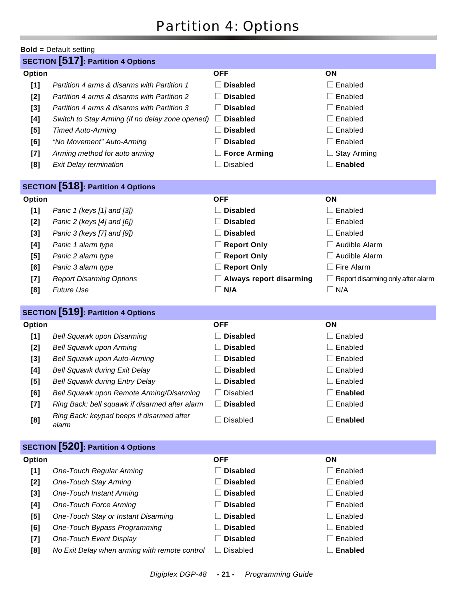# Partition 4: Options

|               | <b>Bold</b> = Default setting                      |                                |                                          |
|---------------|----------------------------------------------------|--------------------------------|------------------------------------------|
|               | <b>SECTION</b> [517]: Partition 4 Options          |                                |                                          |
| Option        |                                                    | <b>OFF</b>                     | ON                                       |
| [1]           | Partition 4 arms & disarms with Partition 1        | $\Box$ Disabled                | $\square$ Enabled                        |
| $[2]$         | Partition 4 arms & disarms with Partition 2        | <b>Disabled</b>                | $\Box$ Enabled                           |
| $[3]$         | Partition 4 arms & disarms with Partition 3        | <b>Disabled</b>                | $\Box$ Enabled                           |
| [4]           | Switch to Stay Arming (if no delay zone opened)    | <b>Disabled</b><br>$\Box$      | $\Box$ Enabled                           |
| $[5]$         | <b>Timed Auto-Arming</b>                           | <b>Disabled</b>                | $\Box$ Enabled                           |
| [6]           | "No Movement" Auto-Arming                          | <b>Disabled</b>                | $\Box$ Enabled                           |
| $[7]$         | Arming method for auto arming                      | $\Box$ Force Arming            | $\Box$ Stay Arming                       |
| [8]           | <b>Exit Delay termination</b>                      | $\Box$ Disabled                | $\Box$ Enabled                           |
|               | <b>SECTION</b> [518]: Partition 4 Options          |                                |                                          |
| Option        |                                                    | <b>OFF</b>                     | ON                                       |
| [1]           | Panic 1 (keys [1] and [3])                         | $\Box$ Disabled                | $\Box$ Enabled                           |
| [2]           | Panic 2 (keys [4] and [6])                         | <b>Disabled</b><br>$\Box$      | $\Box$ Enabled                           |
| $[3]$         | Panic 3 (keys [7] and [9])                         | $\Box$ Disabled                | $\Box$ Enabled                           |
| [4]           | Panic 1 alarm type                                 | $\Box$ Report Only             | $\Box$ Audible Alarm                     |
| [5]           | Panic 2 alarm type                                 | Report Only                    | □ Audible Alarm                          |
| [6]           | Panic 3 alarm type                                 | Report Only                    | $\Box$ Fire Alarm                        |
| $[7]$         | <b>Report Disarming Options</b>                    | $\Box$ Always report disarming | $\Box$ Report disarming only after alarm |
| [8]           | <b>Future Use</b>                                  | $\Box$ N/A                     | $\Box$ N/A                               |
|               | <b>SECTION</b> [519]: Partition 4 Options          |                                |                                          |
| Option        |                                                    | <b>OFF</b>                     | ON                                       |
| [1]           | Bell Squawk upon Disarming                         | $\Box$ Disabled                | $\Box$ Enabled                           |
| [2]           | <b>Bell Squawk upon Arming</b>                     | <b>Disabled</b>                | $\Box$ Enabled                           |
| $[3]$         | Bell Squawk upon Auto-Arming                       | <b>Disabled</b>                | $\Box$ Enabled                           |
| [4]           | <b>Bell Squawk during Exit Delay</b>               | $\Box$ Disabled                | $\Box$ Enabled                           |
| [5]           | <b>Bell Squawk during Entry Delay</b>              | □ Disabled                     | $\Box$ Enabled                           |
| [6]           | Bell Squawk upon Remote Arming/Disarming           | <b>Disabled</b><br>$\Box$      | <b>Enabled</b>                           |
| $[7]$         | Ring Back: bell squawk if disarmed after alarm     | <b>Disabled</b><br>$\Box$      | $\Box$ Enabled                           |
| [8]           | Ring Back: keypad beeps if disarmed after<br>alarm | Disabled<br>$\Box$             | $\Box$ Enabled                           |
|               | <b>SECTION</b> [520]: Partition 4 Options          |                                |                                          |
| <b>Option</b> |                                                    | <b>OFF</b>                     | ON                                       |
| [1]           | <b>One-Touch Regular Arming</b>                    | <b>Disabled</b><br>$\Box$      | $\Box$ Enabled                           |
| [2]           | <b>One-Touch Stay Arming</b>                       | <b>Disabled</b>                | $\Box$ Enabled                           |
| $[3]$         | <b>One-Touch Instant Arming</b>                    | <b>Disabled</b>                | $\Box$ Enabled                           |
| [4]           | <b>One-Touch Force Arming</b>                      | <b>Disabled</b>                | $\Box$ Enabled                           |
| [5]           | One-Touch Stay or Instant Disarming                | <b>Disabled</b>                | Enabled<br>$\mathbf{L}$                  |
| [6]           | One-Touch Bypass Programming                       | <b>Disabled</b>                | $\Box$ Enabled                           |
| $[7]$         | One-Touch Event Display                            | <b>Disabled</b>                | $\Box$ Enabled                           |
| [8]           | No Exit Delay when arming with remote control      | Disabled<br>⊔                  | $\square$ Enabled                        |
|               |                                                    |                                |                                          |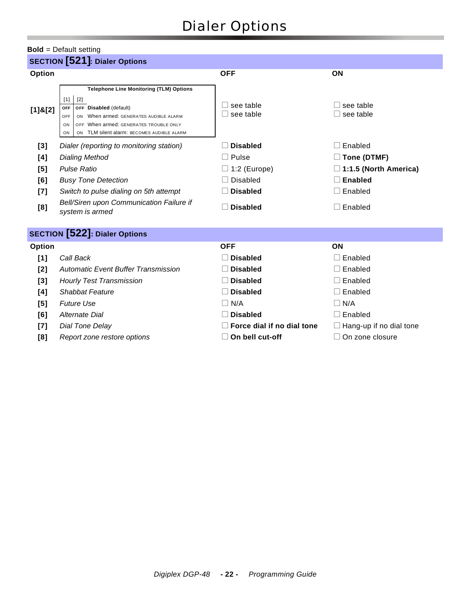# Dialer Options

#### **Bold** = Default setting

|               | <b>SECTION</b> [521]: Dialer Options                                                                                                                                                                                                                                |                            |                                |  |  |
|---------------|---------------------------------------------------------------------------------------------------------------------------------------------------------------------------------------------------------------------------------------------------------------------|----------------------------|--------------------------------|--|--|
| Option        |                                                                                                                                                                                                                                                                     | <b>OFF</b>                 | ON                             |  |  |
| $[1]$ & $[2]$ | <b>Telephone Line Monitoring (TLM) Options</b><br>$[2]$<br>$[1]$<br>OFF Disabled (default)<br><b>OFF</b><br>When armed: GENERATES AUDIBLE ALARM<br>OFF<br>ON<br>OFF When armed: GENERATES TROUBLE ONLY<br>ON<br>TLM silent alarm: BECOMES AUDIBLE ALARM<br>ON<br>ON | see table<br>see table     | see table<br>see table         |  |  |
| [3]           | Dialer (reporting to monitoring station)                                                                                                                                                                                                                            | <b>Disabled</b>            | Enabled<br>$\mathbf{I}$        |  |  |
| [4]           | <b>Dialing Method</b>                                                                                                                                                                                                                                               | Pulse                      | $\square$ Tone (DTMF)          |  |  |
| [5]           | <b>Pulse Ratio</b>                                                                                                                                                                                                                                                  | $\Box$ 1:2 (Europe)        | $\Box$ 1:1.5 (North America)   |  |  |
| [6]           | <b>Busy Tone Detection</b>                                                                                                                                                                                                                                          | <b>Disabled</b>            | <b>Enabled</b>                 |  |  |
| $[7]$         | Switch to pulse dialing on 5th attempt                                                                                                                                                                                                                              | <b>Disabled</b>            | Enabled                        |  |  |
| [8]           | Bell/Siren upon Communication Failure if<br>system is armed                                                                                                                                                                                                         | <b>Disabled</b>            | Enabled                        |  |  |
|               | <b>SECTION</b> [522]: Dialer Options                                                                                                                                                                                                                                |                            |                                |  |  |
| Option        |                                                                                                                                                                                                                                                                     | <b>OFF</b>                 | ON                             |  |  |
| [1]           | Call Back                                                                                                                                                                                                                                                           | <b>Disabled</b>            | Enabled                        |  |  |
| [2]           | <b>Automatic Event Buffer Transmission</b>                                                                                                                                                                                                                          | <b>Disabled</b>            | Enabled                        |  |  |
| $[3]$         | <b>Hourly Test Transmission</b>                                                                                                                                                                                                                                     | <b>Disabled</b>            | Enabled                        |  |  |
| [4]           | <b>Shabbat Feature</b>                                                                                                                                                                                                                                              | <b>Disabled</b>            | Enabled                        |  |  |
| [5]           | <b>Future Use</b>                                                                                                                                                                                                                                                   | N/A<br>$\Box$              | $\Box$ N/A                     |  |  |
| [6]           | Alternate Dial                                                                                                                                                                                                                                                      | <b>Disabled</b>            | $\Box$ Enabled                 |  |  |
| $[7]$         | Dial Tone Delay                                                                                                                                                                                                                                                     | Force dial if no dial tone | $\Box$ Hang-up if no dial tone |  |  |
| [8]           | Report zone restore options                                                                                                                                                                                                                                         | On bell cut-off            | On zone closure                |  |  |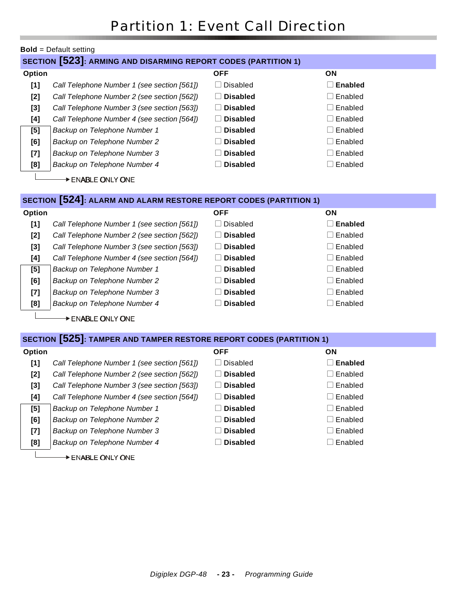|                  | <b>Bold</b> = Default setting                                         |                                  |                          |  |  |
|------------------|-----------------------------------------------------------------------|----------------------------------|--------------------------|--|--|
|                  | <b>SECTION [523]: ARMING AND DISARMING REPORT CODES (PARTITION 1)</b> |                                  |                          |  |  |
| Option           |                                                                       | <b>OFF</b>                       | <b>ON</b>                |  |  |
| [1]              | Call Telephone Number 1 (see section [561])                           | <b>Disabled</b>                  | <b>Enabled</b>           |  |  |
| [2]              | Call Telephone Number 2 (see section [562])                           | <b>Disabled</b>                  | Enabled<br>$\mathcal{L}$ |  |  |
| $[3]$            | Call Telephone Number 3 (see section [563])                           | <b>Disabled</b>                  | Enabled                  |  |  |
| [4]              | Call Telephone Number 4 (see section [564])                           | <b>Disabled</b>                  | Enabled                  |  |  |
| [5]              | Backup on Telephone Number 1                                          | <b>Disabled</b>                  | Enabled                  |  |  |
| [6]              | Backup on Telephone Number 2                                          | <b>Disabled</b>                  | Enabled<br>$\mathcal{L}$ |  |  |
| $[7]$            | Backup on Telephone Number 3                                          | <b>Disabled</b>                  | Enabled                  |  |  |
| [8]              | Backup on Telephone Number 4                                          | <b>Disabled</b>                  | Enabled<br>$\mathcal{L}$ |  |  |
| DENABLE ONLY ONE |                                                                       |                                  |                          |  |  |
|                  |                                                                       |                                  |                          |  |  |
|                  | SECTION [524]: ALARM AND ALARM RESTORE REPORT CODES (PARTITION 1)     |                                  |                          |  |  |
| <b>Outles</b>    |                                                                       | $\mathsf{C}\mathsf{C}\mathsf{C}$ | <b>ONI</b>               |  |  |

| <b>Option</b> |                                             | <b>OFF</b>        | ON                       |
|---------------|---------------------------------------------|-------------------|--------------------------|
| [1]           | Call Telephone Number 1 (see section [561]) | Disabled          | Enabled                  |
| [2]           | Call Telephone Number 2 (see section [562]) | <b>Disabled</b>   | Enabled<br>$\mathcal{L}$ |
| [3]           | Call Telephone Number 3 (see section [563]) | $\sqcap$ Disabled | $\Box$ Enabled           |
| [4]           | Call Telephone Number 4 (see section [564]) | <b>Disabled</b>   | $\Box$ Enabled           |
| [5]           | Backup on Telephone Number 1                | Disabled          | $\Box$ Enabled           |
| [6]           | Backup on Telephone Number 2                | $\sqcap$ Disabled | $\Box$ Enabled           |
| $[7]$         | Backup on Telephone Number 3                | $\Box$ Disabled   | Enabled<br>- 1           |
| [8]           | Backup on Telephone Number 4                | <b>Disabled</b>   | Enabled<br>$\mathcal{L}$ |

ENABLE ONLY ONE

### **SECTION [525]: TAMPER AND TAMPER RESTORE REPORT CODES (PARTITION 1)**

| Option |                                             | <b>OFF</b>                      | ON                  |
|--------|---------------------------------------------|---------------------------------|---------------------|
| [1]    | Call Telephone Number 1 (see section [561]) | <b>Disabled</b><br>$\mathbf{1}$ | $\Box$ Enabled      |
| $[2]$  | Call Telephone Number 2 (see section [562]) | <b>Disabled</b>                 | $\Box$ Enabled      |
| [3]    | Call Telephone Number 3 (see section [563]) | <b>Disabled</b>                 | $\Box$ Enabled      |
| [4]    | Call Telephone Number 4 (see section [564]) | <b>Disabled</b>                 | $\Box$ Enabled      |
| [5]    | Backup on Telephone Number 1                | <b>Disabled</b>                 | $\Box$ Enabled      |
| [6]    | Backup on Telephone Number 2                | <b>Disabled</b>                 | $\Box$ Enabled      |
| $[7]$  | Backup on Telephone Number 3                | <b>Disabled</b>                 | $\Box$ Enabled      |
| [8]    | Backup on Telephone Number 4                | <b>Disabled</b>                 | $\sqsupset$ Enabled |

ENABLE ONLY ONE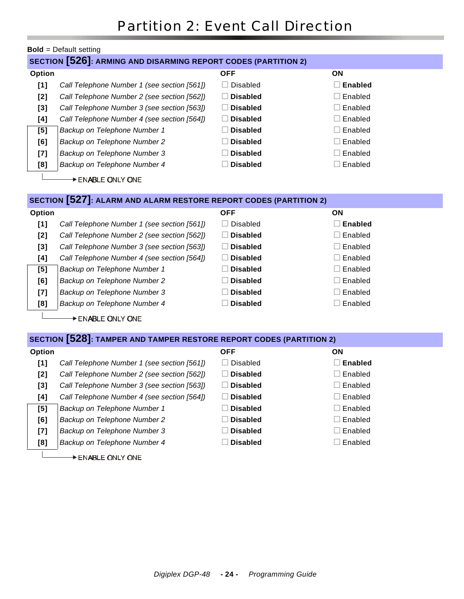|        | <b>Bold</b> = Default setting                                         |                 |                |  |  |
|--------|-----------------------------------------------------------------------|-----------------|----------------|--|--|
|        | <b>SECTION [526]: ARMING AND DISARMING REPORT CODES (PARTITION 2)</b> |                 |                |  |  |
| Option |                                                                       | <b>OFF</b>      | ΟN             |  |  |
| [1]    | Call Telephone Number 1 (see section [561])                           | <b>Disabled</b> | <b>Enabled</b> |  |  |
| [2]    | Call Telephone Number 2 (see section [562])                           | <b>Disabled</b> | Enabled        |  |  |
| $[3]$  | Call Telephone Number 3 (see section [563])                           | <b>Disabled</b> | Enabled        |  |  |
| [4]    | Call Telephone Number 4 (see section [564])                           | <b>Disabled</b> | Enabled        |  |  |
| [5]    | Backup on Telephone Number 1                                          | <b>Disabled</b> | Enabled        |  |  |
| [6]    | Backup on Telephone Number 2                                          | <b>Disabled</b> | Enabled        |  |  |
| $[7]$  | Backup on Telephone Number 3                                          | <b>Disabled</b> | Enabled        |  |  |
| [8]    | Backup on Telephone Number 4                                          | <b>Disabled</b> | Enabled        |  |  |
|        | ENABLE ONLY ONE                                                       |                 |                |  |  |
|        |                                                                       |                 |                |  |  |
|        | SECTION [527]: ALARM AND ALARM RESTORE REPORT CODES (PARTITION 2)     |                 |                |  |  |
| Option |                                                                       | <b>OFF</b>      | ON             |  |  |
| $[1]$  | Call Telephone Number 1 (see section [561])                           | <b>Disabled</b> | <b>Enabled</b> |  |  |
| [2]    | Call Telephone Number 2 (see section [562])                           | <b>Disabled</b> | Enabled        |  |  |
| $[3]$  | Call Telephone Number 3 (see section [563])                           | <b>Disabled</b> | Enabled        |  |  |
| [4]    | Call Telephone Number 4 (see section [564])                           | <b>Disabled</b> | Enabled        |  |  |
| [5]    | Backup on Telephone Number 1                                          | <b>Disabled</b> | Enabled        |  |  |
| [6]    | Backup on Telephone Number 2                                          | <b>Disabled</b> | Enabled        |  |  |

**[7]** *Backup on Telephone Number 3* **Disabled Disabled Disabled Disabled Disabled** 

**[8]** *Backup on Telephone Number 4* **Disabled Disabled Disabled Disabled Disabled** 

BENABLE ONLY ONE

#### **SECTION [528]: TAMPER AND TAMPER RESTORE REPORT CODES (PARTITION 2)**

| Option |                                             | <b>OFF</b>      | ON                  |
|--------|---------------------------------------------|-----------------|---------------------|
| [1]    | Call Telephone Number 1 (see section [561]) | Disabled        | Enabled             |
| [2]    | Call Telephone Number 2 (see section [562]) | $\Box$ Disabled | $\sqsupset$ Enabled |
| [3]    | Call Telephone Number 3 (see section [563]) | $\Box$ Disabled | $\Box$ Enabled      |
| [4]    | Call Telephone Number 4 (see section [564]) | $\Box$ Disabled | $\sqsupset$ Enabled |
| [5]    | Backup on Telephone Number 1                | $\Box$ Disabled | $\sqsupset$ Enabled |
| [6]    | Backup on Telephone Number 2                | $\Box$ Disabled | $\sqsupset$ Enabled |
| $[7]$  | Backup on Telephone Number 3                | $\Box$ Disabled | $\sqsupset$ Enabled |
| [8]    | Backup on Telephone Number 4                | Disabled        | Enabled             |
|        |                                             |                 |                     |

ENABLE ONLY ONE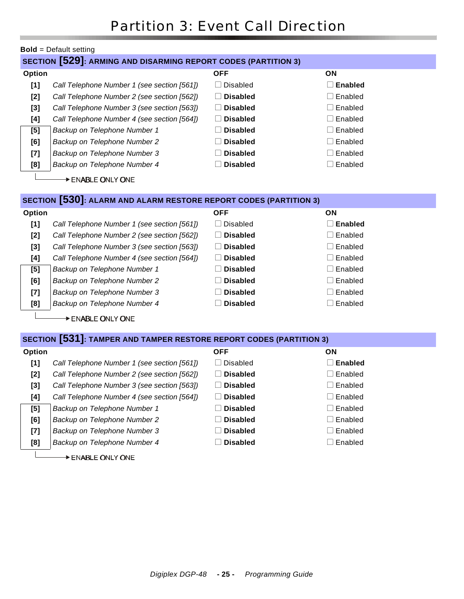|                   | <b>Bold</b> = Default setting                                         |                 |                                     |  |  |
|-------------------|-----------------------------------------------------------------------|-----------------|-------------------------------------|--|--|
|                   | <b>SECTION [529]: ARMING AND DISARMING REPORT CODES (PARTITION 3)</b> |                 |                                     |  |  |
| Option            |                                                                       | <b>OFF</b>      | <b>ON</b>                           |  |  |
| [1]               | Call Telephone Number 1 (see section [561])                           | <b>Disabled</b> | <b>Enabled</b><br>$\vert \ \ \vert$ |  |  |
| [2]               | Call Telephone Number 2 (see section [562])                           | <b>Disabled</b> | $\Box$ Enabled                      |  |  |
| [3]               | Call Telephone Number 3 (see section [563])                           | <b>Disabled</b> | $\square$ Enabled                   |  |  |
| [4]               | Call Telephone Number 4 (see section [564])                           | <b>Disabled</b> | $\Box$ Enabled                      |  |  |
| [5]               | Backup on Telephone Number 1                                          | <b>Disabled</b> | $\square$ Enabled                   |  |  |
| [6]               | Backup on Telephone Number 2                                          | <b>Disabled</b> | $\Box$ Enabled                      |  |  |
| $[7]$             | Backup on Telephone Number 3                                          | <b>Disabled</b> | $\Box$ Enabled                      |  |  |
| [8]               | Backup on Telephone Number 4                                          | <b>Disabled</b> | $\Box$ Enabled                      |  |  |
| → ENABLE ONLY ONE |                                                                       |                 |                                     |  |  |
|                   | SECTION [530]: ALARM AND ALARM RESTORE REPORT CODES (PARTITION 3)     |                 |                                     |  |  |
| Option            |                                                                       | <b>OFF</b>      | <b>ON</b>                           |  |  |

| [1] | Call Telephone Number 1 (see section [561]) | Disabled        | <b>Enabled</b>   |
|-----|---------------------------------------------|-----------------|------------------|
| [2] | Call Telephone Number 2 (see section [562]) | <b>Disabled</b> | $\Box$ Enabled   |
| [3] | Call Telephone Number 3 (see section [563]) | <b>Disabled</b> | $\Box$ Enabled   |
| [4] | Call Telephone Number 4 (see section [564]) | <b>Disabled</b> | $\Box$ Enabled   |
| [5] | Backup on Telephone Number 1                | <b>Disabled</b> | $\Box$ Enabled   |
| [6] | Backup on Telephone Number 2                | <b>Disabled</b> | $\Box$ Enabled   |
| [7] | Backup on Telephone Number 3                | <b>Disabled</b> | $\Box$ Enabled   |
| [8] | Backup on Telephone Number 4                | <b>Disabled</b> | $\sqcap$ Enabled |
|     |                                             |                 |                  |

ENABLE ONLY ONE

### **SECTION [531]: TAMPER AND TAMPER RESTORE REPORT CODES (PARTITION 3)**

| <b>Option</b> |                                             | <b>OFF</b>                      | ON                  |
|---------------|---------------------------------------------|---------------------------------|---------------------|
| [1]           | Call Telephone Number 1 (see section [561]) | <b>Disabled</b><br>$\mathbf{L}$ | <b>Enabled</b>      |
| [2]           | Call Telephone Number 2 (see section [562]) | <b>Disabled</b>                 | $\sqcap$ Enabled    |
| [3]           | Call Telephone Number 3 (see section [563]) | <b>Disabled</b>                 | $\Box$ Enabled      |
| [4]           | Call Telephone Number 4 (see section [564]) | <b>Disabled</b><br>$\mathbf{I}$ | $\sqsupset$ Enabled |
| [5]           | Backup on Telephone Number 1                | <b>Disabled</b>                 | $\sqsupset$ Enabled |
| [6]           | Backup on Telephone Number 2                | <b>Disabled</b>                 | $\sqsupset$ Enabled |
| [7]           | Backup on Telephone Number 3                | <b>Disabled</b>                 | $\sqsupset$ Enabled |
| [8]           | Backup on Telephone Number 4                | <b>Disabled</b>                 | Enabled             |
|               |                                             |                                 |                     |

ENABLE ONLY ONE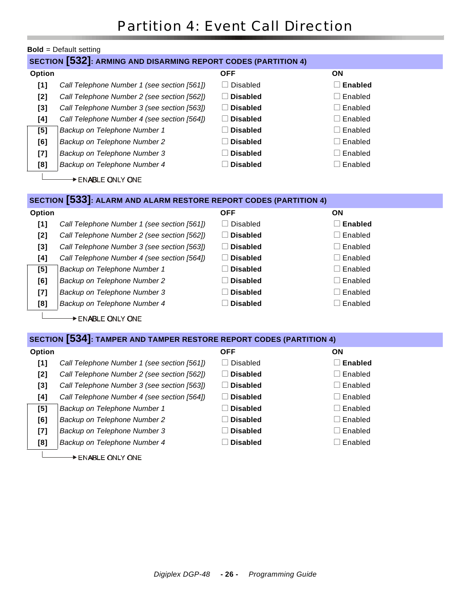| SECTION [532]: ARMING AND DISARMING REPORT CODES (PARTITION 4)<br><b>OFF</b><br>ON<br>Option<br><b>Disabled</b><br><b>Enabled</b><br>[1]<br>Call Telephone Number 1 (see section [561])<br><b>Disabled</b><br>Enabled<br>[2]<br>Call Telephone Number 2 (see section [562])<br>Call Telephone Number 3 (see section [563])<br><b>Disabled</b><br>Enabled<br>$[3]$<br><b>Disabled</b><br>Enabled<br>[4]<br>Call Telephone Number 4 (see section [564])<br>Enabled<br>[5]<br><b>Disabled</b><br>Backup on Telephone Number 1<br>Backup on Telephone Number 2<br><b>Disabled</b><br>Enabled<br>[6]<br><b>Disabled</b><br>Enabled<br>Backup on Telephone Number 3<br>$\left[ 7 \right]$<br>Enabled<br>Backup on Telephone Number 4<br><b>Disabled</b><br>[8]<br>$\rightarrow$ ENABLE ONLY ONE<br>SECTION [533]: ALARM AND ALARM RESTORE REPORT CODES (PARTITION 4)<br>Option<br><b>OFF</b><br>ON<br>$[1]$<br>Call Telephone Number 1 (see section [561])<br><b>Disabled</b><br><b>Enabled</b><br><b>Disabled</b><br>Enabled<br>Call Telephone Number 2 (see section [562])<br>[2]<br><b>Disabled</b><br>Enabled<br>$[3]$<br>Call Telephone Number 3 (see section [563]) |  |  |  |  |  |
|---------------------------------------------------------------------------------------------------------------------------------------------------------------------------------------------------------------------------------------------------------------------------------------------------------------------------------------------------------------------------------------------------------------------------------------------------------------------------------------------------------------------------------------------------------------------------------------------------------------------------------------------------------------------------------------------------------------------------------------------------------------------------------------------------------------------------------------------------------------------------------------------------------------------------------------------------------------------------------------------------------------------------------------------------------------------------------------------------------------------------------------------------------------------|--|--|--|--|--|
|                                                                                                                                                                                                                                                                                                                                                                                                                                                                                                                                                                                                                                                                                                                                                                                                                                                                                                                                                                                                                                                                                                                                                                     |  |  |  |  |  |
|                                                                                                                                                                                                                                                                                                                                                                                                                                                                                                                                                                                                                                                                                                                                                                                                                                                                                                                                                                                                                                                                                                                                                                     |  |  |  |  |  |
|                                                                                                                                                                                                                                                                                                                                                                                                                                                                                                                                                                                                                                                                                                                                                                                                                                                                                                                                                                                                                                                                                                                                                                     |  |  |  |  |  |
|                                                                                                                                                                                                                                                                                                                                                                                                                                                                                                                                                                                                                                                                                                                                                                                                                                                                                                                                                                                                                                                                                                                                                                     |  |  |  |  |  |
|                                                                                                                                                                                                                                                                                                                                                                                                                                                                                                                                                                                                                                                                                                                                                                                                                                                                                                                                                                                                                                                                                                                                                                     |  |  |  |  |  |
|                                                                                                                                                                                                                                                                                                                                                                                                                                                                                                                                                                                                                                                                                                                                                                                                                                                                                                                                                                                                                                                                                                                                                                     |  |  |  |  |  |
|                                                                                                                                                                                                                                                                                                                                                                                                                                                                                                                                                                                                                                                                                                                                                                                                                                                                                                                                                                                                                                                                                                                                                                     |  |  |  |  |  |
|                                                                                                                                                                                                                                                                                                                                                                                                                                                                                                                                                                                                                                                                                                                                                                                                                                                                                                                                                                                                                                                                                                                                                                     |  |  |  |  |  |
|                                                                                                                                                                                                                                                                                                                                                                                                                                                                                                                                                                                                                                                                                                                                                                                                                                                                                                                                                                                                                                                                                                                                                                     |  |  |  |  |  |
|                                                                                                                                                                                                                                                                                                                                                                                                                                                                                                                                                                                                                                                                                                                                                                                                                                                                                                                                                                                                                                                                                                                                                                     |  |  |  |  |  |
|                                                                                                                                                                                                                                                                                                                                                                                                                                                                                                                                                                                                                                                                                                                                                                                                                                                                                                                                                                                                                                                                                                                                                                     |  |  |  |  |  |
|                                                                                                                                                                                                                                                                                                                                                                                                                                                                                                                                                                                                                                                                                                                                                                                                                                                                                                                                                                                                                                                                                                                                                                     |  |  |  |  |  |
|                                                                                                                                                                                                                                                                                                                                                                                                                                                                                                                                                                                                                                                                                                                                                                                                                                                                                                                                                                                                                                                                                                                                                                     |  |  |  |  |  |
|                                                                                                                                                                                                                                                                                                                                                                                                                                                                                                                                                                                                                                                                                                                                                                                                                                                                                                                                                                                                                                                                                                                                                                     |  |  |  |  |  |
|                                                                                                                                                                                                                                                                                                                                                                                                                                                                                                                                                                                                                                                                                                                                                                                                                                                                                                                                                                                                                                                                                                                                                                     |  |  |  |  |  |
|                                                                                                                                                                                                                                                                                                                                                                                                                                                                                                                                                                                                                                                                                                                                                                                                                                                                                                                                                                                                                                                                                                                                                                     |  |  |  |  |  |
|                                                                                                                                                                                                                                                                                                                                                                                                                                                                                                                                                                                                                                                                                                                                                                                                                                                                                                                                                                                                                                                                                                                                                                     |  |  |  |  |  |
| Call Telephone Number 4 (see section [564])<br><b>Disabled</b><br>Enabled<br>[4]                                                                                                                                                                                                                                                                                                                                                                                                                                                                                                                                                                                                                                                                                                                                                                                                                                                                                                                                                                                                                                                                                    |  |  |  |  |  |
| <b>Disabled</b><br>Enabled<br>[5]<br>Backup on Telephone Number 1                                                                                                                                                                                                                                                                                                                                                                                                                                                                                                                                                                                                                                                                                                                                                                                                                                                                                                                                                                                                                                                                                                   |  |  |  |  |  |
| <b>Disabled</b><br>Enabled<br>[6]<br>Backup on Telephone Number 2                                                                                                                                                                                                                                                                                                                                                                                                                                                                                                                                                                                                                                                                                                                                                                                                                                                                                                                                                                                                                                                                                                   |  |  |  |  |  |
| Backup on Telephone Number 3<br><b>Disabled</b><br>Enabled<br>[7]                                                                                                                                                                                                                                                                                                                                                                                                                                                                                                                                                                                                                                                                                                                                                                                                                                                                                                                                                                                                                                                                                                   |  |  |  |  |  |
| <b>Disabled</b><br>Enabled<br>[8]<br>Backup on Telephone Number 4                                                                                                                                                                                                                                                                                                                                                                                                                                                                                                                                                                                                                                                                                                                                                                                                                                                                                                                                                                                                                                                                                                   |  |  |  |  |  |

ENABLE ONLY ONE

| SECTION [534]: TAMPER AND TAMPER RESTORE REPORT CODES (PARTITION 4) |
|---------------------------------------------------------------------|
|                                                                     |

| Option |                                             | <b>OFF</b>      | ON                      |
|--------|---------------------------------------------|-----------------|-------------------------|
| [1]    | Call Telephone Number 1 (see section [561]) | Disabled        | Enabled<br>H            |
| [2]    | Call Telephone Number 2 (see section [562]) | <b>Disabled</b> | Enabled<br>$\Box$       |
| [3]    | Call Telephone Number 3 (see section [563]) | <b>Disabled</b> | Enabled<br>$\mathbf{L}$ |
| [4]    | Call Telephone Number 4 (see section [564]) | <b>Disabled</b> | Enabled<br>$\mathbf{L}$ |
| [5]    | Backup on Telephone Number 1                | <b>Disabled</b> | Enabled<br>$\mathbf{L}$ |
| [6]    | Backup on Telephone Number 2                | <b>Disabled</b> | Enabled<br>$\Box$       |
| [7]    | Backup on Telephone Number 3                | <b>Disabled</b> | Enabled<br>$\Box$       |
| [8]    | Backup on Telephone Number 4                | <b>Disabled</b> | Enabled                 |
|        |                                             |                 |                         |

ENABLE ONLY ONE

L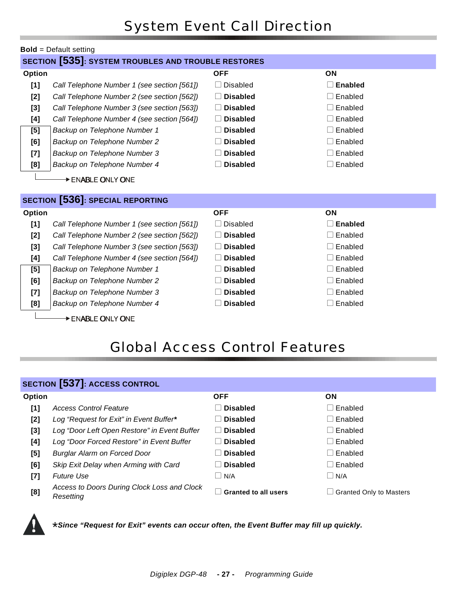# System Event Call Direction

|        | <b>Bold</b> = Default setting                              |                 |                |  |  |
|--------|------------------------------------------------------------|-----------------|----------------|--|--|
|        | <b>SECTION [535]: SYSTEM TROUBLES AND TROUBLE RESTORES</b> |                 |                |  |  |
| Option |                                                            | <b>OFF</b>      | ON             |  |  |
| $[1]$  | Call Telephone Number 1 (see section [561])                | <b>Disabled</b> | $\Box$ Enabled |  |  |
| $[2]$  | Call Telephone Number 2 (see section [562])                | <b>Disabled</b> | $\Box$ Enabled |  |  |
| $[3]$  | Call Telephone Number 3 (see section [563])                | <b>Disabled</b> | $\Box$ Enabled |  |  |
| [4]    | Call Telephone Number 4 (see section [564])                | <b>Disabled</b> | $\Box$ Enabled |  |  |
| [5]    | Backup on Telephone Number 1                               | <b>Disabled</b> | $\Box$ Enabled |  |  |
| [6]    | Backup on Telephone Number 2                               | <b>Disabled</b> | $\Box$ Enabled |  |  |
| $[7]$  | Backup on Telephone Number 3                               | <b>Disabled</b> | $\Box$ Enabled |  |  |
| [8]    | Backup on Telephone Number 4                               | <b>Disabled</b> | $\Box$ Enabled |  |  |
|        | $\rightarrow$ ENABLE ONLY ONE                              |                 |                |  |  |
|        | <b>SECTION [536]: SPECIAL REPORTING</b>                    |                 |                |  |  |
| Option |                                                            | <b>OFF</b>      | ON             |  |  |
| [1]    | Call Telephone Number 1 (see section [561])                | <b>Disabled</b> | Enabled        |  |  |
| $[2]$  | Call Telephone Number 2 (see section [562])                | <b>Disabled</b> | $\Box$ Enabled |  |  |
| $[3]$  | Call Telephone Number 3 (see section [563])                | <b>Disabled</b> | $\Box$ Enabled |  |  |
| [4]    | Call Telephone Number 4 (see section [564])                | <b>Disabled</b> | $\Box$ Enabled |  |  |
| [5]    | Backup on Telephone Number 1                               | <b>Disabled</b> | $\Box$ Enabled |  |  |
| [6]    | Backup on Telephone Number 2                               | <b>Disabled</b> | $\Box$ Enabled |  |  |
| $[7]$  | Backup on Telephone Number 3                               | <b>Disabled</b> | $\Box$ Enabled |  |  |
| [8]    | Backup on Telephone Number 4                               | <b>Disabled</b> | $\Box$ Enabled |  |  |
|        | DENABLE ONLY ONE                                           |                 |                |  |  |

# Global Access Control Features

|        | <b>SECTION [537]: ACCESS CONTROL</b>                     |                             |                                |
|--------|----------------------------------------------------------|-----------------------------|--------------------------------|
| Option |                                                          | <b>OFF</b>                  | <b>ON</b>                      |
| [1]    | <b>Access Control Feature</b>                            | <b>Disabled</b>             | ∣Enabled                       |
| [2]    | Log "Request for Exit" in Event Buffer*                  | <b>Disabled</b>             | $\sqcap$ Enabled               |
| [3]    | Log "Door Left Open Restore" in Event Buffer             | <b>Disabled</b>             | $\sqcap$ Enabled               |
| [4]    | Log "Door Forced Restore" in Event Buffer                | <b>Disabled</b>             | ∣Enabled                       |
| [5]    | <b>Burglar Alarm on Forced Door</b>                      | <b>Disabled</b>             | $\sqcap$ Enabled               |
| [6]    | Skip Exit Delay when Arming with Card                    | <b>Disabled</b>             | $\sqcap$ Enabled               |
| $[7]$  | <b>Future Use</b>                                        | $\vert$ $\vert$ N/A         | $\overline{\mathsf{N}}$ /A     |
| [8]    | Access to Doors During Clock Loss and Clock<br>Resettina | <b>Granted to all users</b> | <b>Granted Only to Masters</b> |



\* *Since "Request for Exit" events can occur often, the Event Buffer may fill up quickly.*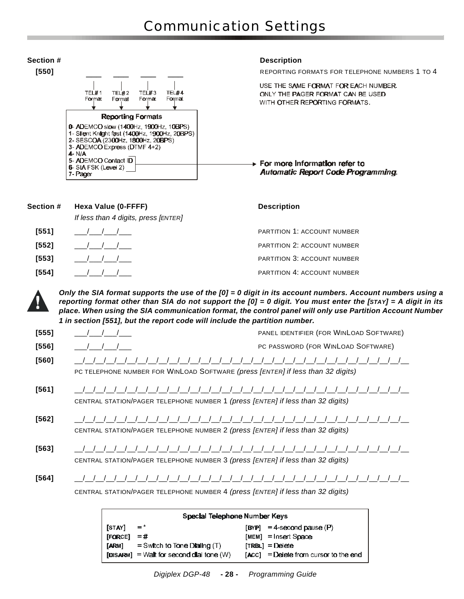

| Section # | Hexa Value (0-FFFF)                                  | <b>Description</b>                 |
|-----------|------------------------------------------------------|------------------------------------|
|           | If less than 4 digits, press [ENTER]                 |                                    |
| [551]     | $\left( \begin{array}{cc} 1 & 1 \end{array} \right)$ | <b>PARTITION 1: ACCOUNT NUMBER</b> |
| [552]     |                                                      | <b>PARTITION 2: ACCOUNT NUMBER</b> |
| [553]     |                                                      | <b>PARTITION 3: ACCOUNT NUMBER</b> |
| [554]     |                                                      | PARTITION 4: ACCOUNT NUMBER        |

*Only the SIA format supports the use of the [0] = 0 digit in its account numbers. Account numbers using a reporting format other than SIA do not support the [0] = 0 digit. You must enter the [STAY] = A digit in its place. When using the SIA communication format, the control panel will only use Partition Account Number 1 in section [551], but the report code will include the partition number.* 

| [555]   |                                                                                 | PANEL IDENTIFIER (FOR WINLOAD SOFTWARE) |
|---------|---------------------------------------------------------------------------------|-----------------------------------------|
| [556]   |                                                                                 | PC PASSWORD (FOR WINLOAD SOFTWARE)      |
| $[560]$ | PC TELEPHONE NUMBER FOR WINLOAD SOFTWARE (press [ENTER] if less than 32 digits) |                                         |
| [561]   | CENTRAL STATION/PAGER TELEPHONE NUMBER 1 (press [ENTER] if less than 32 digits) | //////////////////////////////          |

**[562]** \_\_/\_\_/\_\_/\_\_/\_\_/\_\_/\_\_/\_\_/\_\_/\_\_/\_\_/\_\_/\_\_/\_\_/\_\_/\_\_/\_\_/\_\_/\_\_/\_\_/\_\_/\_\_/\_\_/\_\_/\_\_/\_\_/\_\_/\_\_/\_\_/\_\_/\_\_/\_\_ CENTRAL STATION/PAGER TELEPHONE NUMBER 2 *(press [ENTER] if less than 32 digits)*

**[563]** \_\_/\_\_/\_\_/\_\_/\_\_/\_\_/\_\_/\_\_/\_\_/\_\_/\_\_/\_\_/\_\_/\_\_/\_\_/\_\_/\_\_/\_\_/\_\_/\_\_/\_\_/\_\_/\_\_/\_\_/\_\_/\_\_/\_\_/\_\_/\_\_/\_\_/\_\_/\_\_ CENTRAL STATION/PAGER TELEPHONE NUMBER 3 *(press [ENTER] if less than 32 digits)*

**[564]** \_\_/\_\_/\_\_/\_\_/\_\_/\_\_/\_\_/\_\_/\_\_/\_\_/\_\_/\_\_/\_\_/\_\_/\_\_/\_\_/\_\_/\_\_/\_\_/\_\_/\_\_/\_\_/\_\_/\_\_/\_\_/\_\_/\_\_/\_\_/\_\_/\_\_/\_\_/\_\_

CENTRAL STATION/PAGER TELEPHONE NUMBER 4 *(press [ENTER] if less than 32 digits)*

| Special Telephone Number Keys |                                            |                                               |  |  |  |  |
|-------------------------------|--------------------------------------------|-----------------------------------------------|--|--|--|--|
| [STAY]                        | $=$ *                                      | $[BYP] = 4$ -second pause $\langle P \rangle$ |  |  |  |  |
| [FORCE]                       | $= 44$                                     | $[MEM] = Insert Space$                        |  |  |  |  |
| [ARM]                         | $=$ Switch to Tone Dialing (T)             | $TRBLI = Delete$                              |  |  |  |  |
|                               | $[DISARM] = Walt for second dial tone (W)$ | $[ACC] = D$ elete from cursor to the end      |  |  |  |  |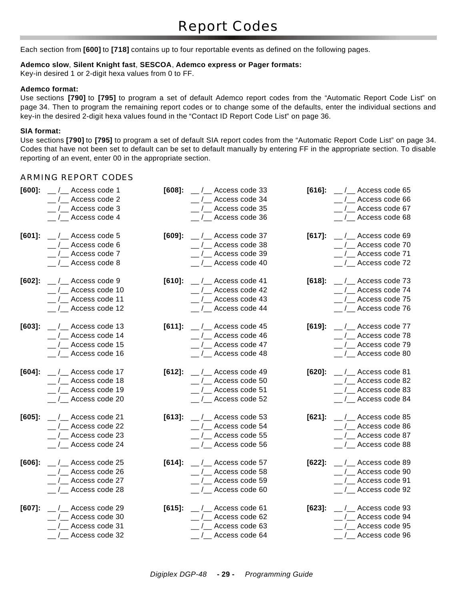Each section from **[600]** to **[718]** contains up to four reportable events as defined on the following pages.

#### **Ademco slow**, **Silent Knight fast**, **SESCOA**, **Ademco express or Pager formats:**

Key-in desired 1 or 2-digit hexa values from 0 to FF.

#### **Ademco format:**

Use sections **[790]** to **[795]** to program a set of default Ademco report codes from the "Automatic Report Code List" on page 34. Then to program the remaining report codes or to change some of the defaults, enter the individual sections and key-in the desired 2-digit hexa values found in the "Contact ID Report Code List" on page 36.

#### **SIA format:**

Use sections **[790]** to **[795]** to program a set of default SIA report codes from the "Automatic Report Code List" on page 34. Codes that have not been set to default can be set to default manually by entering FF in the appropriate section. To disable reporting of an event, enter 00 in the appropriate section.

#### ARMING REPORT CODES

| $[600]$ : | $\frac{1}{2}$ / $\frac{1}{2}$ Access code 1  | $[608]$ : | $\frac{1}{2}$ / $\frac{1}{2}$ Access code 33        | $[616]$ : | $\frac{1}{2}$ / $\frac{1}{2}$ Access code 65 |
|-----------|----------------------------------------------|-----------|-----------------------------------------------------|-----------|----------------------------------------------|
|           | $_{-}/_{-}$ Access code 2                    |           | /__ Access code 34                                  |           |                                              |
|           | $_{-}/_{-}$ Access code 3                    |           | $_{-}/_{-}$ Access code 35                          |           | $_{-}/_{-}$ Access code 67                   |
|           | $_{\_}/_{\_}$ Access code 4                  |           | /__ Access code 36                                  |           | $_{-}/_{-}$ Access code 68                   |
|           |                                              |           |                                                     |           |                                              |
| $[601]$ : | $\frac{1}{2}$ / $\frac{1}{2}$ Access code 5  |           | $[609]$ : __/__ Access code 37                      | $[617]$ : | $\frac{1}{2}$ / $\frac{1}{2}$ Access code 69 |
|           | $\frac{1}{2}$ / $\frac{1}{2}$ Access code 6  |           | $\frac{1}{2}$ / $\frac{1}{2}$ Access code 38        |           | $_{--}/_{--}$ Access code 70                 |
|           | $_{--}/_{--}$ Access code 7                  |           | $\frac{1}{2}$ / $\frac{1}{2}$ Access code 39        |           | $_{--}/_{--}$ Access code 71                 |
|           | $\frac{1}{2}$ / $\frac{1}{2}$ Access code 8  |           | __ /__ Access code 40                               |           | $\frac{1}{2}$ / $\frac{1}{2}$ Access code 72 |
| $[602]$ : | $\frac{1}{2}$ / $\frac{1}{2}$ Access code 9  |           | $[610]$ : __/__ Access code 41                      | $[618]$ : | $\frac{1}{2}$ / $\frac{1}{2}$ Access code 73 |
|           | $\frac{1}{2}$ / $\frac{1}{2}$ Access code 10 |           | $_{-}/_{-}$ Access code 42                          |           | __ /__ Access code 74                        |
|           | $\frac{1}{2}$ / $\frac{1}{2}$ Access code 11 |           | $\frac{1}{2}$ Access code 43                        |           | $-$ / $\angle$ Access code 75                |
|           |                                              |           | $\frac{1}{2}$ / $\frac{1}{2}$ Access code 44        |           | $\frac{1}{2}$ / $\frac{1}{2}$ Access code 76 |
|           | $\frac{1}{2}$ / $\frac{1}{2}$ Access code 12 |           |                                                     |           |                                              |
|           | $[603]$ : __/__ Access code 13               |           | $[611]$ : __/__ Access code 45                      | [619]:    | $\frac{1}{2}$ / $\frac{1}{2}$ Access code 77 |
|           | $\frac{1}{2}$ / $\frac{1}{2}$ Access code 14 |           | $\frac{1}{2}$ / $\frac{1}{2}$ Access code 46        |           | $_{--}/_{--}$ Access code 78                 |
|           | $\frac{1}{2}$ / $\frac{1}{2}$ Access code 15 |           | $_{-}/$ Access code 47                              |           | $_{-}/_{-}$ Access code 79                   |
|           | $\frac{1}{2}$ / $\frac{1}{2}$ Access code 16 |           | $\frac{1}{2}$ / $\frac{1}{2}$ Access code 48        |           | $_{--}/_{--}$ Access code 80                 |
|           |                                              |           |                                                     |           |                                              |
| $[604]$ : | $\frac{1}{2}$ / $\frac{1}{2}$ Access code 17 |           | $[612]$ : __/__ Access code 49                      | $[620]$ : | $\frac{1}{2}$ / $\frac{1}{2}$ Access code 81 |
|           | $\frac{1}{2}$ / $\frac{1}{2}$ Access code 18 |           | $\frac{1}{2}$ / $\frac{1}{2}$ Access code 50        |           | $\frac{1}{2}$ / $\frac{1}{2}$ Access code 82 |
|           | $\frac{1}{2}$ / $\frac{1}{2}$ Access code 19 |           | $_{-}/_{-}$ Access code 51                          |           | $\frac{1}{2}$ / $\frac{1}{2}$ Access code 83 |
|           | $\frac{1}{2}$ / $\frac{1}{2}$ Access code 20 |           | $_{-}/_{-}$ Access code 52                          |           | $\frac{1}{2}$ / $\frac{1}{2}$ Access code 84 |
| $[605]$ : | $\frac{1}{2}$ / $\frac{1}{2}$ Access code 21 |           | [613]: $\frac{1}{2}$ / $\frac{1}{2}$ Access code 53 | $[621]$ : | $\frac{1}{2}$ / $\frac{1}{2}$ Access code 85 |
|           | $\frac{1}{2}$ / $\frac{1}{2}$ Access code 22 |           | $\frac{1}{2}$ / $\frac{1}{2}$ Access code 54        |           | $_{--}/_{--}$ Access code 86                 |
|           | $\frac{1}{2}$ / $\frac{1}{2}$ Access code 23 |           | $\frac{1}{2}$ / Access code 55                      |           | $_{--}/_{--}$ Access code 87                 |
|           | $\frac{1}{2}$ / $\frac{1}{2}$ Access code 24 |           | __ /__ Access code 56                               |           | $\frac{1}{2}$ / $\frac{1}{2}$ Access code 88 |
|           |                                              |           |                                                     |           |                                              |
| $[606]$ : | $\frac{1}{2}$ / $\frac{1}{2}$ Access code 25 |           | $[614]$ : __/__ Access code 57                      | $[622]:$  | $\frac{1}{2}$ / $\frac{1}{2}$ Access code 89 |
|           | $\frac{1}{2}$ / $\frac{1}{2}$ Access code 26 |           | $_{-}/_{-}$ Access code 58                          |           | $_{-}/$ Access code 90                       |
|           | $\frac{1}{2}$ Access code 27                 |           | $\frac{1}{2}$ / $\frac{1}{2}$ Access code 59        |           | $\frac{1}{2}$ / $\frac{1}{2}$ Access code 91 |
|           | $\frac{1}{2}$ Access code 28                 |           | __ /__ Access code 60                               |           | $\frac{1}{2}$ / $\frac{1}{2}$ Access code 92 |
| $[607]$ : | $\frac{1}{2}$ / $\frac{1}{2}$ Access code 29 |           | $[615]$ : __/__ Access code 61                      | $[623]$ : | $_{--}$ / $_{--}$ Access code 93             |
|           | $\frac{1}{2}$ / $\frac{1}{2}$ Access code 30 |           | $\frac{1}{2}$ / $\frac{1}{2}$ Access code 62        |           | $_{--}/_{--}$ Access code 94                 |
|           | $_{-}/_{-}$ Access code 31                   |           | /__ Access code 63                                  |           | $\frac{1}{2}$ / $\frac{1}{2}$ Access code 95 |
|           | $\frac{1}{2}$ / $\frac{1}{2}$ Access code 32 |           | $_{-}/_{-}$ Access code 64                          |           | $\frac{1}{2}$ / $\frac{1}{2}$ Access code 96 |
|           |                                              |           |                                                     |           |                                              |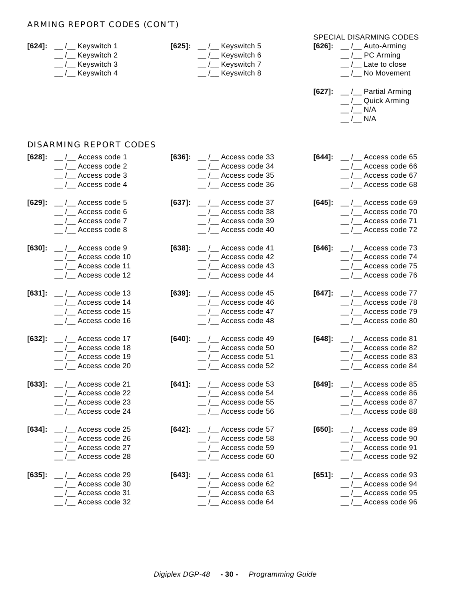#### ARMING REPORT CODES (CON'T)

| $[624]$ : | $\mu$ / $\mu$ Keyswitch 1<br>/__ Keyswitch 2<br>_/__ Keyswitch 3<br>__ /__ Keyswitch 4 |           | $[625]$ : __/__ Keyswitch 5<br>/__ Keyswitch 6<br>_/__ Keyswitch 7<br>__ /__ Keyswitch 8 | $[626]$ :<br>$[627]$ : | <b>SPECIAL DISARMING CODES</b><br>$\frac{1}{2}$ / $\frac{1}{2}$ Auto-Arming<br>/__ PC Arming<br>/_ Late to close<br>/__ No Movement<br>$\frac{1}{2}$ Partial Arming<br>_/__ Quick Arming<br>$/$ N/A<br>$_{-}/_{-}$ N/A |
|-----------|----------------------------------------------------------------------------------------|-----------|------------------------------------------------------------------------------------------|------------------------|------------------------------------------------------------------------------------------------------------------------------------------------------------------------------------------------------------------------|
|           | DISARMING REPORT CODES                                                                 |           |                                                                                          |                        |                                                                                                                                                                                                                        |
| $[628]$ : | $\frac{1}{2}$ / $\frac{1}{2}$ Access code 1                                            | $[636]$ : | $\frac{1}{2}$ / $\frac{1}{2}$ Access code 33                                             | [644]:                 | $\frac{1}{2}$ Access code 65                                                                                                                                                                                           |
|           | $_{-}/_{-}$ Access code 2                                                              |           | /__ Access code 34                                                                       |                        | $_{-}/_{-}$ Access code 66                                                                                                                                                                                             |
|           | $\frac{1}{2}$ / $\frac{1}{2}$ Access code 3                                            |           | /__ Access code 35                                                                       |                        | $_{-}/_{-}$ Access code 67                                                                                                                                                                                             |
|           | $\frac{1}{2}$ / $\frac{1}{2}$ Access code 4                                            |           | /__ Access code 36                                                                       |                        | __ /__ Access code 68                                                                                                                                                                                                  |
| $[629]$ : | $\frac{1}{2}$ / $\frac{1}{2}$ Access code 5                                            | $[637]$ : | $\frac{1}{2}$ / $\frac{1}{2}$ Access code 37                                             | $[645]$ :              | $_{-}/$ Access code 69                                                                                                                                                                                                 |
|           | $\frac{1}{2}$ Access code 6                                                            |           | /__ Access code 38                                                                       |                        | $_{-}/_{-}$ Access code 70                                                                                                                                                                                             |
|           | $\frac{1}{2}$ / $\frac{1}{2}$ Access code 7                                            |           | /__ Access code 39                                                                       |                        | $_{-}/$ Access code 71                                                                                                                                                                                                 |
|           | $\frac{1}{2}$ / $\frac{1}{2}$ Access code 8                                            |           | /__ Access code 40                                                                       |                        | $_{-}/_{-}$ Access code 72                                                                                                                                                                                             |
| $[630]$ : | $\frac{1}{2}$ / $\frac{1}{2}$ Access code 9                                            | $[638]$ : | $\frac{1}{2}$ / $\frac{1}{2}$ Access code 41                                             | $[646]$ :              | __ /__ Access code 73                                                                                                                                                                                                  |
|           | $\frac{1}{2}$ / $\frac{1}{2}$ Access code 10                                           |           | /__ Access code 42                                                                       |                        | $_{-}/_{-}$ Access code 74                                                                                                                                                                                             |
|           | $\frac{1}{2}$ / $\frac{1}{2}$ Access code 11                                           |           | /__ Access code 43                                                                       |                        | $_{-}/$ Access code 75                                                                                                                                                                                                 |
|           | $\frac{1}{2}$ / $\frac{1}{2}$ Access code 12                                           |           | /_ Access code 44                                                                        |                        | __ /__ Access code 76                                                                                                                                                                                                  |
| $[631]$ : | $\frac{1}{2}$ / $\frac{1}{2}$ Access code 13                                           | $[639]$ : | $\frac{1}{2}$ / $\frac{1}{2}$ Access code 45                                             | $[647]$ :              | $_{-}/_{-}$ Access code 77                                                                                                                                                                                             |
|           | $\frac{1}{2}$ / $\frac{1}{2}$ Access code 14                                           |           | /__ Access code 46                                                                       |                        | $_{-}/_{-}$ Access code 78                                                                                                                                                                                             |
|           | $\frac{1}{2}$ / $\frac{1}{2}$ Access code 15                                           |           | /__ Access code 47                                                                       |                        | $_{-}/$ Access code 79                                                                                                                                                                                                 |
|           | $\frac{1}{2}$ / $\frac{1}{2}$ Access code 16                                           |           | /_ Access code 48                                                                        |                        | __ /__ Access code 80                                                                                                                                                                                                  |
| $[632]$ : | $\frac{1}{2}$ Access code 17                                                           | $[640]$ : | /__ Access code 49                                                                       | $[648]$ :              | $_{-}/_{-}$ Access code 81                                                                                                                                                                                             |
|           | / Access code 18                                                                       |           | /__ Access code 50                                                                       |                        | /_ Access code 82                                                                                                                                                                                                      |
|           | Access code 19                                                                         |           | /_ Access code 51                                                                        |                        | Access code 83                                                                                                                                                                                                         |
|           | $\frac{1}{2}$ / $\frac{1}{2}$ Access code 20                                           |           | /__ Access code 52                                                                       |                        | /__ Access code 84                                                                                                                                                                                                     |
|           | [633]: $\_\_\/$ Access code 21                                                         |           | $[641]$ : __/__ Access code 53                                                           |                        | $[649]$ : __/__ Access code 85                                                                                                                                                                                         |
|           | $\frac{1}{2}$ / $\frac{1}{2}$ Access code 22                                           |           | $\frac{1}{2}$ / $\frac{1}{2}$ Access code 54                                             |                        | / Access code 86                                                                                                                                                                                                       |
|           | $\frac{1}{2}$ / $\frac{1}{2}$ Access code 23                                           |           | __ /__ Access code 55                                                                    |                        | $_{\sim}$ / $_{\sim}$ Access code 87                                                                                                                                                                                   |
|           | $\frac{1}{2}$ / $\frac{1}{2}$ Access code 24                                           |           | $\_$ / $\_$ Access code 56                                                               |                        | $_{\rm \sim}$ / $_{\rm \sim}$ Access code 88                                                                                                                                                                           |
| $[634]$ : | $\frac{1}{2}$ / $\frac{1}{2}$ Access code 25                                           |           | $[642]$ : __/__ Access code 57                                                           | [650]:                 | $\frac{1}{2}$ / $\frac{1}{2}$ Access code 89                                                                                                                                                                           |
|           | $\frac{1}{2}$ / $\frac{1}{2}$ Access code 26                                           |           | $\frac{1}{2}$ / $\frac{1}{2}$ Access code 58                                             |                        | / Access code 90                                                                                                                                                                                                       |
|           | $\frac{1}{2}$ / $\frac{1}{2}$ Access code 27                                           |           | __ /__ Access code 59                                                                    |                        | $\frac{1}{2}$ Access code 91                                                                                                                                                                                           |
|           | $\frac{1}{2}$ / $\frac{1}{2}$ Access code 28                                           |           | $\frac{1}{2}$ / $\frac{1}{2}$ Access code 60                                             |                        | / Access code 92                                                                                                                                                                                                       |
| $[635]$ : | $\frac{1}{2}$ / $\frac{1}{2}$ Access code 29                                           |           | $[643]$ : __/__ Access code 61                                                           |                        | $[651]$ : __/__ Access code 93                                                                                                                                                                                         |
|           | $\frac{1}{2}$ / $\frac{1}{2}$ Access code 30                                           |           | $\frac{1}{2}$ / $\frac{1}{2}$ Access code 62                                             |                        | $\frac{1}{2}$ / $\frac{1}{2}$ Access code 94                                                                                                                                                                           |
|           | $\frac{1}{2}$ / $\frac{1}{2}$ Access code 31                                           |           | $\frac{1}{2}$ / $\frac{1}{2}$ Access code 63                                             |                        | $\frac{1}{2}$ / $\frac{1}{2}$ Access code 95                                                                                                                                                                           |
|           | __ /__ Access code 32                                                                  |           | $\frac{1}{2}$ / $\frac{1}{2}$ Access code 64                                             |                        | __ /__ Access code 96                                                                                                                                                                                                  |
|           |                                                                                        |           |                                                                                          |                        |                                                                                                                                                                                                                        |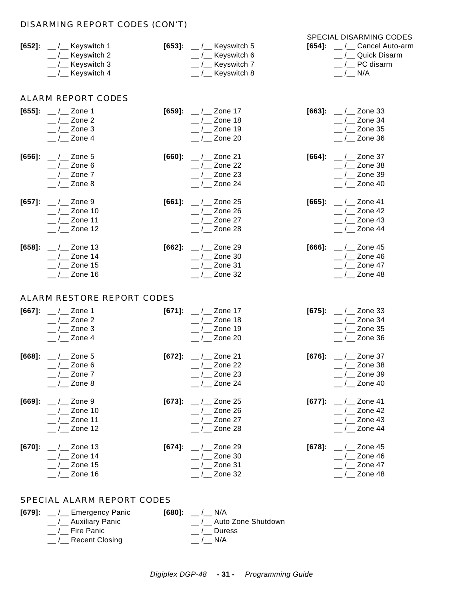#### DISARMING REPORT CODES (CON'T)

|                                           |                                           | <b>SPECIAL DISARMING CODES</b>  |
|-------------------------------------------|-------------------------------------------|---------------------------------|
| $[652]$ : __/__ Keyswitch 1               | [653]: $\_\_$ / $\_\_$ Keyswitch 5        | <b>[654]:</b> / Cancel Auto-arm |
| $\frac{1}{2}$ / $\frac{1}{2}$ Keyswitch 2 | $\mu$ / $\mu$ Keyswitch 6                 | / Quick Disarm                  |
| __ /__ Keyswitch 3                        | $\frac{1}{2}$ / $\frac{1}{2}$ Keyswitch 7 | / PC disarm                     |
| __ /__ Keyswitch 4                        | $\_$ / $\_$ Keyswitch 8                   | / N/A                           |

#### ALARM REPORT CODES

| $[655]$ :<br>$[656]$ : | $\frac{1}{2}$ / $\frac{1}{2}$ Zone 1<br>$_{-}/_{-}$ Zone 2<br>$_{-}/_{-}$ Zone 3<br>$_{-}/_{-}$ Zone 4<br>$\frac{1}{2}$ Zone 5<br>$_{-}/_{-}$ Zone 6<br>$_{-}/_{-}$ Zone 7<br>$_{-}/$ Zone 8 | $[660]$ : | $[659]$ : __/__ Zone 17<br>$\frac{1}{2}$ Zone 18<br>$_{-}/_{-}$ Zone 19<br>$\_$ / $\_$ Zone 20<br>$\frac{1}{2}$ Zone 21<br>$\frac{1}{2}$ Zone 22<br>$_{-}/_{-}$ Zone 23<br>$_{-}/_{-}$ Zone 24 | $[664]$ : | [663]: $\_\,\_\,\_\,\_\,\_\,\$ Zone 33<br>$_{-}/_{-}$ Zone 34<br>$_{-}/_{-}$ Zone 35<br>__ /__ Zone 36<br>$\frac{1}{2}$ / $\frac{2}{2}$ Zone 37<br>$_{--}/_{--}$ Zone 38<br>$_{--}/_{--}$ Zone 39<br>$_{-}/_{-}$ Zone 40 |
|------------------------|----------------------------------------------------------------------------------------------------------------------------------------------------------------------------------------------|-----------|------------------------------------------------------------------------------------------------------------------------------------------------------------------------------------------------|-----------|--------------------------------------------------------------------------------------------------------------------------------------------------------------------------------------------------------------------------|
| $[657]$ :              | $\frac{1}{2}$ Zone 9<br>$_{-}/_{-}$ Zone 10<br>$_{-}/_{-}$ Zone 11<br>$_{-}/_{-}$ Zone 12                                                                                                    |           | $[661]:$ __/__ Zone 25<br>$_{-}/_{-}$ Zone 26<br>$_{-}/_{-}$ Zone 27<br>$\_$ / $\_$ Zone 28                                                                                                    | $[665]$ : | $\frac{1}{2}$ / $\frac{1}{2}$ Zone 41<br>$_{--}$ / $_{--}$ Zone 42<br>$_{--}/_{--}$ Zone 43<br>$_{-}/_{-}$ Zone 44                                                                                                       |
| $[658]$ :              | $\frac{1}{2}$ Zone 13<br>$_{-}/_{-}$ Zone 14<br>$_{-}/_{-}$ Zone 15<br>$_{-}/_{-}$ Zone 16                                                                                                   |           | $[662]$ : __/__ Zone 29<br>$_{-}/_{-}$ Zone 30<br>$\frac{1}{2}$ Zone 31<br>$\_$ / $\_$ Zone 32                                                                                                 | $[666]$ : | $_{--}$ / $_{--}$ Zone 45<br>$_{-}/_{-}$ Zone 46<br>$_{--}$ / $_{--}$ Zone 47<br>$_{-}/_{-}$ Zone 48                                                                                                                     |
|                        | ALARM RESTORE REPORT CODES                                                                                                                                                                   |           |                                                                                                                                                                                                |           |                                                                                                                                                                                                                          |
| $[667]$ :              | $_{--}$ / $_{--}$ Zone 1<br>$_{--}$ / $_{--}$ Zone 2<br>$\frac{1}{2}$ / $\frac{2}{2}$ Zone 3<br>$\frac{1}{2}$ Zone 4                                                                         |           | [671]: $\_\,\_\,\_\,\_\,\_\$ Zone 17<br>$\_$ / $\_$ Zone 18<br>$\frac{1}{2}$ Zone 19<br>$_{-}/_{-}$ Zone 20                                                                                    |           | [675]: $\frac{1}{2}$ / $\frac{1}{2}$ Zone 33<br>$_{--}$ / $_{--}$ Zone 34<br>$_{-}/_{-}$ Zone 35<br>$_{-}/_{-}$ Zone 36                                                                                                  |
| $[668]$ :              | $_{--}$ / $_{--}$ Zone 5<br>$_{--}/_{--}$ Zone 6<br>$\_$ / $\_$ Zone 7<br>$_{-}/_{-}$ Zone 8                                                                                                 |           | [672]: $\_\,\_\,\_\,\_\$ Zone 21<br>$_{-}/_{-}$ Zone 22<br>$\frac{1}{2}$ Zone 23<br>$_{-}/_{-}$ Zone 24                                                                                        | $[676]$ : | $\frac{1}{2}$ / $\frac{2}{2}$ Zone 37<br>$_{--}$ / $_{--}$ Zone 38<br>$_{-}/_{-}$ Zone 39<br>$_{-}/_{-}$ Zone 40                                                                                                         |
| $[669]$ :              | $_{--}$ / $_{--}$ Zone 9<br>$_{-}/_{-}$ Zone 10<br>$_{-}/_{-}$ Zone 11<br>$_{-}/_{-}$ Zone 12                                                                                                | $[673]$ : | $\frac{1}{2}$ Zone 25<br>$\_$ / $\_$ Zone 26<br>$\_$ / $\_$ Zone 27<br>$\frac{1}{2}$ Zone 28                                                                                                   | $[677]$ : | $\frac{1}{2}$ Zone 41<br>$_{--}/_{--}$ Zone 42<br>$_{-}/_{-}$ Zone 43<br>$_{-}/_{-}$ Zone 44                                                                                                                             |
| $[670]$ :              | $_{--}$ / $_{--}$ Zone 13<br>$_{-}/_{-}$ Zone 14<br>$\_$ / $\_$ Zone 15<br>$\_$ / $\_$ Zone 16                                                                                               |           | $[674]$ : __/__ Zone 29<br>$_{-}/_{-}$ Zone 30<br>$\_$ / $\_$ Zone 31<br>$\frac{1}{2}$ Zone 32                                                                                                 | $[678]$ : | $_{--}$ / $_{--}$ Zone 45<br>$_{-}/_{-}$ Zone 46<br>$_{-}/_{-}$ Zone 47<br>$_{-}/_{-}$ Zone 48                                                                                                                           |

#### SPECIAL ALARM REPORT CODES

| $[679]$ : __ $/$ __ Emergency Panic          | $[680]:$ / N/A       |
|----------------------------------------------|----------------------|
| __ /__ Auxiliary Panic                       | / Auto Zone Shutdown |
| $\frac{1}{2}$ Fire Panic                     | / Duress             |
| $\frac{1}{2}$ / $\frac{1}{2}$ Recent Closing | $/$ N/A              |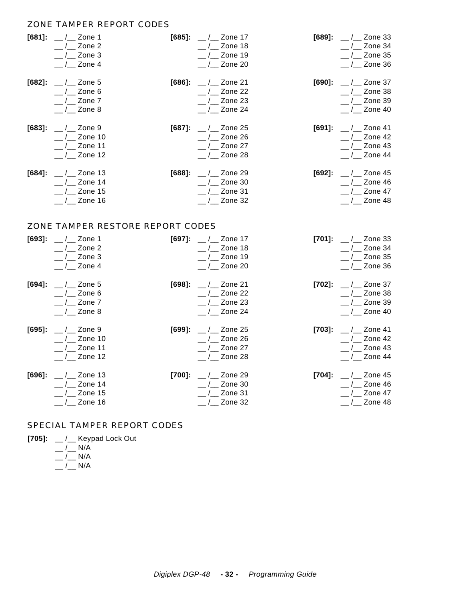#### ZONE TAMPER REPORT CODES

| [681]:<br>$[682]$ : | $\frac{1}{2}$ / $\frac{1}{2}$ Zone 1<br>$_{--}/_{--}$ Zone 2<br>$_{-}/_{-}$ Zone 3<br>$_{-}/_{-}$ Zone 4<br>$_{--}$ / $_{--}$ Zone 5<br>$_{-}/_{-}$ Zone 6<br>$_{-}/_{-}$ Zone 7<br>$_{-}/_{-}$ Zone 8 | $[686]$ : | $[685]$ : __/__ Zone 17<br>$_{-}/_{-}$ Zone 18<br>$\_$ / $\_$ Zone 19<br>$_{-}/_{-}$ Zone 20<br>$_{--}/_{--}$ Zone 21<br>$_{-}/_{-}$ Zone 22<br>$\_$ / $\_$ Zone 23<br>$\frac{1}{2}$ Zone 24 | $[690]$ : | [689]: $\_\,\_\,\_\,\_\,\_\,\$ Zone 33<br>$_{-}/_{-}$ Zone 34<br>$_{-}/_{-}$ Zone 35<br>$\_$ / $\_$ Zone 36<br>$\frac{1}{2}$ / $\frac{2}{2}$ Zone 37<br>$_{-}/_{-}$ Zone 38<br>$_{--}$ / $_{--}$ Zone 39<br>$_{-}/_{-}$ Zone 40 |
|---------------------|--------------------------------------------------------------------------------------------------------------------------------------------------------------------------------------------------------|-----------|----------------------------------------------------------------------------------------------------------------------------------------------------------------------------------------------|-----------|---------------------------------------------------------------------------------------------------------------------------------------------------------------------------------------------------------------------------------|
| $[683]$ :           | $_{--}$ / $_{--}$ Zone 9<br>$_{--}$ / $_{--}$ Zone 10<br>$_{-}/_{-}$ Zone 11<br>$_{-}/_{-}$ Zone 12                                                                                                    |           | [687]: $\_\,\_\,\_\,\_\,\_\$ Zone 25<br>$\_$ / $\_$ Zone 26<br>$_{-}/_{-}$ Zone 27<br>$_{-}/_{-}$ Zone 28                                                                                    | $[691]$ : | $\frac{1}{2}$ / $\frac{1}{2}$ Zone 41<br>$_{--}$ / $_{--}$ Zone 42<br>$_{-}/_{-}$ Zone 43<br>$_{-}/_{-}$ Zone 44                                                                                                                |
| $[684]$ :           | $_{--}$ / $_{--}$ Zone 13<br>$_{-}/_{-}$ Zone 14<br>$_{-}/_{-}$ Zone 15<br>$_{-}/_{-}$ Zone 16                                                                                                         |           | $[688]$ : __/__ Zone 29<br>$\_$ / $\_$ Zone 30<br>$_{-}/_{-}$ Zone 31<br>$_{-}/_{-}$ Zone 32                                                                                                 |           | [692]: $\_\,\_\,\_\,\_\,\_\,\$ Zone 45<br>$_{--}$ / $_{--}$ Zone 46<br>$\_$ / $\_$ Zone 47<br>$\frac{1}{2}$ Zone 48                                                                                                             |
|                     | ZONE TAMPER RESTORE REPORT CODES                                                                                                                                                                       |           |                                                                                                                                                                                              |           |                                                                                                                                                                                                                                 |
| $[693]$ :           | $\frac{1}{2}$ / $\frac{1}{2}$ Zone 1<br>$_{-}/_{-}$ Zone 2<br>$\frac{1}{2}$ / $\frac{2}{2}$ Zone 3<br>$_{-}/_{-}$ Zone 4                                                                               | $[697]$ : | $\frac{1}{2}$ / $\frac{1}{2}$ Zone 17<br>$_{-}/_{-}$ Zone 18<br>$\frac{1}{2}$ / $\frac{1}{2}$ Zone 19<br>$_{-}/_{-}$ Zone 20                                                                 |           | [701]: $\_\,\_\,\_\,\_\,\_\,\$ Zone 33<br>$_{-}/_{-}$ Zone 34<br>$\frac{1}{2}$ Zone 35<br>$\frac{1}{2}$ Zone 36                                                                                                                 |
| $[694]$ :           | $\frac{1}{2}$ Zone 5<br>$_{-}/_{-}$ Zone 6<br>$_{-}/_{-}$ Zone 7<br>$_{-}/_{-}$ Zone 8                                                                                                                 | $[698]$ : | $\frac{1}{2}$ Zone 21<br>$\frac{1}{2}$ Zone 22<br>$_{-}/_{-}$ Zone 23<br>$\_$ / $\_$ Zone 24                                                                                                 | $[702]$ : | $_{--}$ / $_{--}$ Zone 37<br>$_{-}/_{-}$ Zone 38<br>$_{-}/_{-}$ Zone 39<br>$_{--}$ / $_{--}$ Zone 40                                                                                                                            |
| $[695]$ :           | $\frac{1}{2}$ / $\frac{2}{2}$ Zone 9<br>$/$ Zone 10<br>$_{-}/_{-}$ Zone 11<br>$_{-}/_{-}$ Zone 12                                                                                                      | $[699]$ : | $\_$ / $\_$ Zone 25<br>$/$ Zone 26<br>$_{-}/_{-}$ Zone 27<br>$_{-}/_{-}$ Zone 28                                                                                                             | $[703]$ : | $\frac{1}{2}$ / $\frac{2}{2}$ Zone 41<br>$_{-}/_{-}$ Zone 42<br>$_{-}/_{-}$ Zone 43<br>$_{-}/_{-}$ Zone 44                                                                                                                      |
| $[696]$ :           | $\_$ / $\_$ Zone 13<br>$_{-}/_{-}$ Zone 14<br>$_{-}/_{-}$ Zone 15                                                                                                                                      | $[700]$   | $\frac{1}{2}$ / $\frac{2}{2}$ Zone 29<br>$_{-}/_{-}$ Zone 30                                                                                                                                 | $[704]$ : | $_{--}$ / $_{--}$ Zone 45<br>$_{-}/_{-}$ Zone 46<br>$_{-}/_{-}$ Zone 47                                                                                                                                                         |

#### SPECIAL TAMPER REPORT CODES

| [705]: | __ /__ Keypad Lock Out |  |
|--------|------------------------|--|
|        | / N/A                  |  |

\_\_ /\_\_ N/A \_\_ /\_\_ N/A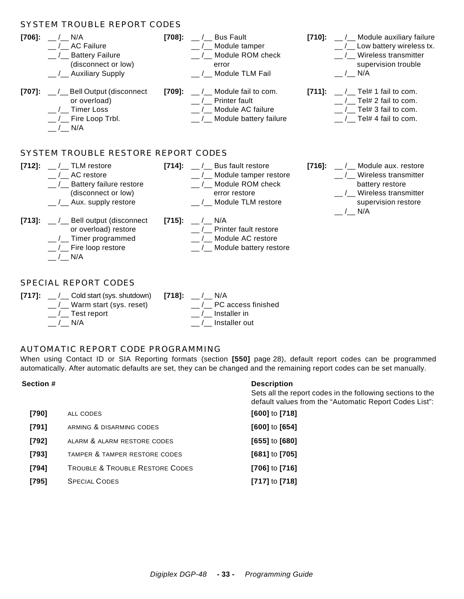|           | SYSTEM TROUBLE REPORT CODES                                                                                                                      |           |                                                                                                                                       |           |                                                                                                                                    |
|-----------|--------------------------------------------------------------------------------------------------------------------------------------------------|-----------|---------------------------------------------------------------------------------------------------------------------------------------|-----------|------------------------------------------------------------------------------------------------------------------------------------|
| $[706]$ : | $/$ N/A<br>/ AC Failure<br><b>Battery Failure</b><br>$\sqrt{2}$<br>(disconnect or low)<br>$\frac{1}{2}$ Auxiliary Supply                         | $[708]$ : | $\frac{1}{2}$ / $\frac{1}{2}$ Bus Fault<br>__ /__ Module tamper<br>Module ROM check<br>error<br>__ /__ Module TLM Fail                | [710]:    | __/__ Module auxiliary failure<br>/ Low battery wireless tx.<br>Wireless transmitter<br>supervision trouble<br>$\frac{1}{2}$ N/A   |
| $[707]$ : | __/__ Bell Output (disconnect<br>or overload)<br>/ Timer Loss<br>$\frac{1}{2}$ Fire Loop Trbl.<br>$/$ N/A<br>SYSTEM TROUBLE RESTORE REPORT CODES | [709]:    | / Module fail to com.<br>/ Printer fault<br>/ Module AC failure<br>__/__ Module battery failure                                       | $[711]$ : | / Tel# 1 fail to com.<br>Tel# 2 fail to com.<br>Tel# 3 fail to com.<br>/ Tel# 4 fail to com.                                       |
|           |                                                                                                                                                  |           |                                                                                                                                       |           |                                                                                                                                    |
| $[712]$ : | $\frac{1}{2}$ / $\frac{1}{2}$ TLM restore<br>/ AC restore<br>_/_ Battery failure restore<br>(disconnect or low)<br>__/__ Aux. supply restore     |           | $[714]$ : __ $/$ Bus fault restore<br>__/__ Module tamper restore<br>/ Module ROM check<br>error restore<br>__ /__ Module TLM restore | $[716]$ : | / Module aux. restore<br>/ Wireless transmitter<br>battery restore<br>__/__ Wireless transmitter<br>supervision restore<br>$/$ N/A |
| $[713]$ : | __/__ Bell output (disconnect<br>or overload) restore<br>__ /__ Timer programmed<br>_/__ Fire loop restore<br>/ N/A                              |           | [715]: $\_\_$ / N/A<br>/ Printer fault restore<br>/ Module AC restore<br>__/__ Module battery restore                                 |           |                                                                                                                                    |
|           | <b>SPECIAL REPORT CODES</b>                                                                                                                      |           |                                                                                                                                       |           |                                                                                                                                    |

| [717]: __ /__ Cold start (sys. shutdown) [718]: __ /__ N/A |                                            |
|------------------------------------------------------------|--------------------------------------------|
| $\frac{1}{2}$ Warm start (sys. reset)                      | / PC access finished                       |
| $\_$ / $\_$ Test report                                    | $\frac{1}{2}$ / $\frac{1}{2}$ Installer in |
| $/$ N/A                                                    | / Installer out                            |
|                                                            |                                            |

#### AUTOMATIC REPORT CODE PROGRAMMING

When using Contact ID or SIA Reporting formats (section **[550]** page 28), default report codes can be programmed automatically. After automatic defaults are set, they can be changed and the remaining report codes can be set manually.

| Section # |                                            | <b>Description</b><br>Sets all the report codes in the following sections to the<br>default values from the "Automatic Report Codes List": |
|-----------|--------------------------------------------|--------------------------------------------------------------------------------------------------------------------------------------------|
| [790]     | ALL CODES                                  | $[600]$ to $[718]$                                                                                                                         |
| $[791]$   | ARMING & DISARMING CODES                   | $[600]$ to $[654]$                                                                                                                         |
| $[792]$   | ALARM & ALARM RESTORE CODES                | $[655]$ to $[680]$                                                                                                                         |
| $[793]$   | TAMPER & TAMPER RESTORE CODES              | $[681]$ to $[705]$                                                                                                                         |
| $[794]$   | <b>TROUBLE &amp; TROUBLE RESTORE CODES</b> | $[706]$ to $[716]$                                                                                                                         |
| $[795]$   | <b>SPECIAL CODES</b>                       | $[717]$ to $[718]$                                                                                                                         |
|           |                                            |                                                                                                                                            |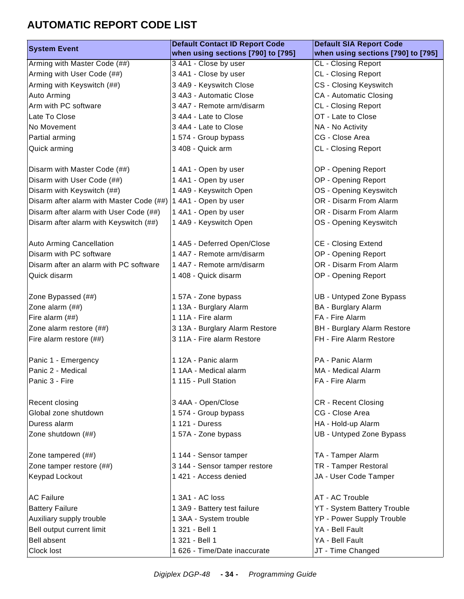### **AUTOMATIC REPORT CODE LIST**

| <b>System Event</b>                      | <b>Default Contact ID Report Code</b> | <b>Default SIA Report Code</b>     |
|------------------------------------------|---------------------------------------|------------------------------------|
|                                          | when using sections [790] to [795]    | when using sections [790] to [795] |
| Arming with Master Code (##)             | 3 4A1 - Close by user                 | <b>CL</b> - Closing Report         |
| Arming with User Code (##)               | 3 4A1 - Close by user                 | <b>CL</b> - Closing Report         |
| Arming with Keyswitch (##)               | 3 4A9 - Keyswitch Close               | CS - Closing Keyswitch             |
| Auto Arming                              | 3 4A3 - Automatic Close               | <b>CA - Automatic Closing</b>      |
| Arm with PC software                     | 3 4A7 - Remote arm/disarm             | <b>CL</b> - Closing Report         |
| Late To Close                            | 3 4A4 - Late to Close                 | OT - Late to Close                 |
| No Movement                              | 3 4A4 - Late to Close                 | NA - No Activity                   |
| Partial arming                           | 1 574 - Group bypass                  | CG - Close Area                    |
| Quick arming                             | 3 408 - Quick arm                     | <b>CL</b> - Closing Report         |
|                                          |                                       |                                    |
| Disarm with Master Code (##)             | 1 4A1 - Open by user                  | OP - Opening Report                |
| Disarm with User Code (##)               | 1 4A1 - Open by user                  | OP - Opening Report                |
| Disarm with Keyswitch (##)               | 1 4A9 - Keyswitch Open                | OS - Opening Keyswitch             |
| Disarm after alarm with Master Code (##) | 1 4A1 - Open by user                  | OR - Disarm From Alarm             |
| Disarm after alarm with User Code (##)   | 1 4A1 - Open by user                  | OR - Disarm From Alarm             |
| Disarm after alarm with Keyswitch (##)   | 1 4A9 - Keyswitch Open                | OS - Opening Keyswitch             |
|                                          |                                       |                                    |
| <b>Auto Arming Cancellation</b>          | 1 4A5 - Deferred Open/Close           | <b>CE - Closing Extend</b>         |
| Disarm with PC software                  | 1 4A7 - Remote arm/disarm             | OP - Opening Report                |
| Disarm after an alarm with PC software   | 1 4A7 - Remote arm/disarm             | OR - Disarm From Alarm             |
| Quick disarm                             | 1 408 - Quick disarm                  | OP - Opening Report                |
|                                          |                                       |                                    |
| Zone Bypassed (##)                       | 1 57A - Zone bypass                   | UB - Untyped Zone Bypass           |
| Zone alarm (##)                          | 1 13A - Burglary Alarm                | BA - Burglary Alarm                |
| Fire alarm (##)                          | 1 11A - Fire alarm                    | FA - Fire Alarm                    |
| Zone alarm restore (##)                  | 3 13A - Burglary Alarm Restore        | <b>BH</b> - Burglary Alarm Restore |
| Fire alarm restore (##)                  | 3 11A - Fire alarm Restore            | FH - Fire Alarm Restore            |
|                                          |                                       |                                    |
| Panic 1 - Emergency                      | 1 12A - Panic alarm                   | PA - Panic Alarm                   |
| Panic 2 - Medical                        | 1 1AA - Medical alarm                 | MA - Medical Alarm                 |
| Panic 3 - Fire                           | 1 115 - Pull Station                  | FA - Fire Alarm                    |
|                                          |                                       |                                    |
| Recent closing                           | 3 4AA - Open/Close                    | <b>CR</b> - Recent Closing         |
| Global zone shutdown                     | 1 574 - Group bypass                  | CG - Close Area                    |
| Duress alarm                             | 1 121 - Duress                        | HA - Hold-up Alarm                 |
| Zone shutdown (##)                       | 1 57A - Zone bypass                   | UB - Untyped Zone Bypass           |
|                                          |                                       |                                    |
| Zone tampered (##)                       | 1 144 - Sensor tamper                 | TA - Tamper Alarm                  |
| Zone tamper restore (##)                 | 3 144 - Sensor tamper restore         | TR - Tamper Restoral               |
| <b>Keypad Lockout</b>                    | 1 421 - Access denied                 | JA - User Code Tamper              |
|                                          |                                       |                                    |
| <b>AC Failure</b>                        | 1 3A1 - AC loss                       | AT - AC Trouble                    |
| <b>Battery Failure</b>                   | 1 3A9 - Battery test failure          | <b>YT - System Battery Trouble</b> |
| Auxiliary supply trouble                 | 1 3AA - System trouble                | YP - Power Supply Trouble          |
| Bell output current limit                | 1 321 - Bell 1                        | YA - Bell Fault                    |
| <b>Bell absent</b>                       | 1 321 - Bell 1                        | YA - Bell Fault                    |
| Clock lost                               | 1 626 - Time/Date inaccurate          | JT - Time Changed                  |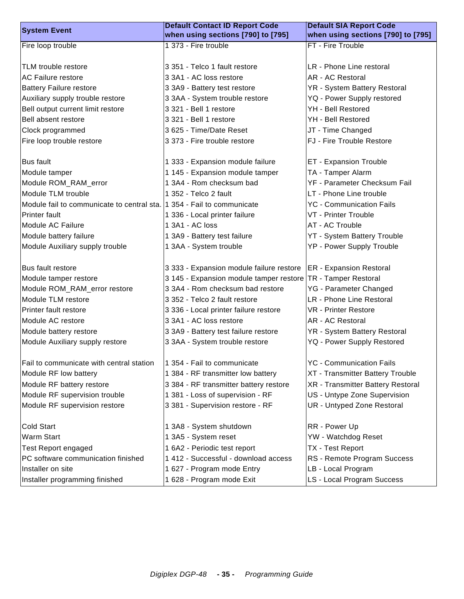| <b>System Event</b>                                                    | <b>Default Contact ID Report Code</b>    | <b>Default SIA Report Code</b>          |  |  |
|------------------------------------------------------------------------|------------------------------------------|-----------------------------------------|--|--|
|                                                                        | when using sections [790] to [795]       | when using sections [790] to [795]      |  |  |
| Fire loop trouble                                                      | 1 373 - Fire trouble                     | FT - Fire Trouble                       |  |  |
|                                                                        |                                          |                                         |  |  |
| TLM trouble restore                                                    | 3 351 - Telco 1 fault restore            | LR - Phone Line restoral                |  |  |
| <b>AC Failure restore</b>                                              | 3 3A1 - AC loss restore                  | AR - AC Restoral                        |  |  |
| <b>Battery Failure restore</b>                                         | 3 3A9 - Battery test restore             | YR - System Battery Restoral            |  |  |
| Auxiliary supply trouble restore                                       | 3 3AA - System trouble restore           | YQ - Power Supply restored              |  |  |
| Bell output current limit restore                                      | 3 321 - Bell 1 restore                   | YH - Bell Restored                      |  |  |
| Bell absent restore                                                    | 3 321 - Bell 1 restore                   | YH - Bell Restored                      |  |  |
| Clock programmed                                                       | 3 625 - Time/Date Reset                  | JT - Time Changed                       |  |  |
| Fire loop trouble restore                                              | 3 373 - Fire trouble restore             | FJ - Fire Trouble Restore               |  |  |
|                                                                        |                                          |                                         |  |  |
| <b>Bus fault</b>                                                       | 1 333 - Expansion module failure         | ET - Expansion Trouble                  |  |  |
| Module tamper                                                          | 1 145 - Expansion module tamper          | TA - Tamper Alarm                       |  |  |
| Module ROM_RAM_error                                                   | 1 3A4 - Rom checksum bad                 | YF - Parameter Checksum Fail            |  |  |
| Module TLM trouble                                                     | 1 352 - Telco 2 fault                    | LT - Phone Line trouble                 |  |  |
| Module fail to communicate to central sta. 1 354 - Fail to communicate |                                          | <b>YC - Communication Fails</b>         |  |  |
| <b>Printer fault</b>                                                   | 1 336 - Local printer failure            | VT - Printer Trouble                    |  |  |
| Module AC Failure                                                      | 1 3A1 - AC loss                          | AT - AC Trouble                         |  |  |
| Module battery failure                                                 | 1 3A9 - Battery test failure             | <b>YT - System Battery Trouble</b>      |  |  |
| Module Auxiliary supply trouble                                        | 1 3AA - System trouble                   | YP - Power Supply Trouble               |  |  |
|                                                                        |                                          |                                         |  |  |
| Bus fault restore                                                      | 3 333 - Expansion module failure restore | <b>ER</b> - Expansion Restoral          |  |  |
| Module tamper restore                                                  | 3 145 - Expansion module tamper restore  | TR - Tamper Restoral                    |  |  |
| Module ROM_RAM_error restore                                           | 3 3A4 - Rom checksum bad restore         | YG - Parameter Changed                  |  |  |
| Module TLM restore                                                     | 3 352 - Telco 2 fault restore            | LR - Phone Line Restoral                |  |  |
| Printer fault restore                                                  | 3 336 - Local printer failure restore    | <b>VR</b> - Printer Restore             |  |  |
| Module AC restore                                                      | 3 3A1 - AC loss restore                  | AR - AC Restoral                        |  |  |
| Module battery restore                                                 | 3 3A9 - Battery test failure restore     | YR - System Battery Restoral            |  |  |
| Module Auxiliary supply restore                                        | 3 3AA - System trouble restore           | YQ - Power Supply Restored              |  |  |
|                                                                        |                                          |                                         |  |  |
| Fail to communicate with central station                               | 1 354 - Fail to communicate              | <b>YC</b> - Communication Fails         |  |  |
| Module RF low battery                                                  | 1 384 - RF transmitter low battery       | <b>XT - Transmitter Battery Trouble</b> |  |  |
| Module RF battery restore                                              | 3 384 - RF transmitter battery restore   | XR - Transmitter Battery Restoral       |  |  |
| Module RF supervision trouble                                          | 1 381 - Loss of supervision - RF         | US - Untype Zone Supervision            |  |  |
| Module RF supervision restore                                          | 3 381 - Supervision restore - RF         | UR - Untyped Zone Restoral              |  |  |
|                                                                        |                                          |                                         |  |  |
| <b>Cold Start</b>                                                      | 1 3A8 - System shutdown                  | RR - Power Up                           |  |  |
| <b>Warm Start</b>                                                      | 1 3A5 - System reset                     | YW - Watchdog Reset                     |  |  |
| <b>Test Report engaged</b>                                             | 1 6A2 - Periodic test report             | TX - Test Report                        |  |  |
| PC software communication finished                                     | 1 412 - Successful - download access     | RS - Remote Program Success             |  |  |
| Installer on site                                                      | 1 627 - Program mode Entry               | LB - Local Program                      |  |  |
| Installer programming finished                                         | 1 628 - Program mode Exit                | LS - Local Program Success              |  |  |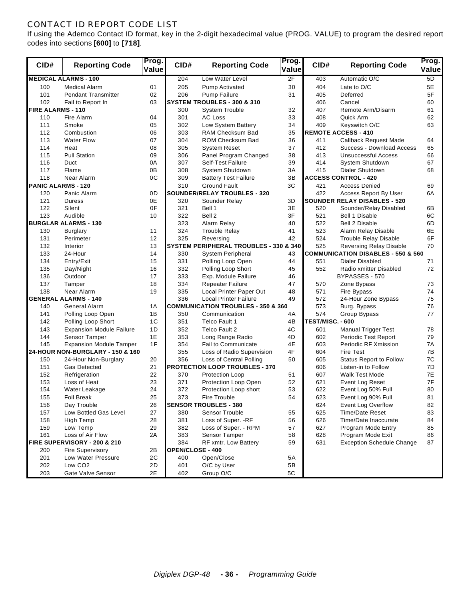#### CONTACT ID REPORT CODE LIST

If using the Ademco Contact ID format, key in the 2-digit hexadecimal value (PROG. VALUE) to program the desired report codes into sections **[600]** to **[718]**.

| CID#                      | <b>Reporting Code</b>                            | Prog.<br>Value | CID#                    | <b>Reporting Code</b>                             | Prog.<br>Value | CID#             | <b>Reporting Code</b>                         | Prog.<br>Value |
|---------------------------|--------------------------------------------------|----------------|-------------------------|---------------------------------------------------|----------------|------------------|-----------------------------------------------|----------------|
|                           | <b>MEDICAL ALARMS - 100</b>                      |                | 204                     | Low Water Level                                   | 2F             | 403              | Automatic O/C                                 | 5D             |
| 100                       | <b>Medical Alarm</b>                             | 01             | 205                     | <b>Pump Activated</b>                             | 30             | 404              | Late to O/C                                   | 5E             |
| 101                       | <b>Pendant Transmitter</b>                       | 02             | 206                     | Pump Failure                                      | 31             | 405              | Deferred                                      | 5F             |
| 102                       | Fail to Report In                                | 03             |                         | SYSTEM TROUBLES - 300 & 310                       |                | 406              | Cancel                                        | 60             |
| <b>FIRE ALARMS - 110</b>  |                                                  |                | 300                     | <b>System Trouble</b>                             | 32             | 407              | Remote Arm/Disarm                             | 61             |
| 110                       | Fire Alarm                                       | 04             | 301                     | <b>AC Loss</b>                                    | 33             | 408              | Quick Arm                                     | 62             |
| 111                       | Smoke                                            | 05             | 302                     | Low System Battery                                | 34             | 409              | Keyswitch O/C                                 | 63             |
| 112                       | Combustion                                       | 06             | 303                     | RAM Checksum Bad                                  | 35             |                  | <b>REMOTE ACCESS - 410</b>                    |                |
| 113                       | <b>Water Flow</b>                                | 07             | 304                     | <b>ROM Checksum Bad</b>                           | 36             | 411              | <b>Callback Request Made</b>                  | 64             |
| 114                       | Heat                                             | 08             | 305                     | <b>System Reset</b>                               | 37             | 412              | Success - Download Access                     | 65             |
| 115                       | <b>Pull Station</b>                              | 09             | 306                     | Panel Program Changed                             | 38             | 413              | Unsuccessful Access                           | 66             |
| 116                       | Duct                                             | 0A             | 307                     | Self-Test Failure                                 | 39             | 414              | System Shutdown                               | 67             |
| 117                       | Flame                                            | 0B             | 308                     | System Shutdown                                   | 3A             | 415              | Dialer Shutdown                               | 68             |
| 118                       | Near Alarm                                       | 0C             | 309                     | <b>Battery Test Failure</b>                       | 3B             |                  | <b>ACCESS CONTROL - 420</b>                   |                |
| <b>PANIC ALARMS - 120</b> |                                                  |                | 310                     | <b>Ground Fault</b>                               | 3C             | 421              | <b>Access Denied</b>                          | 69             |
| 120                       | Panic Alarm                                      | 0D             |                         | <b>SOUNDER/RELAY TROUBLES - 320</b>               |                | 422              | Access Report By User                         | 6A             |
| 121                       | Duress                                           | 0E             | 320                     | Sounder Relay                                     | 3D             |                  | <b>SOUNDER RELAY DISABLES - 520</b>           |                |
| 122                       | Silent                                           | 0F             | 321                     | Bell 1                                            | 3E             | 520              | Sounder/Relay Disabled                        | 6B             |
| 123                       | Audible                                          | 10             | 322                     | Bell 2                                            | 3F             | 521              | Bell 1 Disable                                | 6C             |
|                           | <b>BURGLAR ALARMS - 130</b>                      |                | 323                     | Alarm Relay                                       | 40             | 522              | Bell 2 Disable                                | 6D             |
| 130                       | <b>Burglary</b>                                  | 11             | 324                     | <b>Trouble Relay</b>                              | 41             | 523              | Alarm Relay Disable                           | 6E             |
| 131                       | Perimeter                                        | 12             | 325                     | Reversing                                         | 42             | 524              | <b>Trouble Relay Disable</b>                  | 6F             |
| 132                       | Interior                                         | 13             |                         | <b>SYSTEM PERIPHERAL TROUBLES - 330 &amp; 340</b> |                | 525              | <b>Reversing Relay Disable</b>                | 70             |
| 133                       | 24-Hour                                          | 14             | 330                     | System Peripheral                                 | 43             |                  | <b>COMMUNICATION DISABLES - 550 &amp; 560</b> |                |
| 134                       | Entry/Exit                                       | 15             | 331                     | Polling Loop Open                                 | 44             | 551              | Dialer Disabled                               | 71             |
| 135                       | Day/Night                                        | 16             | 332                     | Polling Loop Short                                | 45             | 552              | Radio xmitter Disabled                        | 72             |
| 136                       | Outdoor                                          | 17             | 333                     | Exp. Module Failure                               | 46             |                  | BYPASSES - 570                                |                |
| 137                       | Tamper                                           | 18             | 334                     | <b>Repeater Failure</b>                           | 47             | 570              | Zone Bypass                                   | 73             |
| 138                       | Near Alarm                                       | 19             | 335                     | Local Printer Paper Out                           | 48             | 571              | Fire Bypass                                   | 74             |
|                           | <b>GENERAL ALARMS - 140</b>                      |                | 336                     | <b>Local Printer Failure</b>                      | 49             | 572              | 24-Hour Zone Bypass                           | 75             |
| 140                       | <b>General Alarm</b>                             | 1A             |                         | <b>COMMUNICATION TROUBLES - 350 &amp; 360</b>     |                | 573              | Burg. Bypass                                  | 76             |
| 141                       | Polling Loop Open                                | 1B             | 350                     | Communication                                     | 4A             | 574              | Group Bypass                                  | 77             |
| 142                       | Polling Loop Short                               | 1C             | 351                     | Telco Fault 1                                     | 4B             | TEST/MISC. - 600 |                                               |                |
| 143                       | <b>Expansion Module Failure</b>                  | 1D             | 352                     | Telco Fault 2                                     | 4C             | 601              | <b>Manual Trigger Test</b>                    | 78             |
| 144                       | Sensor Tamper                                    | 1E             | 353                     | Long Range Radio                                  | 4D             | 602              | Periodic Test Report                          | 79             |
| 145                       | <b>Expansion Module Tamper</b>                   | 1F             | 354                     | <b>Fail to Communicate</b>                        | 4E             | 603              | Periodic RF Xmission                          | 7A             |
|                           | 24-HOUR NON-BURGLARY - 150 & 160                 |                | 355                     | Loss of Radio Supervision                         | 4F             | 604              | <b>Fire Test</b>                              | 7B             |
| 150                       | 24-Hour Non-Burglary                             | 20             | 356                     | Loss of Central Polling                           | 50             | 605              | <b>Status Report to Follow</b>                | 7C             |
| 151                       | <b>Gas Detected</b>                              | 21             |                         | <b>PROTECTION LOOP TROUBLES - 370</b>             |                | 606              | Listen-in to Follow                           | 7D             |
| 152                       | Refrigeration                                    | 22             | 370                     | Protection Loop                                   | 51             | 607              | <b>Walk Test Mode</b>                         | 7E             |
| 153                       | Loss of Heat                                     | 23             | 371                     | Protection Loop Open                              | 52             | 621              | Event Log Reset                               | 7F             |
| 154                       | Water Leakage                                    | 24             | 372                     | Protection Loop short                             | 53             | 622              | Event Log 50% Full                            | 80             |
| 155                       | <b>Foil Break</b>                                | 25             | 373                     | Fire Trouble                                      | 54             | 623              | Event Log 90% Full                            | 81             |
| 156                       | Day Trouble                                      | 26             |                         | <b>SENSOR TROUBLES - 380</b>                      |                | 624              | <b>Event Log Overflow</b>                     | 82             |
| 157                       | Low Bottled Gas Level                            | 27             | 380                     | Sensor Trouble                                    | 55             | 625              | <b>Time/Date Reset</b>                        | 83             |
| 158                       | High Temp                                        | 28             | 381                     | Loss of Super. - RF                               | 56             | 626              | Time/Date Inaccurate                          | 84             |
| 159                       | Low Temp                                         | 29             | 382                     | Loss of Super. - RPM                              | 57             | 627              | Program Mode Entry                            | 85             |
| 161                       | Loss of Air Flow                                 | 2A             | 383                     | Sensor Tamper                                     | 58             | 628              | Program Mode Exit                             | 86             |
|                           | FIRE SUPERVISORY - 200 & 210<br>Fire Supervisory |                | 384                     | RF xmtr. Low Battery                              | 59             | 631              | <b>Exception Schedule Change</b>              | 87             |
| 200                       |                                                  | 2B             | <b>OPEN/CLOSE - 400</b> |                                                   |                |                  |                                               |                |
| 201                       | Low Water Pressure<br>Low CO <sub>2</sub>        | 2C             | 400                     | Open/Close                                        | 5A             |                  |                                               |                |
| 202                       |                                                  | 2D             | 401                     | O/C by User                                       | 5B             |                  |                                               |                |
| 203                       | Gate Valve Sensor                                | 2E             | 402                     | Group O/C                                         | 5C             |                  |                                               |                |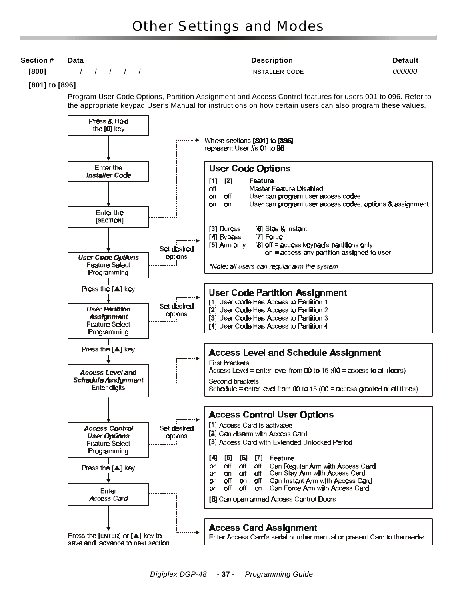#### **Section # Data Description Default [800]** \_\_\_/\_\_\_/\_\_\_/\_\_\_/\_\_\_/\_\_\_ INSTALLER CODE *000000*  **[801] to [896]** Program User Code Options, Partition Assignment and Access Control features for users 001 to 096. Refer to the appropriate keypad User's Manual for instructions on how certain users can also program these values. Press & Hold the [0] key ··· ▶ Where sections [801] to [896] represent User #s 01 to 96. Enter the **User Code Options** Installer Code **Feature**  $[1]$  $\lceil 2 \rceil$ Master Feature Disabled off on off User can program user access codes on on User can program user access codes, options & assignment Enter the [SECTION] [3] Duress [6] Stay & Instant [4] Bypass [7] Force [8] off = access keypad's partitions only [5] Arm only Set desired on = access any partition assigned to user **User Code Options** options Feature Select \*Note, all users can regular arm the system Programming Press the  $[\triangle]$  key **User Code Partition Assignment** [1] User Code Has Access to Partition 1 Set desired **User Partition** [2] User Code Has Access to Partition 2 options **Assignment** [3] User Code Has Access to Partition 3 ا ... Feature Select [4] User Code Has Access to Partition 4 Programming Press the [▲] key **Access Level and Schedule Assignment** First brackets Access Level = enter level from 00 to 15 (00 = access to all doors) Access Level and **Schedule Assignment** Second brackets Enter digits Schedule = enter level from 00 to 15 (00 = access granted at all times) **Access Control User Options** f [1] Access Card is activated **Access Control** Set desired [2] Can disarm with Access Card **User Options** options [3] Access Card with Extended Unlocked Period **Feature Select** Programming  $[4] [5] [6]$  $\lbrack 7 \rbrack$ Feature on off off off Can Regular Arm with Access Card **Press the [▲] key** Can Stay Arm with Access Card on on off off **o**n off on off Can Instant Arm with Access Card on Can Force Arm with Access Card off off on Enter Access Card [8] Can open armed Access Control Doors **Access Card Assignment**

Press the [ENTER] or [A] key to save and advance to next section

Enter Access Card's serial number manual or present Card to the reader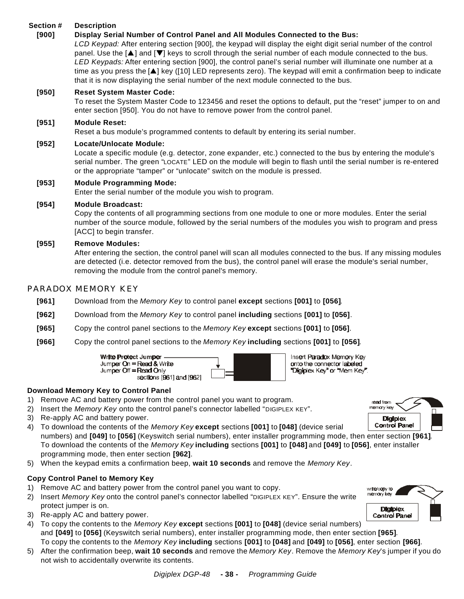#### **Section # Description**

#### **[900] Display Serial Number of Control Panel and All Modules Connected to the Bus:**

*LCD Keypad:* After entering section [900], the keypad will display the eight digit serial number of the control panel. Use the [ $\blacktriangle$ ] and [ $\blacktriangledown$ ] keys to scroll through the serial number of each module connected to the bus. *LED Keypads:* After entering section [900], the control panel's serial number will illuminate one number at a time as you press the [ $\triangle$ ] key ([10] LED represents zero). The keypad will emit a confirmation beep to indicate that it is now displaying the serial number of the next module connected to the bus.

#### **[950] Reset System Master Code:**

To reset the System Master Code to 123456 and reset the options to default, put the "reset" jumper to on and enter section [950]. You do not have to remove power from the control panel.

#### **[951] Module Reset:**

Reset a bus module's programmed contents to default by entering its serial number.

#### **[952] Locate/Unlocate Module:**

Locate a specific module (e.g. detector, zone expander, etc.) connected to the bus by entering the module's serial number. The green "LOCATE" LED on the module will begin to flash until the serial number is re-entered or the appropriate "tamper" or "unlocate" switch on the module is pressed.

#### **[953] Module Programming Mode:**

Enter the serial number of the module you wish to program.

#### **[954] Module Broadcast:**

Copy the contents of all programming sections from one module to one or more modules. Enter the serial number of the source module, followed by the serial numbers of the modules you wish to program and press [ACC] to begin transfer.

#### **[955] Remove Modules:**

After entering the section, the control panel will scan all modules connected to the bus. If any missing modules are detected (i.e. detector removed from the bus), the control panel will erase the module's serial number, removing the module from the control panel's memory.

#### PARADOX MEMORY KEY

- **[961]** Download from the *Memory Key* to control panel **except** sections **[001]** to **[056]**.
- **[962]** Download from the *Memory Key* to control panel **including** sections **[001]** to **[056]**.
- **[965]** Copy the control panel sections to the *Memory Key* **except** sections **[001]** to **[056]**.
- **[966]** Copy the control panel sections to the *Memory Key* **including** sections **[001]** to **[056]**.





Insert Paradox Memory Key onto the connector labeled Digiplex Key" or "Mem Key".

#### **Download Memory Key to Control Panel**

- 1) Remove AC and battery power from the control panel you want to program.
- 2) Insert the *Memory Key* onto the control panel's connector labelled "DIGIPLEX KEY".
- 3) Re-apply AC and battery power.
- 4) To download the contents of the *Memory Key* **except** sections **[001]** to **[048]** (device serial numbers) and **[049]** to **[056]** (Keyswitch serial numbers), enter installer programming mode, then enter section **[961]**. To download the contents of the *Memory Key* **including** sections **[001]** to **[048]** and **[049]** to **[056]**, enter installer programming mode, then enter section **[962]**.
- 5) When the keypad emits a confirmation beep, **wait 10 seconds** and remove the *Memory Key*.

#### **Copy Control Panel to Memory Key**

- 1) Remove AC and battery power from the control panel you want to copy.
- 2) Insert *Memory Key* onto the control panel's connector labelled "DIGIPLEX KEY". Ensure the write protect jumper is on.
- 3) Re-apply AC and battery power.
- 4) To copy the contents to the *Memory Key* **except** sections **[001]** to **[048]** (device serial numbers) and **[049]** to **[056]** (Keyswitch serial numbers), enter installer programming mode, then enter section **[965]**. To copy the contents to the *Memory Key* **including** sections **[001]** to **[048]** and **[049]** to **[056]**, enter section **[966]**.
- 5) After the confirmation beep, **wait 10 seconds** and remove the *Memory Key*. Remove the *Memory Key*'s jumper if you do not wish to accidentally overwrite its contents*.*



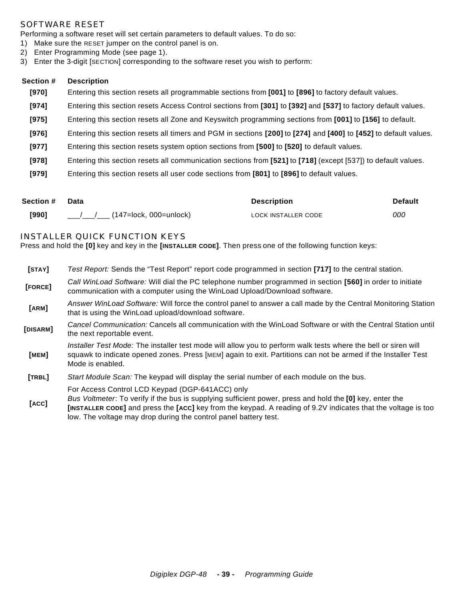#### SOFTWARE RESET

Performing a software reset will set certain parameters to default values. To do so:

- 1) Make sure the RESET jumper on the control panel is on.
- 2) Enter Programming Mode (see page 1).
- 3) Enter the 3-digit [SECTION] corresponding to the software reset you wish to perform:

#### **Section # Description**

- **[970]** Entering this section resets all programmable sections from **[001]** to **[896]** to factory default values.
- **[974]** Entering this section resets Access Control sections from **[301]** to **[392]** and **[537]** to factory default values.
- **[975]** Entering this section resets all Zone and Keyswitch programming sections from **[001]** to **[156]** to default.
- **[976]** Entering this section resets all timers and PGM in sections **[200]** to **[274]** and **[400]** to **[452]** to default values.
- **[977]** Entering this section resets system option sections from **[500]** to **[520]** to default values.
- **[978]** Entering this section resets all communication sections from **[521]** to **[718]** (except [537]) to default values.
- **[979]** Entering this section resets all user code sections from **[801]** to **[896]** to default values.

| Section # | Data                       | <b>Description</b>  | <b>Default</b> |
|-----------|----------------------------|---------------------|----------------|
| [990]     | / / (147=lock, 000=unlock) | LOCK INSTALLER CODE | 000            |

#### INSTALLER QUICK FUNCTION KEYS

Press and hold the **[0]** key and key in the **[INSTALLER CODE]**. Then press one of the following function keys:

| [ <b>STAY</b> ] | Test Report: Sends the "Test Report" report code programmed in section [717] to the central station.                                                                                                                                                |
|-----------------|-----------------------------------------------------------------------------------------------------------------------------------------------------------------------------------------------------------------------------------------------------|
| [FORCE]         | Call WinLoad Software: Will dial the PC telephone number programmed in section [560] in order to initiate<br>communication with a computer using the WinLoad Upload/Download software.                                                              |
| [ARM]           | Answer WinLoad Software: Will force the control panel to answer a call made by the Central Monitoring Station<br>that is using the WinLoad upload/download software.                                                                                |
| [DISARM]        | Cancel Communication: Cancels all communication with the WinLoad Software or with the Central Station until<br>the next reportable event.                                                                                                           |
| [MEM]           | Installer Test Mode: The installer test mode will allow you to perform walk tests where the bell or siren will<br>squawk to indicate opened zones. Press [MEM] again to exit. Partitions can not be armed if the Installer Test<br>Mode is enabled. |
| [TRBL]          | Start Module Scan: The keypad will display the serial number of each module on the bus.                                                                                                                                                             |
| $I \wedge C$    | For Access Control LCD Keypad (DGP-641ACC) only<br>Bus Voltmeter: To verify if the bus is supplying sufficient power, press and hold the [0] key, enter the                                                                                         |

**[ACC] [INSTALLER CODE]** and press the **[ACC]** key from the keypad. A reading of 9.2V indicates that the voltage is too low. The voltage may drop during the control panel battery test.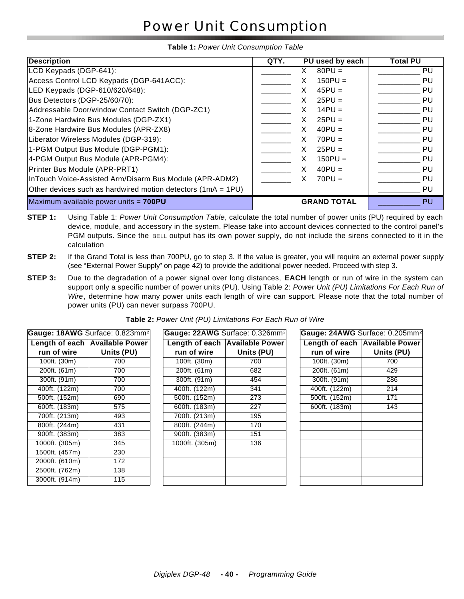# Power Unit Consumption

#### **Table 1:** *Power Unit Consumption Table*

| <b>Description</b>                                           | QTY.<br>PU used by each | Total PU  |
|--------------------------------------------------------------|-------------------------|-----------|
| LCD Keypads (DGP-641):                                       | $80$ PU =               | PU        |
| Access Control LCD Keypads (DGP-641ACC):                     | $150$ PU =<br>х         | PU        |
| LED Keypads (DGP-610/620/648):                               | $45PU =$<br>x           | PU        |
| Bus Detectors (DGP-25/60/70):                                | $25PU =$<br>x           | PU        |
| Addressable Door/window Contact Switch (DGP-ZC1)             | $14PU =$                | PU        |
| 1-Zone Hardwire Bus Modules (DGP-ZX1)                        | $25PU =$                | <b>PU</b> |
| 8-Zone Hardwire Bus Modules (APR-ZX8)                        | $40PU =$<br>х           | PU        |
| Liberator Wireless Modules (DGP-319):                        | $70PU =$                | PU        |
| 1-PGM Output Bus Module (DGP-PGM1):                          | $25PU =$<br>X           | PU        |
| 4-PGM Output Bus Module (APR-PGM4):                          | $150$ PU =<br>x         | PU        |
| Printer Bus Module (APR-PRT1)                                | $40PU =$<br>х           | PU        |
| InTouch Voice-Assisted Arm/Disarm Bus Module (APR-ADM2)      | $70PU =$<br>x           | PU        |
| Other devices such as hardwired motion detectors (1mA = 1PU) |                         | PU        |
| Maximum available power units = 700PU                        | <b>GRAND TOTAL</b>      | PU        |

- **STEP 1:** Using Table 1: *Power Unit Consumption Table*, calculate the total number of power units (PU) required by each device, module, and accessory in the system. Please take into account devices connected to the control panel's PGM outputs. Since the BELL output has its own power supply, do not include the sirens connected to it in the calculation
- **STEP 2:** If the Grand Total is less than 700PU, go to step 3. If the value is greater, you will require an external power supply (see "External Power Supply" on page 42) to provide the additional power needed. Proceed with step 3.
- **STEP 3:** Due to the degradation of a power signal over long distances, **EACH** length or run of wire in the system can support only a specific number of power units (PU). Using Table 2: *Power Unit (PU) Limitations For Each Run of Wire*, determine how many power units each length of wire can support. Please note that the total number of power units (PU) can never surpass 700PU.

|                | Gauge: 18AWG Surface: 0.823mm <sup>2</sup> | Gauge: 22AWG Surface: 0.3 |                  |
|----------------|--------------------------------------------|---------------------------|------------------|
|                | Length of each Available Power             | Length of each Available  |                  |
| run of wire    | Units (PU)                                 | run of wire               | Units (          |
| 100ft. (30m)   | 700                                        | 100ft. (30m)              | 700              |
| 200ft. (61m)   | 700                                        | 200ft. (61m)              | 682              |
| 300ft. (91m)   | 700                                        | 300ft. (91m)              | 454              |
| 400ft. (122m)  | 700                                        | 400ft. (122m)             | 341              |
| 500ft. (152m)  | 690                                        | 500ft. (152m)             | $\overline{273}$ |
| 600ft. (183m)  | 575                                        | 600ft. (183m)             | $\overline{227}$ |
| 700ft. (213m)  | 493                                        | 700ft. (213m)             | 195              |
| 800ft. (244m)  | 431                                        | 800ft. (244m)             | 170              |
| 900ft. (383m)  | 383                                        | 900ft. (383m)             | 151              |
| 1000ft. (305m) | 345                                        | 1000ft. (305m)            | 136              |
| 1500ft. (457m) | 230                                        |                           |                  |
| 2000ft. (610m) | 172                                        |                           |                  |
| 2500ft. (762m) | 138                                        |                           |                  |
| 3000ft. (914m) | 115                                        |                           |                  |

**Table 2:** *Power Unit (PU) Limitations For Each Run of Wire*

|                | Gauge: 18AWG Surface: 0.823mm <sup>2</sup> |                | Gauge: 22AWG Surface: 0.326mm <sup>2</sup> |               | Gauge: 24AWG Surface: 0.205mm <sup>2</sup> |
|----------------|--------------------------------------------|----------------|--------------------------------------------|---------------|--------------------------------------------|
|                | Length of each Available Power             |                | Length of each Available Power             |               | Length of each Available Power             |
| run of wire    | Units (PU)                                 | run of wire    | Units (PU)                                 | run of wire   | Units (PU)                                 |
| 100ft. (30m)   | 700                                        | 100ft. (30m)   | 700                                        | 100ft. (30m)  | 700                                        |
| 200ft. (61m)   | 700                                        | 200ft. (61m)   | 682                                        | 200ft. (61m)  | 429                                        |
| 300ft. (91m)   | 700                                        | 300ft. (91m)   | 454                                        | 300ft. (91m)  | 286                                        |
| 400ft. (122m)  | 700                                        | 400ft. (122m)  | 341                                        | 400ft. (122m) | 214                                        |
| 500ft. (152m)  | 690                                        | 500ft. (152m)  | 273                                        | 500ft. (152m) | 171                                        |
| 600ft. (183m)  | 575                                        | 600ft. (183m)  | 227                                        | 600ft. (183m) | 143                                        |
| 700ft. (213m)  | 493                                        | 700ft. (213m)  | 195                                        |               |                                            |
| 800ft. (244m)  | 431                                        | 800ft. (244m)  | 170                                        |               |                                            |
| 900ft. (383m)  | 383                                        | 900ft. (383m)  | 151                                        |               |                                            |
| 1000ft. (305m) | 345                                        | 1000ft. (305m) | 136                                        |               |                                            |
| 1500ft. (457m) | 230                                        |                |                                            |               |                                            |
| 2000ft. (610m) | 172                                        |                |                                            |               |                                            |
| 2500ft. (762m) | 138                                        |                |                                            |               |                                            |
| 3000ft. (914m) | 115                                        |                |                                            |               |                                            |

| Gauge: 24AWG Surface: 0.205mm <sup>2</sup> |                                |
|--------------------------------------------|--------------------------------|
|                                            | Length of each Available Power |
| run of wire                                | Units (PU)                     |
| 100ft. (30m)                               | 700                            |
| 200ft. (61m)                               | 429                            |
| 300ft. (91m)                               | 286                            |
| 400ft. (122m)                              | 214                            |
| 500ft. (152m)                              | 171                            |
| 600ft. (183m)                              | 143                            |
|                                            |                                |
|                                            |                                |
|                                            |                                |
|                                            |                                |
|                                            |                                |
|                                            |                                |
|                                            |                                |
|                                            |                                |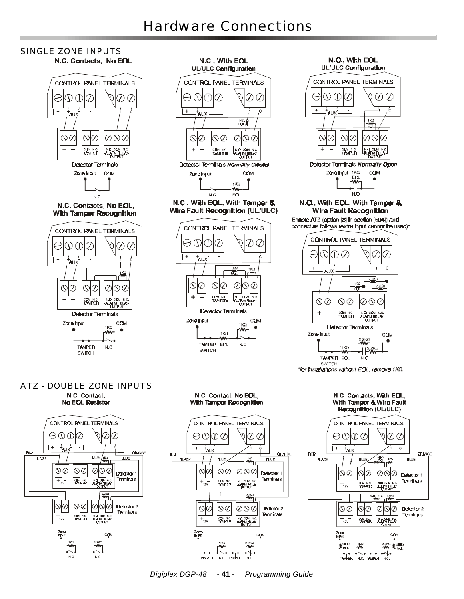#### SINGLE ZONE INPUTS N.C. Contacts, No EOL





N.O., With EOL UL/ULC Configuration CONTROL PANEL TERMINALS ♦ Ø O)  $\overline{\mathcal{C}}$ Œ IU.  $\overline{+}$  $\blacksquare$ ι<br>ΑUΧ (KO 霱  $\overline{\mathcal{O}}$  $\overline{\mathbb{O}}$  $\oslash$ ⊙∣⊘  $\oslash$  $\pm$ COM N.C.<br>TAMPER NO CB. AL ARM RELEY **GUTPL** Detector Terminals Normally Open Zone input 1KQ COM FO.

N.O., With EOL, With Tamper & Wire Fault Recognition

Enable ATZ (option [8] In section [504]) and connect as follows (extra input cannot be used):



\*for installations without EOL, remove 1KΩ

#### ATZ - DOUBLE ZONE INPUTSN.C. Contact, **No EOL Resistor**







*Digiplex DGP-48* **- 41 -** *Programming Guide*

**TAVPEP** N.C

OSM NO.<br>TAMPES

Na on I<br>AMME. n c<br>N

 $+$  -  $\frac{}{\sim}$ 

темБета

Zona<br>hair

Terminals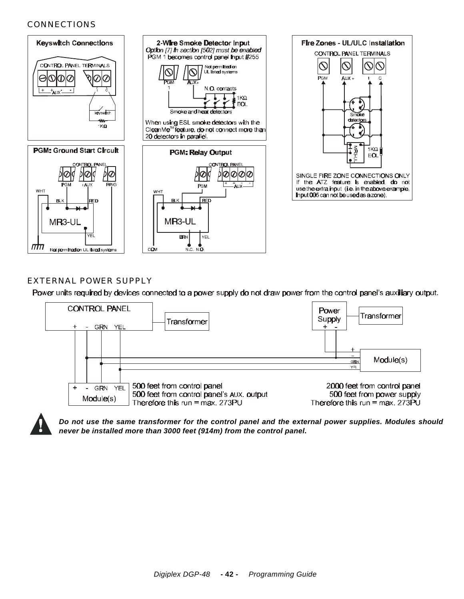#### CONNECTIONS



#### EXTERNAL POWER SUPPLY

Power units required by devices connected to a power supply do not draw power from the control panel's auxiliary output.





*Do not use the same transformer for the control panel and the external power supplies. Modules should never be installed more than 3000 feet (914m) from the control panel.*